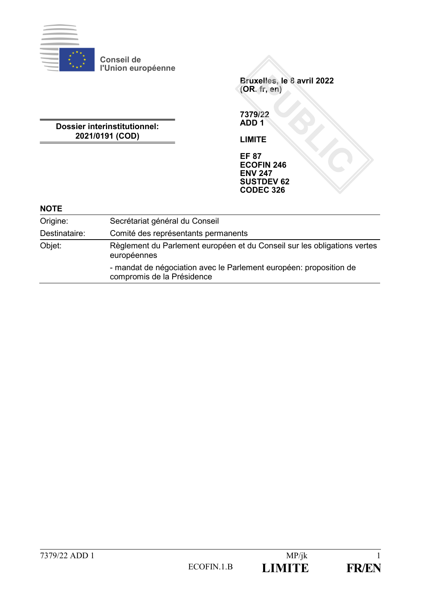

**Conseil de l'Union européenne**

**Dossier interinstitutionnel: 2021/0191 (COD)**

**Bruxelles, le 8 avril 2022 (OR. fr, en)**

**7379/22 ADD 1**

**LIMITE**

**EF 87 ECOFIN 246 ENV 247 SUSTDEV 62 CODEC 326**

#### **NOTE**

| Origine:      | Secrétariat général du Conseil                                                                   |
|---------------|--------------------------------------------------------------------------------------------------|
| Destinataire: | Comité des représentants permanents                                                              |
| Objet:        | Règlement du Parlement européen et du Conseil sur les obligations vertes<br>européennes          |
|               | - mandat de négociation avec le Parlement européen: proposition de<br>compromis de la Présidence |
|               |                                                                                                  |

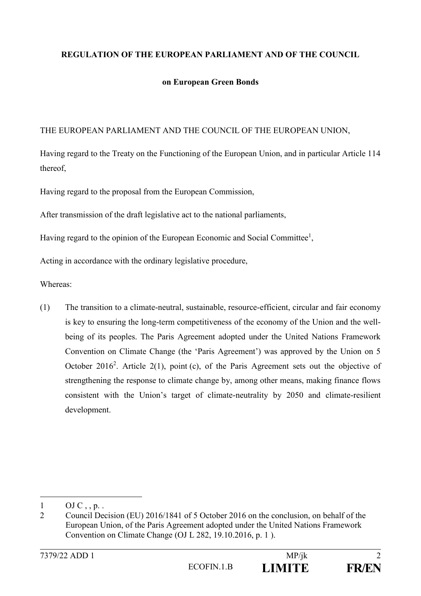### **REGULATION OF THE EUROPEAN PARLIAMENT AND OF THE COUNCIL**

#### **on European Green Bonds**

#### THE EUROPEAN PARLIAMENT AND THE COUNCIL OF THE EUROPEAN UNION,

Having regard to the Treaty on the Functioning of the European Union, and in particular Article 114 thereof,

Having regard to the proposal from the European Commission,

After transmission of the draft legislative act to the national parliaments,

Having regard to the opinion of the European Economic and Social Committee<sup>1</sup>,

Acting in accordance with the ordinary legislative procedure,

Whereas:

(1) The transition to a climate-neutral, sustainable, resource-efficient, circular and fair economy is key to ensuring the long-term competitiveness of the economy of the Union and the wellbeing of its peoples. The Paris Agreement adopted under the United Nations Framework Convention on Climate Change (the 'Paris Agreement') was approved by the Union on 5 October 2016<sup>2</sup>. Article 2(1), point (c), of the Paris Agreement sets out the objective of strengthening the response to climate change by, among other means, making finance flows consistent with the Union's target of climate-neutrality by 2050 and climate-resilient development.

 $1$  OJ C, , p. .

<sup>2</sup> Council Decision (EU) 2016/1841 of 5 October 2016 on the conclusion, on behalf of the European Union, of the Paris Agreement adopted under the United Nations Framework Convention on Climate Change (OJ L 282, 19.10.2016, p. 1 ).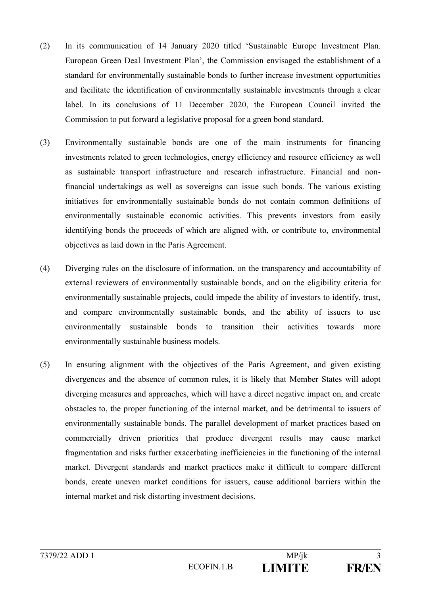- (2) In its communication of 14 January 2020 titled 'Sustainable Europe Investment Plan. European Green Deal Investment Plan', the Commission envisaged the establishment of a standard for environmentally sustainable bonds to further increase investment opportunities and facilitate the identification of environmentally sustainable investments through a clear label. In its conclusions of 11 December 2020, the European Council invited the Commission to put forward a legislative proposal for a green bond standard.
- (3) Environmentally sustainable bonds are one of the main instruments for financing investments related to green technologies, energy efficiency and resource efficiency as well as sustainable transport infrastructure and research infrastructure. Financial and nonfinancial undertakings as well as sovereigns can issue such bonds. The various existing initiatives for environmentally sustainable bonds do not contain common definitions of environmentally sustainable economic activities. This prevents investors from easily identifying bonds the proceeds of which are aligned with, or contribute to, environmental objectives as laid down in the Paris Agreement.
- (4) Diverging rules on the disclosure of information, on the transparency and accountability of external reviewers of environmentally sustainable bonds, and on the eligibility criteria for environmentally sustainable projects, could impede the ability of investors to identify, trust, and compare environmentally sustainable bonds, and the ability of issuers to use environmentally sustainable bonds to transition their activities towards more environmentally sustainable business models.
- (5) In ensuring alignment with the objectives of the Paris Agreement, and given existing divergences and the absence of common rules, it is likely that Member States will adopt diverging measures and approaches, which will have a direct negative impact on, and create obstacles to, the proper functioning of the internal market, and be detrimental to issuers of environmentally sustainable bonds. The parallel development of market practices based on commercially driven priorities that produce divergent results may cause market fragmentation and risks further exacerbating inefficiencies in the functioning of the internal market. Divergent standards and market practices make it difficult to compare different bonds, create uneven market conditions for issuers, cause additional barriers within the internal market and risk distorting investment decisions.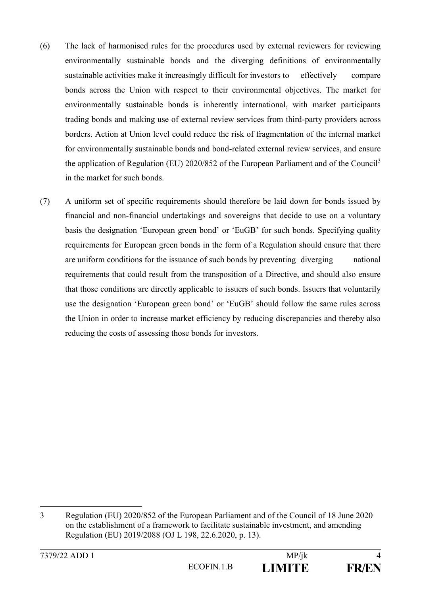- (6) The lack of harmonised rules for the procedures used by external reviewers for reviewing environmentally sustainable bonds and the diverging definitions of environmentally sustainable activities make it increasingly difficult for investors to effectively compare bonds across the Union with respect to their environmental objectives. The market for environmentally sustainable bonds is inherently international, with market participants trading bonds and making use of external review services from third-party providers across borders. Action at Union level could reduce the risk of fragmentation of the internal market for environmentally sustainable bonds and bond-related external review services, and ensure the application of Regulation (EU) 2020/852 of the European Parliament and of the Council<sup>3</sup> in the market for such bonds.
- (7) A uniform set of specific requirements should therefore be laid down for bonds issued by financial and non-financial undertakings and sovereigns that decide to use on a voluntary basis the designation 'European green bond' or 'EuGB' for such bonds. Specifying quality requirements for European green bonds in the form of a Regulation should ensure that there are uniform conditions for the issuance of such bonds by preventing diverging national requirements that could result from the transposition of a Directive, and should also ensure that those conditions are directly applicable to issuers of such bonds. Issuers that voluntarily use the designation 'European green bond' or 'EuGB' should follow the same rules across the Union in order to increase market efficiency by reducing discrepancies and thereby also reducing the costs of assessing those bonds for investors.

<sup>3</sup> Regulation (EU) 2020/852 of the European Parliament and of the Council of 18 June 2020 on the establishment of a framework to facilitate sustainable investment, and amending Regulation (EU) 2019/2088 (OJ L 198, 22.6.2020, p. 13).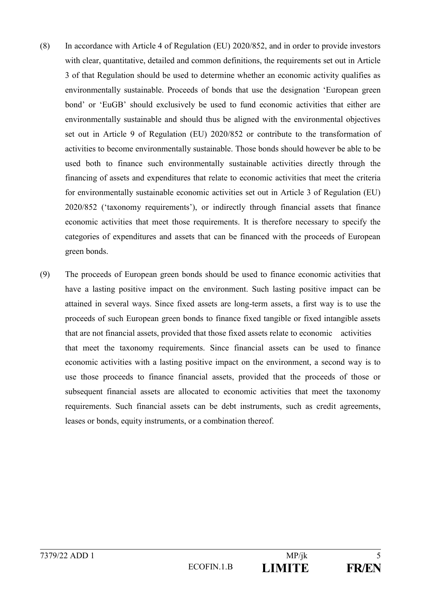- (8) In accordance with Article 4 of Regulation (EU) 2020/852, and in order to provide investors with clear, quantitative, detailed and common definitions, the requirements set out in Article 3 of that Regulation should be used to determine whether an economic activity qualifies as environmentally sustainable. Proceeds of bonds that use the designation 'European green bond' or 'EuGB' should exclusively be used to fund economic activities that either are environmentally sustainable and should thus be aligned with the environmental objectives set out in Article 9 of Regulation (EU) 2020/852 or contribute to the transformation of activities to become environmentally sustainable. Those bonds should however be able to be used both to finance such environmentally sustainable activities directly through the financing of assets and expenditures that relate to economic activities that meet the criteria for environmentally sustainable economic activities set out in Article 3 of Regulation (EU) 2020/852 ('taxonomy requirements'), or indirectly through financial assets that finance economic activities that meet those requirements. It is therefore necessary to specify the categories of expenditures and assets that can be financed with the proceeds of European green bonds.
- (9) The proceeds of European green bonds should be used to finance economic activities that have a lasting positive impact on the environment. Such lasting positive impact can be attained in several ways. Since fixed assets are long-term assets, a first way is to use the proceeds of such European green bonds to finance fixed tangible or fixed intangible assets that are not financial assets, provided that those fixed assets relate to economic activities that meet the taxonomy requirements. Since financial assets can be used to finance economic activities with a lasting positive impact on the environment, a second way is to use those proceeds to finance financial assets, provided that the proceeds of those or subsequent financial assets are allocated to economic activities that meet the taxonomy requirements. Such financial assets can be debt instruments, such as credit agreements, leases or bonds, equity instruments, or a combination thereof.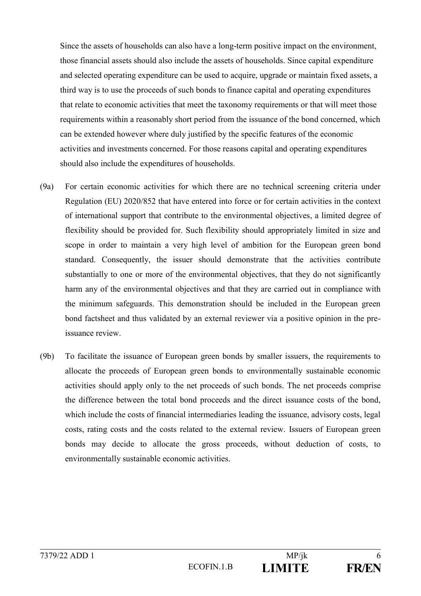Since the assets of households can also have a long-term positive impact on the environment, those financial assets should also include the assets of households. Since capital expenditure and selected operating expenditure can be used to acquire, upgrade or maintain fixed assets, a third way is to use the proceeds of such bonds to finance capital and operating expenditures that relate to economic activities that meet the taxonomy requirements or that will meet those requirements within a reasonably short period from the issuance of the bond concerned, which can be extended however where duly justified by the specific features of the economic activities and investments concerned. For those reasons capital and operating expenditures should also include the expenditures of households.

- (9a) For certain economic activities for which there are no technical screening criteria under Regulation (EU) 2020/852 that have entered into force or for certain activities in the context of international support that contribute to the environmental objectives, a limited degree of flexibility should be provided for. Such flexibility should appropriately limited in size and scope in order to maintain a very high level of ambition for the European green bond standard. Consequently, the issuer should demonstrate that the activities contribute substantially to one or more of the environmental objectives, that they do not significantly harm any of the environmental objectives and that they are carried out in compliance with the minimum safeguards. This demonstration should be included in the European green bond factsheet and thus validated by an external reviewer via a positive opinion in the preissuance review.
- (9b) To facilitate the issuance of European green bonds by smaller issuers, the requirements to allocate the proceeds of European green bonds to environmentally sustainable economic activities should apply only to the net proceeds of such bonds. The net proceeds comprise the difference between the total bond proceeds and the direct issuance costs of the bond, which include the costs of financial intermediaries leading the issuance, advisory costs, legal costs, rating costs and the costs related to the external review. Issuers of European green bonds may decide to allocate the gross proceeds, without deduction of costs, to environmentally sustainable economic activities.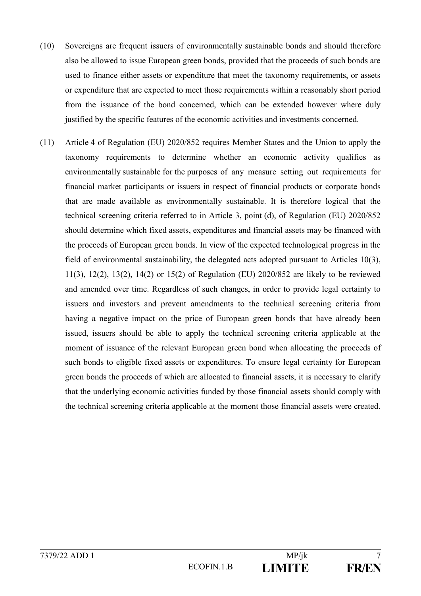- (10) Sovereigns are frequent issuers of environmentally sustainable bonds and should therefore also be allowed to issue European green bonds, provided that the proceeds of such bonds are used to finance either assets or expenditure that meet the taxonomy requirements, or assets or expenditure that are expected to meet those requirements within a reasonably short period from the issuance of the bond concerned, which can be extended however where duly justified by the specific features of the economic activities and investments concerned.
- (11) Article 4 of Regulation (EU) 2020/852 requires Member States and the Union to apply the taxonomy requirements to determine whether an economic activity qualifies as environmentally sustainable for the purposes of any measure setting out requirements for financial market participants or issuers in respect of financial products or corporate bonds that are made available as environmentally sustainable. It is therefore logical that the technical screening criteria referred to in Article 3, point (d), of Regulation (EU) 2020/852 should determine which fixed assets, expenditures and financial assets may be financed with the proceeds of European green bonds. In view of the expected technological progress in the field of environmental sustainability, the delegated acts adopted pursuant to Articles 10(3), 11(3), 12(2), 13(2), 14(2) or 15(2) of Regulation (EU) 2020/852 are likely to be reviewed and amended over time. Regardless of such changes, in order to provide legal certainty to issuers and investors and prevent amendments to the technical screening criteria from having a negative impact on the price of European green bonds that have already been issued, issuers should be able to apply the technical screening criteria applicable at the moment of issuance of the relevant European green bond when allocating the proceeds of such bonds to eligible fixed assets or expenditures. To ensure legal certainty for European green bonds the proceeds of which are allocated to financial assets, it is necessary to clarify that the underlying economic activities funded by those financial assets should comply with the technical screening criteria applicable at the moment those financial assets were created.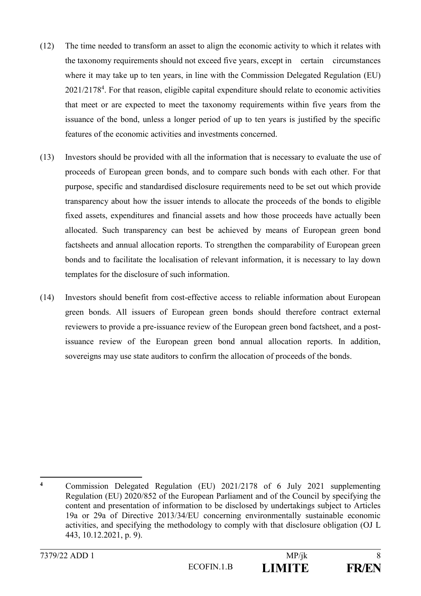- (12) The time needed to transform an asset to align the economic activity to which it relates with the taxonomy requirements should not exceed five years, except in certain circumstances where it may take up to ten years, in line with the Commission Delegated Regulation (EU)  $2021/2178<sup>4</sup>$ . For that reason, eligible capital expenditure should relate to economic activities that meet or are expected to meet the taxonomy requirements within five years from the issuance of the bond, unless a longer period of up to ten years is justified by the specific features of the economic activities and investments concerned.
- (13) Investors should be provided with all the information that is necessary to evaluate the use of proceeds of European green bonds, and to compare such bonds with each other. For that purpose, specific and standardised disclosure requirements need to be set out which provide transparency about how the issuer intends to allocate the proceeds of the bonds to eligible fixed assets, expenditures and financial assets and how those proceeds have actually been allocated. Such transparency can best be achieved by means of European green bond factsheets and annual allocation reports. To strengthen the comparability of European green bonds and to facilitate the localisation of relevant information, it is necessary to lay down templates for the disclosure of such information.
- (14) Investors should benefit from cost-effective access to reliable information about European green bonds. All issuers of European green bonds should therefore contract external reviewers to provide a pre-issuance review of the European green bond factsheet, and a postissuance review of the European green bond annual allocation reports. In addition, sovereigns may use state auditors to confirm the allocation of proceeds of the bonds.



 $\overline{4}$ **<sup>4</sup>** Commission Delegated Regulation (EU) 2021/2178 of 6 July 2021 supplementing Regulation (EU) 2020/852 of the European Parliament and of the Council by specifying the content and presentation of information to be disclosed by undertakings subject to Articles 19a or 29a of Directive 2013/34/EU concerning environmentally sustainable economic activities, and specifying the methodology to comply with that disclosure obligation (OJ L 443, 10.12.2021, p. 9).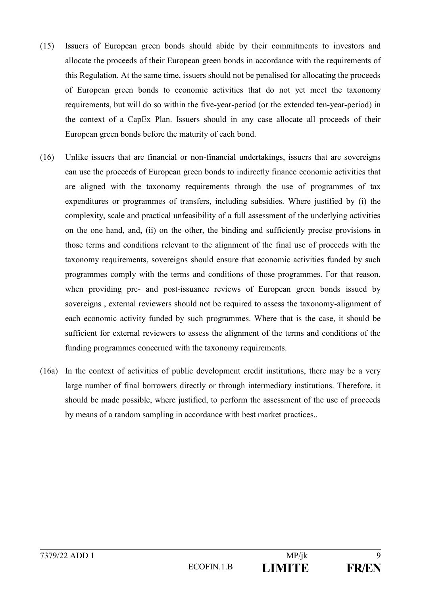- (15) Issuers of European green bonds should abide by their commitments to investors and allocate the proceeds of their European green bonds in accordance with the requirements of this Regulation. At the same time, issuers should not be penalised for allocating the proceeds of European green bonds to economic activities that do not yet meet the taxonomy requirements, but will do so within the five-year-period (or the extended ten-year-period) in the context of a CapEx Plan. Issuers should in any case allocate all proceeds of their European green bonds before the maturity of each bond.
- (16) Unlike issuers that are financial or non-financial undertakings, issuers that are sovereigns can use the proceeds of European green bonds to indirectly finance economic activities that are aligned with the taxonomy requirements through the use of programmes of tax expenditures or programmes of transfers, including subsidies. Where justified by (i) the complexity, scale and practical unfeasibility of a full assessment of the underlying activities on the one hand, and, (ii) on the other, the binding and sufficiently precise provisions in those terms and conditions relevant to the alignment of the final use of proceeds with the taxonomy requirements, sovereigns should ensure that economic activities funded by such programmes comply with the terms and conditions of those programmes. For that reason, when providing pre- and post-issuance reviews of European green bonds issued by sovereigns , external reviewers should not be required to assess the taxonomy-alignment of each economic activity funded by such programmes. Where that is the case, it should be sufficient for external reviewers to assess the alignment of the terms and conditions of the funding programmes concerned with the taxonomy requirements.
- (16a) In the context of activities of public development credit institutions, there may be a very large number of final borrowers directly or through intermediary institutions. Therefore, it should be made possible, where justified, to perform the assessment of the use of proceeds by means of a random sampling in accordance with best market practices..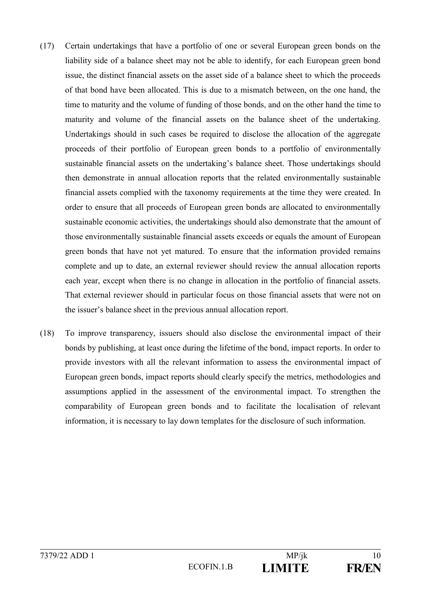- (17) Certain undertakings that have a portfolio of one or several European green bonds on the liability side of a balance sheet may not be able to identify, for each European green bond issue, the distinct financial assets on the asset side of a balance sheet to which the proceeds of that bond have been allocated. This is due to a mismatch between, on the one hand, the time to maturity and the volume of funding of those bonds, and on the other hand the time to maturity and volume of the financial assets on the balance sheet of the undertaking. Undertakings should in such cases be required to disclose the allocation of the aggregate proceeds of their portfolio of European green bonds to a portfolio of environmentally sustainable financial assets on the undertaking's balance sheet. Those undertakings should then demonstrate in annual allocation reports that the related environmentally sustainable financial assets complied with the taxonomy requirements at the time they were created. In order to ensure that all proceeds of European green bonds are allocated to environmentally sustainable economic activities, the undertakings should also demonstrate that the amount of those environmentally sustainable financial assets exceeds or equals the amount of European green bonds that have not yet matured. To ensure that the information provided remains complete and up to date, an external reviewer should review the annual allocation reports each year, except when there is no change in allocation in the portfolio of financial assets. That external reviewer should in particular focus on those financial assets that were not on the issuer's balance sheet in the previous annual allocation report.
- (18) To improve transparency, issuers should also disclose the environmental impact of their bonds by publishing, at least once during the lifetime of the bond, impact reports. In order to provide investors with all the relevant information to assess the environmental impact of European green bonds, impact reports should clearly specify the metrics, methodologies and assumptions applied in the assessment of the environmental impact. To strengthen the comparability of European green bonds and to facilitate the localisation of relevant information, it is necessary to lay down templates for the disclosure of such information.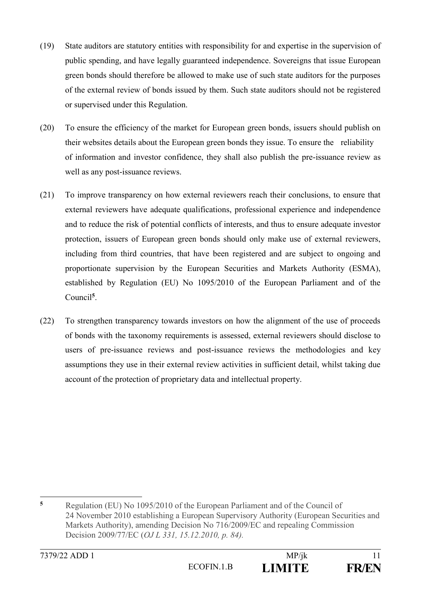- (19) State auditors are statutory entities with responsibility for and expertise in the supervision of public spending, and have legally guaranteed independence. Sovereigns that issue European green bonds should therefore be allowed to make use of such state auditors for the purposes of the external review of bonds issued by them. Such state auditors should not be registered or supervised under this Regulation.
- (20) To ensure the efficiency of the market for European green bonds, issuers should publish on their websites details about the European green bonds they issue. To ensure the reliability of information and investor confidence, they shall also publish the pre-issuance review as well as any post-issuance reviews.
- (21) To improve transparency on how external reviewers reach their conclusions, to ensure that external reviewers have adequate qualifications, professional experience and independence and to reduce the risk of potential conflicts of interests, and thus to ensure adequate investor protection, issuers of European green bonds should only make use of external reviewers, including from third countries, that have been registered and are subject to ongoing and proportionate supervision by the European Securities and Markets Authority (ESMA), established by Regulation (EU) No 1095/2010 of the European Parliament and of the Council**<sup>5</sup>** .
- (22) To strengthen transparency towards investors on how the alignment of the use of proceeds of bonds with the taxonomy requirements is assessed, external reviewers should disclose to users of pre-issuance reviews and post-issuance reviews the methodologies and key assumptions they use in their external review activities in sufficient detail, whilst taking due account of the protection of proprietary data and intellectual property.

**<sup>5</sup>** Regulation (EU) No 1095/2010 of the European Parliament and of the Council of 24 November 2010 establishing a European Supervisory Authority (European Securities and Markets Authority), amending Decision No 716/2009/EC and repealing Commission Decision 2009/77/EC (*OJ L 331, 15.12.2010, p. 84).*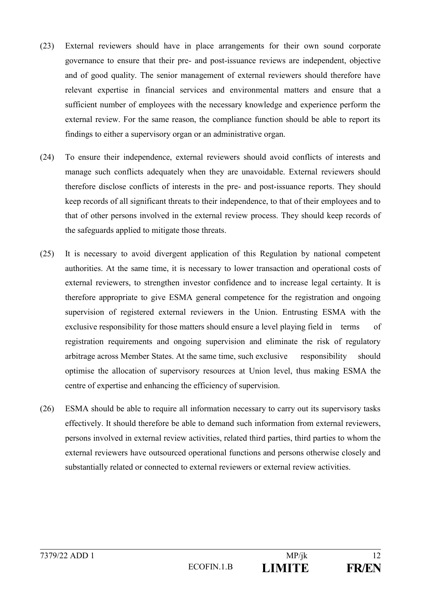- (23) External reviewers should have in place arrangements for their own sound corporate governance to ensure that their pre- and post-issuance reviews are independent, objective and of good quality. The senior management of external reviewers should therefore have relevant expertise in financial services and environmental matters and ensure that a sufficient number of employees with the necessary knowledge and experience perform the external review. For the same reason, the compliance function should be able to report its findings to either a supervisory organ or an administrative organ.
- (24) To ensure their independence, external reviewers should avoid conflicts of interests and manage such conflicts adequately when they are unavoidable. External reviewers should therefore disclose conflicts of interests in the pre- and post-issuance reports. They should keep records of all significant threats to their independence, to that of their employees and to that of other persons involved in the external review process. They should keep records of the safeguards applied to mitigate those threats.
- (25) It is necessary to avoid divergent application of this Regulation by national competent authorities. At the same time, it is necessary to lower transaction and operational costs of external reviewers, to strengthen investor confidence and to increase legal certainty. It is therefore appropriate to give ESMA general competence for the registration and ongoing supervision of registered external reviewers in the Union. Entrusting ESMA with the exclusive responsibility for those matters should ensure a level playing field in terms of registration requirements and ongoing supervision and eliminate the risk of regulatory arbitrage across Member States. At the same time, such exclusive responsibility should optimise the allocation of supervisory resources at Union level, thus making ESMA the centre of expertise and enhancing the efficiency of supervision.
- (26) ESMA should be able to require all information necessary to carry out its supervisory tasks effectively. It should therefore be able to demand such information from external reviewers, persons involved in external review activities, related third parties, third parties to whom the external reviewers have outsourced operational functions and persons otherwise closely and substantially related or connected to external reviewers or external review activities.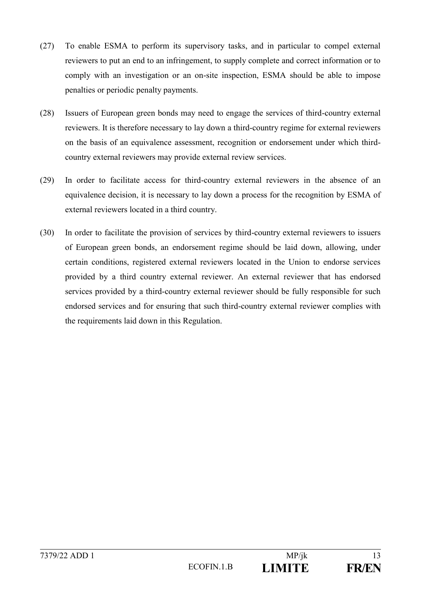- (27) To enable ESMA to perform its supervisory tasks, and in particular to compel external reviewers to put an end to an infringement, to supply complete and correct information or to comply with an investigation or an on-site inspection, ESMA should be able to impose penalties or periodic penalty payments.
- (28) Issuers of European green bonds may need to engage the services of third-country external reviewers. It is therefore necessary to lay down a third-country regime for external reviewers on the basis of an equivalence assessment, recognition or endorsement under which thirdcountry external reviewers may provide external review services.
- (29) In order to facilitate access for third-country external reviewers in the absence of an equivalence decision, it is necessary to lay down a process for the recognition by ESMA of external reviewers located in a third country.
- (30) In order to facilitate the provision of services by third-country external reviewers to issuers of European green bonds, an endorsement regime should be laid down, allowing, under certain conditions, registered external reviewers located in the Union to endorse services provided by a third country external reviewer. An external reviewer that has endorsed services provided by a third-country external reviewer should be fully responsible for such endorsed services and for ensuring that such third-country external reviewer complies with the requirements laid down in this Regulation.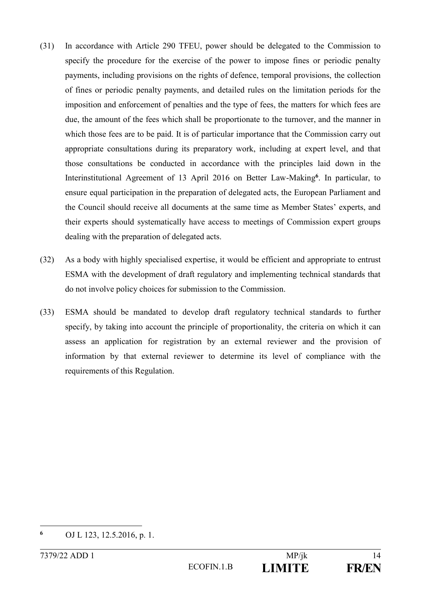- (31) In accordance with Article 290 TFEU, power should be delegated to the Commission to specify the procedure for the exercise of the power to impose fines or periodic penalty payments, including provisions on the rights of defence, temporal provisions, the collection of fines or periodic penalty payments, and detailed rules on the limitation periods for the imposition and enforcement of penalties and the type of fees, the matters for which fees are due, the amount of the fees which shall be proportionate to the turnover, and the manner in which those fees are to be paid. It is of particular importance that the Commission carry out appropriate consultations during its preparatory work, including at expert level, and that those consultations be conducted in accordance with the principles laid down in the Interinstitutional Agreement of 13 April 2016 on Better Law-Making**<sup>6</sup>** . In particular, to ensure equal participation in the preparation of delegated acts, the European Parliament and the Council should receive all documents at the same time as Member States' experts, and their experts should systematically have access to meetings of Commission expert groups dealing with the preparation of delegated acts.
- (32) As a body with highly specialised expertise, it would be efficient and appropriate to entrust ESMA with the development of draft regulatory and implementing technical standards that do not involve policy choices for submission to the Commission.
- (33) ESMA should be mandated to develop draft regulatory technical standards to further specify, by taking into account the principle of proportionality, the criteria on which it can assess an application for registration by an external reviewer and the provision of information by that external reviewer to determine its level of compliance with the requirements of this Regulation.

<u>.</u>

**<sup>6</sup>** OJ L 123, 12.5.2016, p. 1.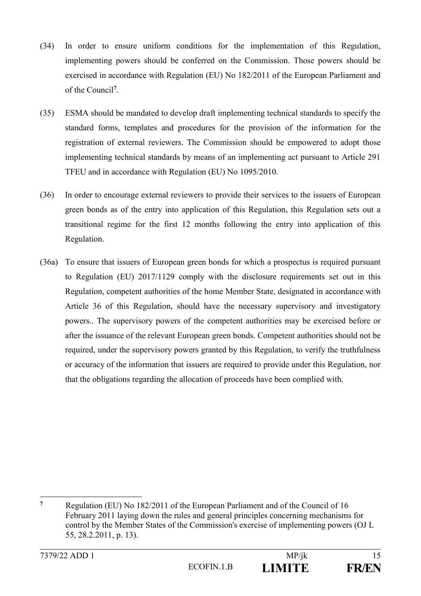- (34) In order to ensure uniform conditions for the implementation of this Regulation, implementing powers should be conferred on the Commission. Those powers should be exercised in accordance with Regulation (EU) No 182/2011 of the European Parliament and of the Council**<sup>7</sup>** .
- (35) ESMA should be mandated to develop draft implementing technical standards to specify the standard forms, templates and procedures for the provision of the information for the registration of external reviewers. The Commission should be empowered to adopt those implementing technical standards by means of an implementing act pursuant to Article 291 TFEU and in accordance with Regulation (EU) No 1095/2010.
- (36) In order to encourage external reviewers to provide their services to the issuers of European green bonds as of the entry into application of this Regulation, this Regulation sets out a transitional regime for the first 12 months following the entry into application of this Regulation.
- (36a) To ensure that issuers of European green bonds for which a prospectus is required pursuant to Regulation (EU) 2017/1129 comply with the disclosure requirements set out in this Regulation, competent authorities of the home Member State, designated in accordance with Article 36 of this Regulation, should have the necessary supervisory and investigatory powers.. The supervisory powers of the competent authorities may be exercised before or after the issuance of the relevant European green bonds. Competent authorities should not be required, under the supervisory powers granted by this Regulation, to verify the truthfulness or accuracy of the information that issuers are required to provide under this Regulation, nor that the obligations regarding the allocation of proceeds have been complied with.

 $\overline{7}$ **<sup>7</sup>** Regulation (EU) No 182/2011 of the European Parliament and of the Council of 16 February 2011 laying down the rules and general principles concerning mechanisms for control by the Member States of the Commission's exercise of implementing powers (OJ L 55, 28.2.2011, p. 13).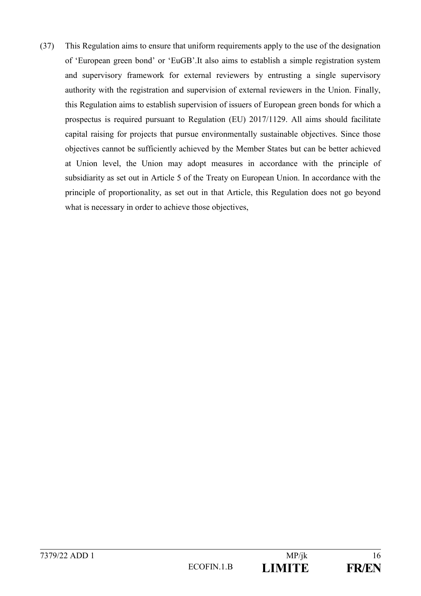(37) This Regulation aims to ensure that uniform requirements apply to the use of the designation of 'European green bond' or 'EuGB'.It also aims to establish a simple registration system and supervisory framework for external reviewers by entrusting a single supervisory authority with the registration and supervision of external reviewers in the Union. Finally, this Regulation aims to establish supervision of issuers of European green bonds for which a prospectus is required pursuant to Regulation (EU) 2017/1129. All aims should facilitate capital raising for projects that pursue environmentally sustainable objectives. Since those objectives cannot be sufficiently achieved by the Member States but can be better achieved at Union level, the Union may adopt measures in accordance with the principle of subsidiarity as set out in Article 5 of the Treaty on European Union. In accordance with the principle of proportionality, as set out in that Article, this Regulation does not go beyond what is necessary in order to achieve those objectives,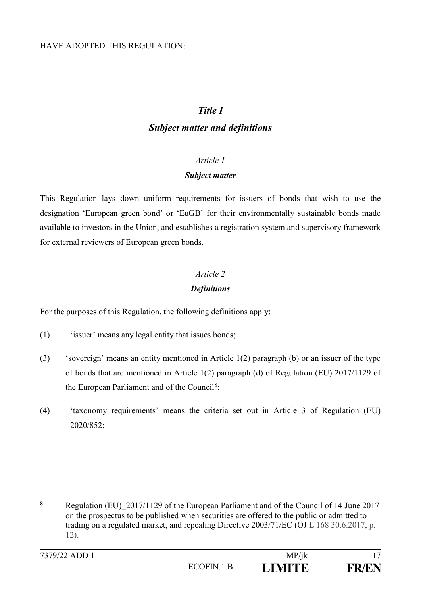# *Title I*

### *Subject matter and definitions*

#### *Article 1*

#### *Subject matter*

This Regulation lays down uniform requirements for issuers of bonds that wish to use the designation 'European green bond' or 'EuGB' for their environmentally sustainable bonds made available to investors in the Union, and establishes a registration system and supervisory framework for external reviewers of European green bonds.

#### *Article 2*

#### *Definitions*

For the purposes of this Regulation, the following definitions apply:

- (1) 'issuer' means any legal entity that issues bonds;
- (3) 'sovereign' means an entity mentioned in Article 1(2) paragraph (b) or an issuer of the type of bonds that are mentioned in Article 1(2) paragraph (d) of Regulation (EU) 2017/1129 of the European Parliament and of the Council<sup>8</sup>;
- (4) 'taxonomy requirements' means the criteria set out in Article 3 of Regulation (EU) 2020/852;

 $\bf{8}$ **<sup>8</sup>** Regulation (EU)\_2017/1129 of the European Parliament and of the Council of 14 June 2017 on the prospectus to be published when securities are offered to the public or admitted to trading on a regulated market, and repealing Directive 2003/71/EC (OJ L 168 30.6.2017, p. 12).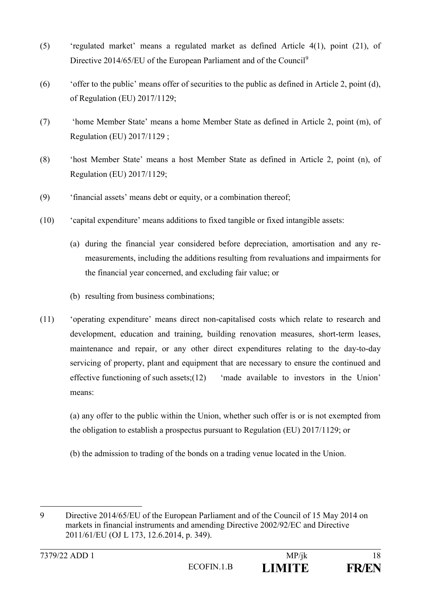- (5) 'regulated market' means a regulated market as defined Article 4(1), point (21), of Directive 2014/65/EU of the European Parliament and of the Council<sup>9</sup>
- (6) 'offer to the public' means offer of securities to the public as defined in Article 2, point (d), of Regulation (EU) 2017/1129;
- (7) 'home Member State' means a home Member State as defined in Article 2, point (m), of Regulation (EU) 2017/1129 ;
- (8) 'host Member State' means a host Member State as defined in Article 2, point (n), of Regulation (EU) 2017/1129;
- (9) 'financial assets' means debt or equity, or a combination thereof;
- (10) 'capital expenditure' means additions to fixed tangible or fixed intangible assets:
	- (a) during the financial year considered before depreciation, amortisation and any remeasurements, including the additions resulting from revaluations and impairments for the financial year concerned, and excluding fair value; or
	- (b) resulting from business combinations;
- (11) 'operating expenditure' means direct non-capitalised costs which relate to research and development, education and training, building renovation measures, short-term leases, maintenance and repair, or any other direct expenditures relating to the day-to-day servicing of property, plant and equipment that are necessary to ensure the continued and effective functioning of such assets;(12) 'made available to investors in the Union' means:

(a) any offer to the public within the Union, whether such offer is or is not exempted from the obligation to establish a prospectus pursuant to Regulation (EU) 2017/1129; or

(b) the admission to trading of the bonds on a trading venue located in the Union.

<sup>9</sup> Directive 2014/65/EU of the European Parliament and of the Council of 15 May 2014 on markets in financial instruments and amending Directive 2002/92/EC and Directive 2011/61/EU (OJ L 173, 12.6.2014, p. 349).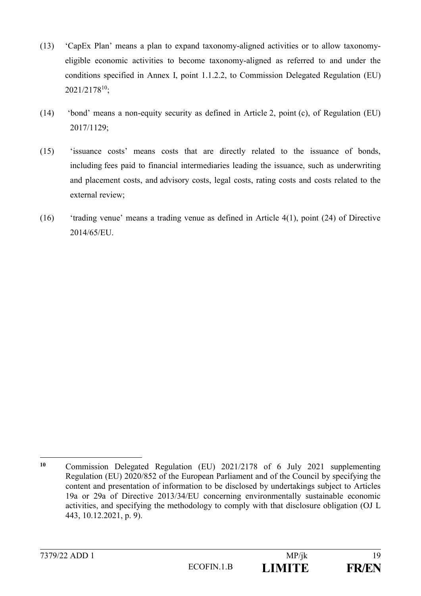- (13) 'CapEx Plan' means a plan to expand taxonomy-aligned activities or to allow taxonomyeligible economic activities to become taxonomy-aligned as referred to and under the conditions specified in Annex I, point 1.1.2.2, to Commission Delegated Regulation (EU)  $2021/2178^{10}$ ;
- (14) 'bond' means a non-equity security as defined in Article 2, point (c), of Regulation (EU) 2017/1129;
- (15) 'issuance costs' means costs that are directly related to the issuance of bonds, including fees paid to financial intermediaries leading the issuance, such as underwriting and placement costs, and advisory costs, legal costs, rating costs and costs related to the external review;
- (16) 'trading venue' means a trading venue as defined in Article 4(1), point (24) of Directive 2014/65/EU.

 $10$ **<sup>10</sup>** Commission Delegated Regulation (EU) 2021/2178 of 6 July 2021 supplementing Regulation (EU) 2020/852 of the European Parliament and of the Council by specifying the content and presentation of information to be disclosed by undertakings subject to Articles 19a or 29a of Directive 2013/34/EU concerning environmentally sustainable economic activities, and specifying the methodology to comply with that disclosure obligation (OJ L 443, 10.12.2021, p. 9).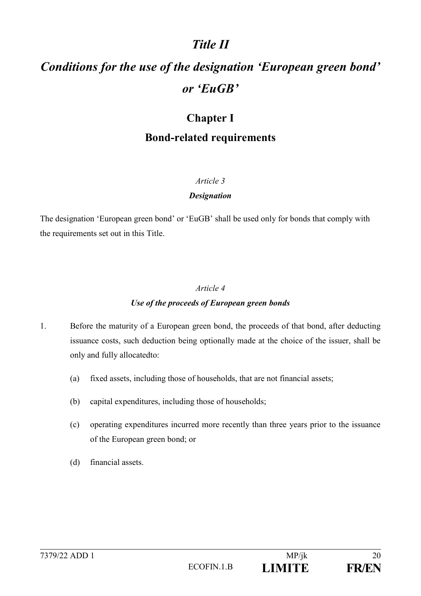# *Title II*

# *Conditions for the use of the designation 'European green bond' or 'EuGB'*

# **Chapter I Bond-related requirements**

#### *Article 3*

#### *Designation*

The designation 'European green bond' or 'EuGB' shall be used only for bonds that comply with the requirements set out in this Title.

#### *Article 4*

### *Use of the proceeds of European green bonds*

- 1. Before the maturity of a European green bond, the proceeds of that bond, after deducting issuance costs, such deduction being optionally made at the choice of the issuer, shall be only and fully allocatedto:
	- (a) fixed assets, including those of households, that are not financial assets;
	- (b) capital expenditures, including those of households;
	- (c) operating expenditures incurred more recently than three years prior to the issuance of the European green bond; or
	- (d) financial assets.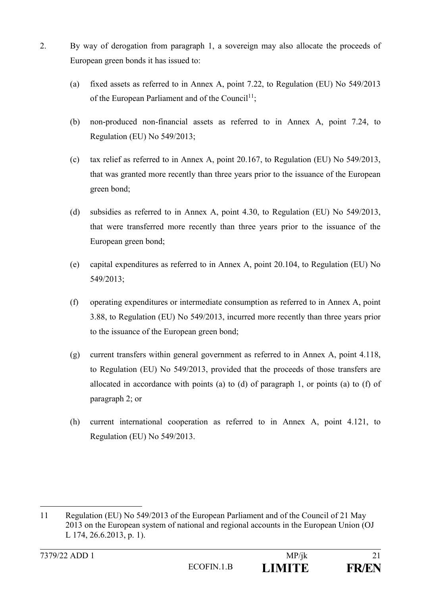- 2. By way of derogation from paragraph 1, a sovereign may also allocate the proceeds of European green bonds it has issued to:
	- (a) fixed assets as referred to in Annex A, point 7.22, to Regulation (EU) No 549/2013 of the European Parliament and of the Council<sup>11</sup>;
	- (b) non-produced non-financial assets as referred to in Annex A, point 7.24, to Regulation (EU) No 549/2013;
	- (c) tax relief as referred to in Annex A, point 20.167, to Regulation (EU) No 549/2013, that was granted more recently than three years prior to the issuance of the European green bond;
	- (d) subsidies as referred to in Annex A, point 4.30, to Regulation (EU) No 549/2013, that were transferred more recently than three years prior to the issuance of the European green bond;
	- (e) capital expenditures as referred to in Annex A, point 20.104, to Regulation (EU) No 549/2013;
	- (f) operating expenditures or intermediate consumption as referred to in Annex A, point 3.88, to Regulation (EU) No 549/2013, incurred more recently than three years prior to the issuance of the European green bond;
	- (g) current transfers within general government as referred to in Annex A, point 4.118, to Regulation (EU) No 549/2013, provided that the proceeds of those transfers are allocated in accordance with points (a) to (d) of paragraph 1, or points (a) to (f) of paragraph 2; or
	- (h) current international cooperation as referred to in Annex A, point 4.121, to Regulation (EU) No 549/2013.

<sup>11</sup> Regulation (EU) No 549/2013 of the European Parliament and of the Council of 21 May 2013 on the European system of national and regional accounts in the European Union (OJ L 174, 26.6.2013, p. 1).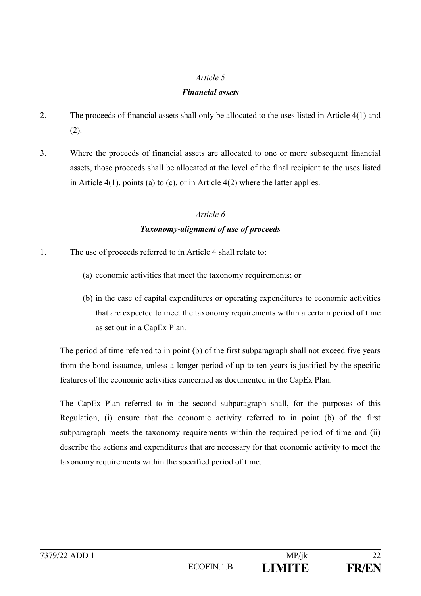#### *Financial assets*

- 2. The proceeds of financial assets shall only be allocated to the uses listed in Article 4(1) and (2).
- 3. Where the proceeds of financial assets are allocated to one or more subsequent financial assets, those proceeds shall be allocated at the level of the final recipient to the uses listed in Article 4(1), points (a) to (c), or in Article 4(2) where the latter applies.

### *Article 6 Taxonomy-alignment of use of proceeds*

- 1. The use of proceeds referred to in Article 4 shall relate to:
	- (a) economic activities that meet the taxonomy requirements; or
	- (b) in the case of capital expenditures or operating expenditures to economic activities that are expected to meet the taxonomy requirements within a certain period of time as set out in a CapEx Plan.

The period of time referred to in point (b) of the first subparagraph shall not exceed five years from the bond issuance, unless a longer period of up to ten years is justified by the specific features of the economic activities concerned as documented in the CapEx Plan.

The CapEx Plan referred to in the second subparagraph shall, for the purposes of this Regulation, (i) ensure that the economic activity referred to in point (b) of the first subparagraph meets the taxonomy requirements within the required period of time and (ii) describe the actions and expenditures that are necessary for that economic activity to meet the taxonomy requirements within the specified period of time.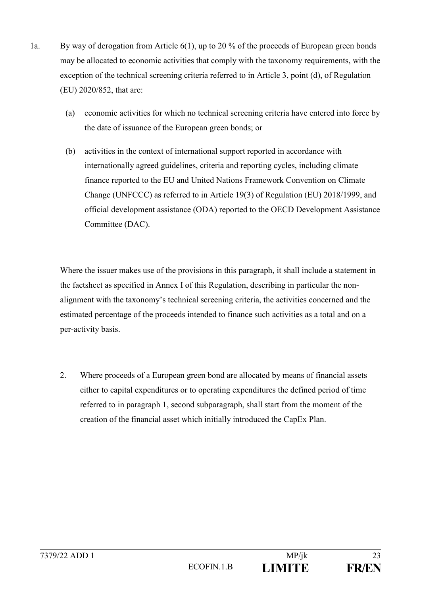- 1a. By way of derogation from Article 6(1), up to 20 % of the proceeds of European green bonds may be allocated to economic activities that comply with the taxonomy requirements, with the exception of the technical screening criteria referred to in Article 3, point (d), of Regulation (EU) 2020/852, that are:
	- (a) economic activities for which no technical screening criteria have entered into force by the date of issuance of the European green bonds; or
	- (b) activities in the context of international support reported in accordance with internationally agreed guidelines, criteria and reporting cycles, including climate finance reported to the EU and United Nations Framework Convention on Climate Change (UNFCCC) as referred to in Article 19(3) of Regulation (EU) 2018/1999, and official development assistance (ODA) reported to the OECD Development Assistance Committee (DAC).

Where the issuer makes use of the provisions in this paragraph, it shall include a statement in the factsheet as specified in Annex I of this Regulation, describing in particular the nonalignment with the taxonomy's technical screening criteria, the activities concerned and the estimated percentage of the proceeds intended to finance such activities as a total and on a per-activity basis.

2. Where proceeds of a European green bond are allocated by means of financial assets either to capital expenditures or to operating expenditures the defined period of time referred to in paragraph 1, second subparagraph, shall start from the moment of the creation of the financial asset which initially introduced the CapEx Plan.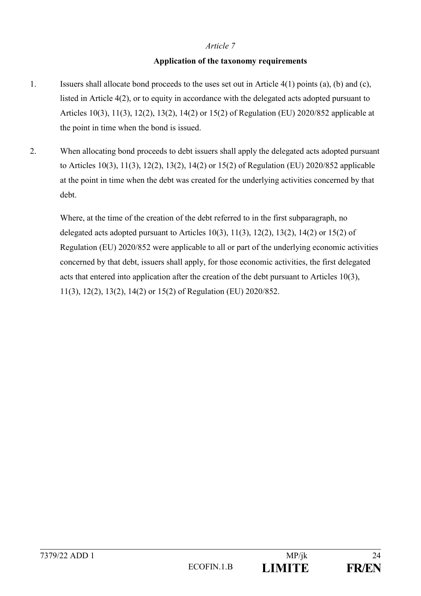#### **Application of the taxonomy requirements**

- 1. Issuers shall allocate bond proceeds to the uses set out in Article 4(1) points (a), (b) and (c), listed in Article 4(2), or to equity in accordance with the delegated acts adopted pursuant to Articles 10(3), 11(3), 12(2), 13(2), 14(2) or 15(2) of Regulation (EU) 2020/852 applicable at the point in time when the bond is issued.
- 2. When allocating bond proceeds to debt issuers shall apply the delegated acts adopted pursuant to Articles 10(3), 11(3), 12(2), 13(2), 14(2) or 15(2) of Regulation (EU) 2020/852 applicable at the point in time when the debt was created for the underlying activities concerned by that debt.

Where, at the time of the creation of the debt referred to in the first subparagraph, no delegated acts adopted pursuant to Articles  $10(3)$ ,  $11(3)$ ,  $12(2)$ ,  $13(2)$ ,  $14(2)$  or  $15(2)$  of Regulation (EU) 2020/852 were applicable to all or part of the underlying economic activities concerned by that debt, issuers shall apply, for those economic activities, the first delegated acts that entered into application after the creation of the debt pursuant to Articles 10(3), 11(3), 12(2), 13(2), 14(2) or 15(2) of Regulation (EU) 2020/852.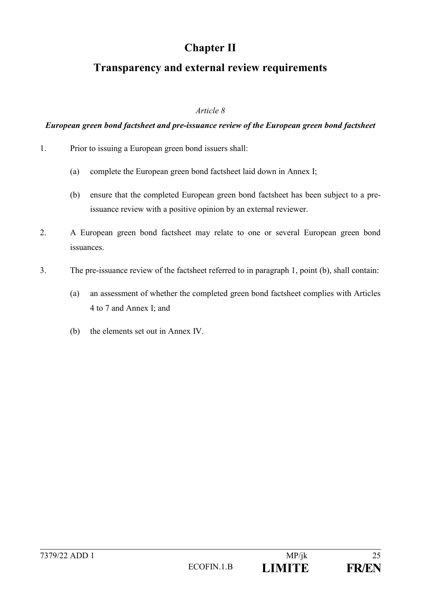# **Chapter II**

## **Transparency and external review requirements**

#### *Article 8*

#### *European green bond factsheet and pre-issuance review of the European green bond factsheet*

- 1. Prior to issuing a European green bond issuers shall:
	- (a) complete the European green bond factsheet laid down in Annex I;
	- (b) ensure that the completed European green bond factsheet has been subject to a preissuance review with a positive opinion by an external reviewer.
- 2. A European green bond factsheet may relate to one or several European green bond issuances.
- 3. The pre-issuance review of the factsheet referred to in paragraph 1, point (b), shall contain:
	- (a) an assessment of whether the completed green bond factsheet complies with Articles 4 to 7 and Annex I; and
	- (b) the elements set out in Annex IV.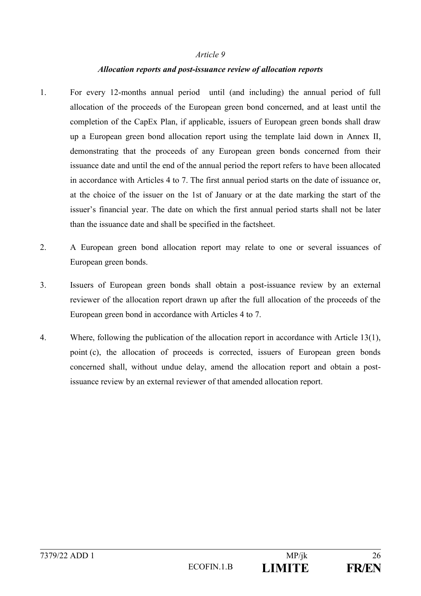#### *Allocation reports and post-issuance review of allocation reports*

- 1. For every 12-months annual period until (and including) the annual period of full allocation of the proceeds of the European green bond concerned, and at least until the completion of the CapEx Plan, if applicable, issuers of European green bonds shall draw up a European green bond allocation report using the template laid down in Annex II, demonstrating that the proceeds of any European green bonds concerned from their issuance date and until the end of the annual period the report refers to have been allocated in accordance with Articles 4 to 7. The first annual period starts on the date of issuance or, at the choice of the issuer on the 1st of January or at the date marking the start of the issuer's financial year. The date on which the first annual period starts shall not be later than the issuance date and shall be specified in the factsheet.
- 2. A European green bond allocation report may relate to one or several issuances of European green bonds.
- 3. Issuers of European green bonds shall obtain a post-issuance review by an external reviewer of the allocation report drawn up after the full allocation of the proceeds of the European green bond in accordance with Articles 4 to 7.
- 4. Where, following the publication of the allocation report in accordance with Article 13(1), point (c), the allocation of proceeds is corrected, issuers of European green bonds concerned shall, without undue delay, amend the allocation report and obtain a postissuance review by an external reviewer of that amended allocation report.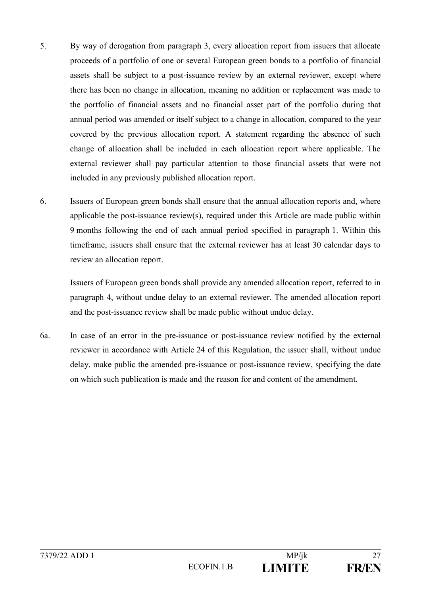- 5. By way of derogation from paragraph 3, every allocation report from issuers that allocate proceeds of a portfolio of one or several European green bonds to a portfolio of financial assets shall be subject to a post-issuance review by an external reviewer, except where there has been no change in allocation, meaning no addition or replacement was made to the portfolio of financial assets and no financial asset part of the portfolio during that annual period was amended or itself subject to a change in allocation, compared to the year covered by the previous allocation report. A statement regarding the absence of such change of allocation shall be included in each allocation report where applicable. The external reviewer shall pay particular attention to those financial assets that were not included in any previously published allocation report.
- 6. Issuers of European green bonds shall ensure that the annual allocation reports and, where applicable the post-issuance review(s), required under this Article are made public within 9 months following the end of each annual period specified in paragraph 1. Within this timeframe, issuers shall ensure that the external reviewer has at least 30 calendar days to review an allocation report.

Issuers of European green bonds shall provide any amended allocation report, referred to in paragraph 4, without undue delay to an external reviewer. The amended allocation report and the post-issuance review shall be made public without undue delay.

6a. In case of an error in the pre-issuance or post-issuance review notified by the external reviewer in accordance with Article 24 of this Regulation, the issuer shall, without undue delay, make public the amended pre-issuance or post-issuance review, specifying the date on which such publication is made and the reason for and content of the amendment.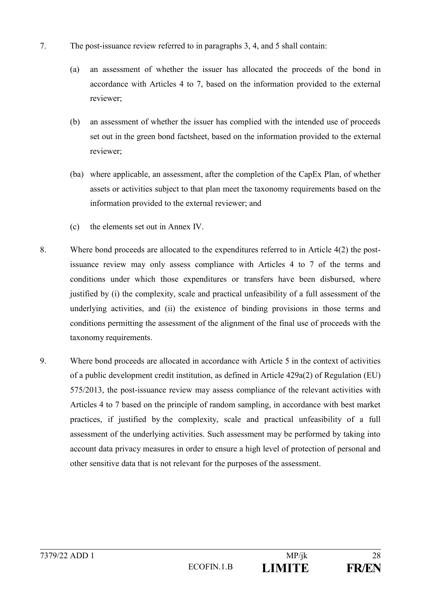- 7. The post-issuance review referred to in paragraphs 3, 4, and 5 shall contain:
	- (a) an assessment of whether the issuer has allocated the proceeds of the bond in accordance with Articles 4 to 7, based on the information provided to the external reviewer;
	- (b) an assessment of whether the issuer has complied with the intended use of proceeds set out in the green bond factsheet, based on the information provided to the external reviewer;
	- (ba) where applicable, an assessment, after the completion of the CapEx Plan, of whether assets or activities subject to that plan meet the taxonomy requirements based on the information provided to the external reviewer; and
	- (c) the elements set out in Annex IV.
- 8. Where bond proceeds are allocated to the expenditures referred to in Article 4(2) the postissuance review may only assess compliance with Articles 4 to 7 of the terms and conditions under which those expenditures or transfers have been disbursed, where justified by (i) the complexity, scale and practical unfeasibility of a full assessment of the underlying activities, and (ii) the existence of binding provisions in those terms and conditions permitting the assessment of the alignment of the final use of proceeds with the taxonomy requirements.
- 9. Where bond proceeds are allocated in accordance with Article 5 in the context of activities of a public development credit institution, as defined in Article 429a(2) of Regulation (EU) 575/2013, the post-issuance review may assess compliance of the relevant activities with Articles 4 to 7 based on the principle of random sampling, in accordance with best market practices, if justified by the complexity, scale and practical unfeasibility of a full assessment of the underlying activities. Such assessment may be performed by taking into account data privacy measures in order to ensure a high level of protection of personal and other sensitive data that is not relevant for the purposes of the assessment.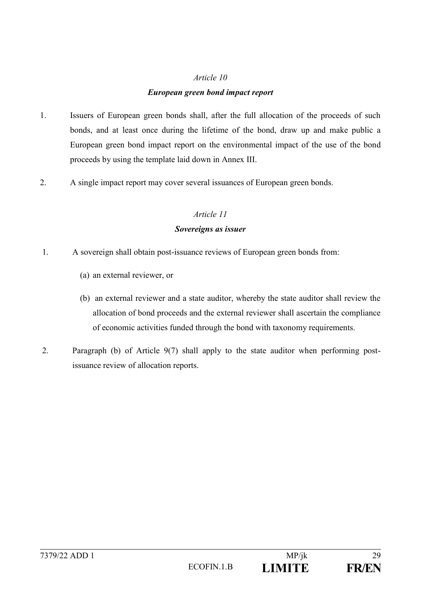#### *European green bond impact report*

- 1. Issuers of European green bonds shall, after the full allocation of the proceeds of such bonds, and at least once during the lifetime of the bond, draw up and make public a European green bond impact report on the environmental impact of the use of the bond proceeds by using the template laid down in Annex III.
- 2. A single impact report may cover several issuances of European green bonds.

#### *Article 11*

#### *Sovereigns as issuer*

- 1. A sovereign shall obtain post-issuance reviews of European green bonds from:
	- (a) an external reviewer, or
	- (b) an external reviewer and a state auditor, whereby the state auditor shall review the allocation of bond proceeds and the external reviewer shall ascertain the compliance of economic activities funded through the bond with taxonomy requirements.
- 2. Paragraph (b) of Article 9(7) shall apply to the state auditor when performing postissuance review of allocation reports.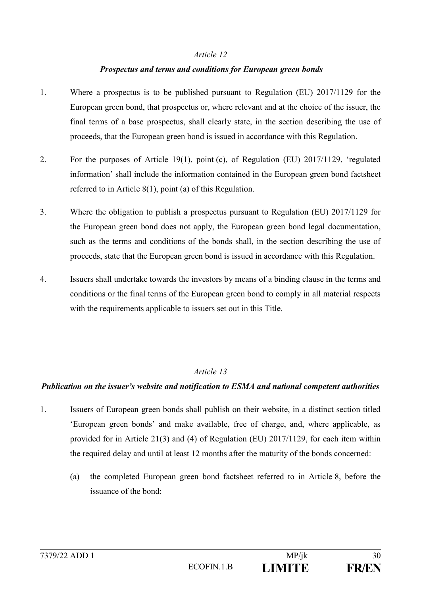#### *Prospectus and terms and conditions for European green bonds*

- 1. Where a prospectus is to be published pursuant to Regulation (EU) 2017/1129 for the European green bond, that prospectus or, where relevant and at the choice of the issuer, the final terms of a base prospectus, shall clearly state, in the section describing the use of proceeds, that the European green bond is issued in accordance with this Regulation.
- 2. For the purposes of Article 19(1), point (c), of Regulation (EU) 2017/1129, 'regulated information' shall include the information contained in the European green bond factsheet referred to in Article 8(1), point (a) of this Regulation.
- 3. Where the obligation to publish a prospectus pursuant to Regulation (EU) 2017/1129 for the European green bond does not apply, the European green bond legal documentation, such as the terms and conditions of the bonds shall, in the section describing the use of proceeds, state that the European green bond is issued in accordance with this Regulation.
- 4. Issuers shall undertake towards the investors by means of a binding clause in the terms and conditions or the final terms of the European green bond to comply in all material respects with the requirements applicable to issuers set out in this Title.

#### *Article 13*

#### *Publication on the issuer's website and notification to ESMA and national competent authorities*

- 1. Issuers of European green bonds shall publish on their website, in a distinct section titled 'European green bonds' and make available, free of charge, and, where applicable, as provided for in Article 21(3) and (4) of Regulation (EU) 2017/1129, for each item within the required delay and until at least 12 months after the maturity of the bonds concerned:
	- (a) the completed European green bond factsheet referred to in Article 8, before the issuance of the bond;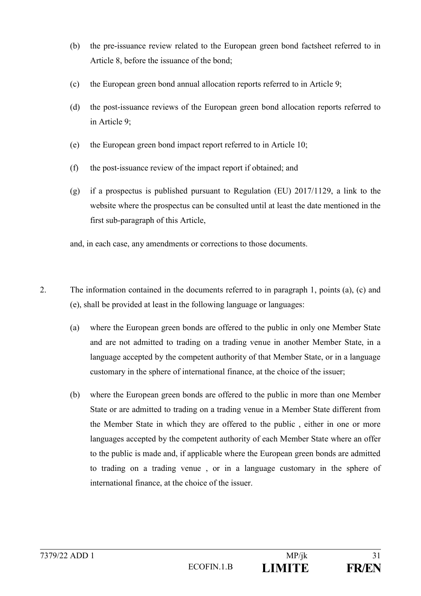- (b) the pre-issuance review related to the European green bond factsheet referred to in Article 8, before the issuance of the bond;
- (c) the European green bond annual allocation reports referred to in Article 9;
- (d) the post-issuance reviews of the European green bond allocation reports referred to in Article 9;
- (e) the European green bond impact report referred to in Article 10;
- (f) the post-issuance review of the impact report if obtained; and
- (g) if a prospectus is published pursuant to Regulation (EU) 2017/1129, a link to the website where the prospectus can be consulted until at least the date mentioned in the first sub-paragraph of this Article,

and, in each case, any amendments or corrections to those documents.

- 2. The information contained in the documents referred to in paragraph 1, points (a), (c) and (e), shall be provided at least in the following language or languages:
	- (a) where the European green bonds are offered to the public in only one Member State and are not admitted to trading on a trading venue in another Member State, in a language accepted by the competent authority of that Member State, or in a language customary in the sphere of international finance, at the choice of the issuer;
	- (b) where the European green bonds are offered to the public in more than one Member State or are admitted to trading on a trading venue in a Member State different from the Member State in which they are offered to the public , either in one or more languages accepted by the competent authority of each Member State where an offer to the public is made and, if applicable where the European green bonds are admitted to trading on a trading venue , or in a language customary in the sphere of international finance, at the choice of the issuer.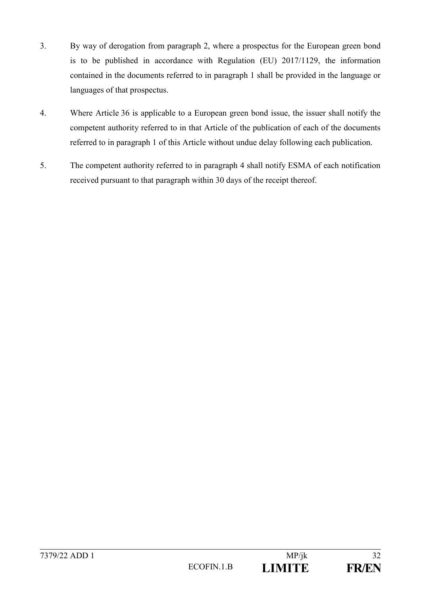- 3. By way of derogation from paragraph 2, where a prospectus for the European green bond is to be published in accordance with Regulation (EU) 2017/1129, the information contained in the documents referred to in paragraph 1 shall be provided in the language or languages of that prospectus.
- 4. Where Article 36 is applicable to a European green bond issue, the issuer shall notify the competent authority referred to in that Article of the publication of each of the documents referred to in paragraph 1 of this Article without undue delay following each publication.
- 5. The competent authority referred to in paragraph 4 shall notify ESMA of each notification received pursuant to that paragraph within 30 days of the receipt thereof.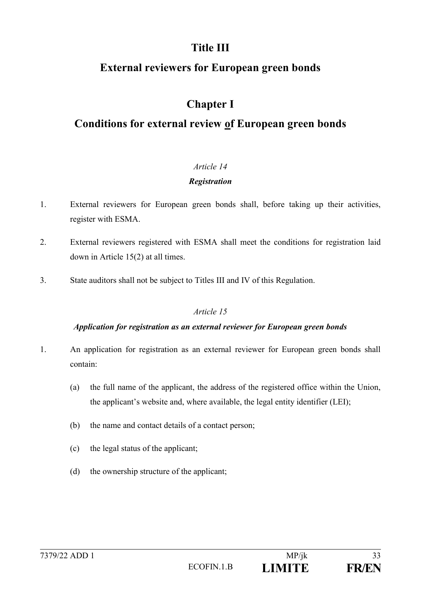## **Title III**

# **External reviewers for European green bonds**

# **Chapter I**

# **Conditions for external review of European green bonds**

### *Article 14*

### *Registration*

- 1. External reviewers for European green bonds shall, before taking up their activities, register with ESMA.
- 2. External reviewers registered with ESMA shall meet the conditions for registration laid down in Article 15(2) at all times.
- 3. State auditors shall not be subject to Titles III and IV of this Regulation.

### *Article 15*

#### *Application for registration as an external reviewer for European green bonds*

- 1. An application for registration as an external reviewer for European green bonds shall contain:
	- (a) the full name of the applicant, the address of the registered office within the Union, the applicant's website and, where available, the legal entity identifier (LEI);
	- (b) the name and contact details of a contact person;
	- (c) the legal status of the applicant;
	- (d) the ownership structure of the applicant;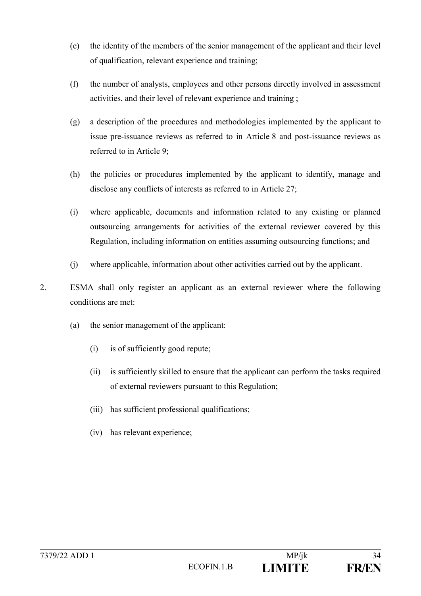- (e) the identity of the members of the senior management of the applicant and their level of qualification, relevant experience and training;
- (f) the number of analysts, employees and other persons directly involved in assessment activities, and their level of relevant experience and training ;
- (g) a description of the procedures and methodologies implemented by the applicant to issue pre-issuance reviews as referred to in Article 8 and post-issuance reviews as referred to in Article 9;
- (h) the policies or procedures implemented by the applicant to identify, manage and disclose any conflicts of interests as referred to in Article 27;
- (i) where applicable, documents and information related to any existing or planned outsourcing arrangements for activities of the external reviewer covered by this Regulation, including information on entities assuming outsourcing functions; and
- (j) where applicable, information about other activities carried out by the applicant.
- 2. ESMA shall only register an applicant as an external reviewer where the following conditions are met:
	- (a) the senior management of the applicant:
		- (i) is of sufficiently good repute;
		- (ii) is sufficiently skilled to ensure that the applicant can perform the tasks required of external reviewers pursuant to this Regulation;
		- (iii) has sufficient professional qualifications;
		- (iv) has relevant experience;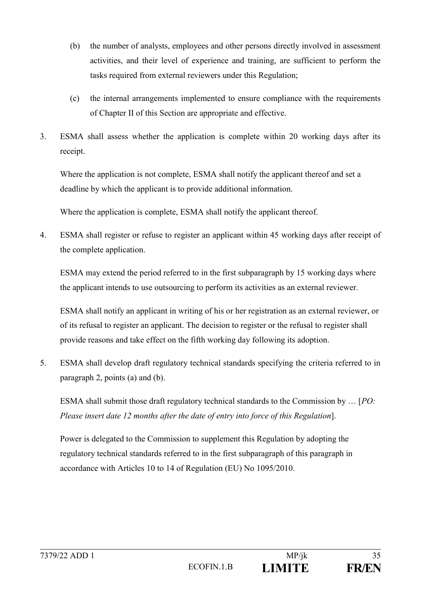- (b) the number of analysts, employees and other persons directly involved in assessment activities, and their level of experience and training, are sufficient to perform the tasks required from external reviewers under this Regulation;
- (c) the internal arrangements implemented to ensure compliance with the requirements of Chapter II of this Section are appropriate and effective.
- 3. ESMA shall assess whether the application is complete within 20 working days after its receipt.

Where the application is not complete, ESMA shall notify the applicant thereof and set a deadline by which the applicant is to provide additional information.

Where the application is complete, ESMA shall notify the applicant thereof.

4. ESMA shall register or refuse to register an applicant within 45 working days after receipt of the complete application.

ESMA may extend the period referred to in the first subparagraph by 15 working days where the applicant intends to use outsourcing to perform its activities as an external reviewer.

ESMA shall notify an applicant in writing of his or her registration as an external reviewer, or of its refusal to register an applicant. The decision to register or the refusal to register shall provide reasons and take effect on the fifth working day following its adoption.

5. ESMA shall develop draft regulatory technical standards specifying the criteria referred to in paragraph 2, points (a) and (b).

ESMA shall submit those draft regulatory technical standards to the Commission by … [*PO: Please insert date 12 months after the date of entry into force of this Regulation*].

Power is delegated to the Commission to supplement this Regulation by adopting the regulatory technical standards referred to in the first subparagraph of this paragraph in accordance with Articles 10 to 14 of Regulation (EU) No 1095/2010.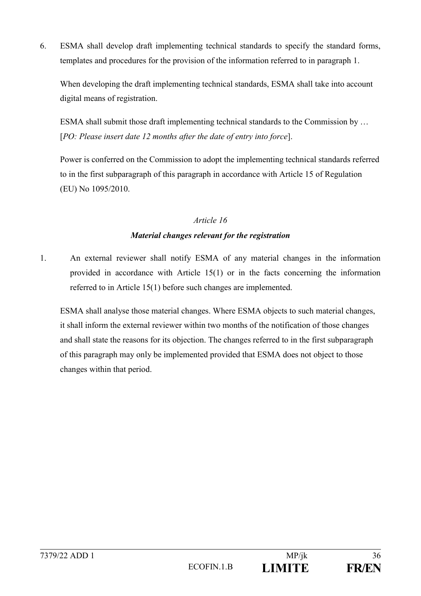6. ESMA shall develop draft implementing technical standards to specify the standard forms, templates and procedures for the provision of the information referred to in paragraph 1.

When developing the draft implementing technical standards, ESMA shall take into account digital means of registration.

ESMA shall submit those draft implementing technical standards to the Commission by … [*PO: Please insert date 12 months after the date of entry into force*].

Power is conferred on the Commission to adopt the implementing technical standards referred to in the first subparagraph of this paragraph in accordance with Article 15 of Regulation (EU) No 1095/2010.

### *Article 16 Material changes relevant for the registration*

1. An external reviewer shall notify ESMA of any material changes in the information provided in accordance with Article 15(1) or in the facts concerning the information referred to in Article 15(1) before such changes are implemented.

ESMA shall analyse those material changes. Where ESMA objects to such material changes, it shall inform the external reviewer within two months of the notification of those changes and shall state the reasons for its objection. The changes referred to in the first subparagraph of this paragraph may only be implemented provided that ESMA does not object to those changes within that period.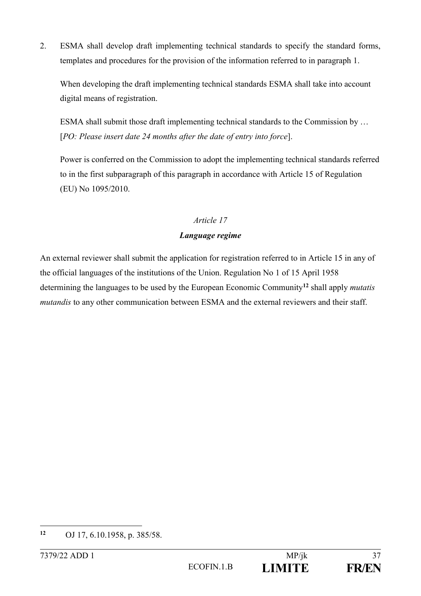2. ESMA shall develop draft implementing technical standards to specify the standard forms, templates and procedures for the provision of the information referred to in paragraph 1.

When developing the draft implementing technical standards ESMA shall take into account digital means of registration.

ESMA shall submit those draft implementing technical standards to the Commission by … [*PO: Please insert date 24 months after the date of entry into force*].

Power is conferred on the Commission to adopt the implementing technical standards referred to in the first subparagraph of this paragraph in accordance with Article 15 of Regulation (EU) No 1095/2010.

## *Article 17*

## *Language regime*

An external reviewer shall submit the application for registration referred to in Article 15 in any of the official languages of the institutions of the Union. Regulation No 1 of 15 April 1958 determining the languages to be used by the European Economic Community**<sup>12</sup>** shall apply *mutatis mutandis* to any other communication between ESMA and the external reviewers and their staff.

 $12$ **<sup>12</sup>** OJ 17, 6.10.1958, p. 385/58.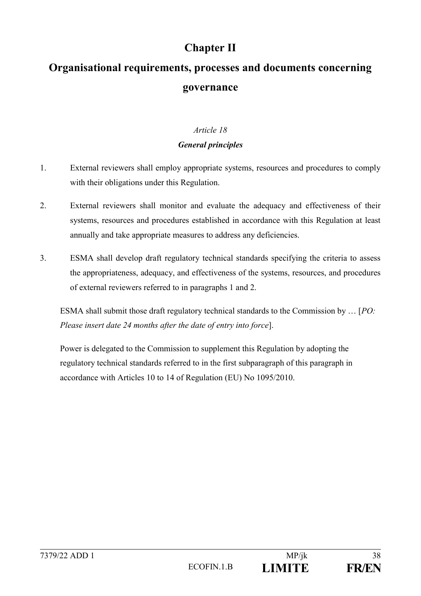# **Chapter II**

# **Organisational requirements, processes and documents concerning governance**

# *Article 18 General principles*

- 1. External reviewers shall employ appropriate systems, resources and procedures to comply with their obligations under this Regulation.
- 2. External reviewers shall monitor and evaluate the adequacy and effectiveness of their systems, resources and procedures established in accordance with this Regulation at least annually and take appropriate measures to address any deficiencies.
- 3. ESMA shall develop draft regulatory technical standards specifying the criteria to assess the appropriateness, adequacy, and effectiveness of the systems, resources, and procedures of external reviewers referred to in paragraphs 1 and 2.

ESMA shall submit those draft regulatory technical standards to the Commission by … [*PO: Please insert date 24 months after the date of entry into force*].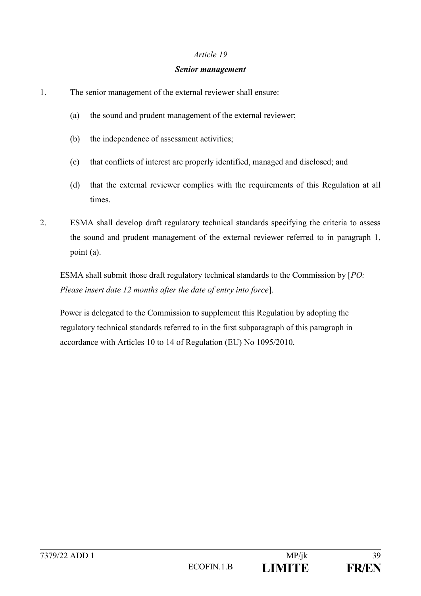#### *Senior management*

- 1. The senior management of the external reviewer shall ensure:
	- (a) the sound and prudent management of the external reviewer;
	- (b) the independence of assessment activities;
	- (c) that conflicts of interest are properly identified, managed and disclosed; and
	- (d) that the external reviewer complies with the requirements of this Regulation at all times.
- 2. ESMA shall develop draft regulatory technical standards specifying the criteria to assess the sound and prudent management of the external reviewer referred to in paragraph 1, point (a).

ESMA shall submit those draft regulatory technical standards to the Commission by [*PO: Please insert date 12 months after the date of entry into force*].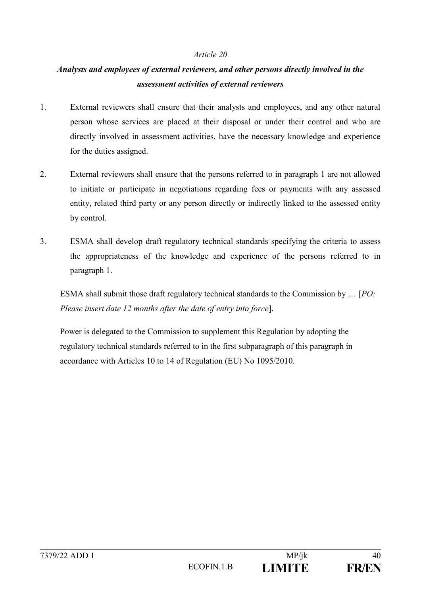# *Analysts and employees of external reviewers, and other persons directly involved in the assessment activities of external reviewers*

- 1. External reviewers shall ensure that their analysts and employees, and any other natural person whose services are placed at their disposal or under their control and who are directly involved in assessment activities, have the necessary knowledge and experience for the duties assigned.
- 2. External reviewers shall ensure that the persons referred to in paragraph 1 are not allowed to initiate or participate in negotiations regarding fees or payments with any assessed entity, related third party or any person directly or indirectly linked to the assessed entity by control.
- 3. ESMA shall develop draft regulatory technical standards specifying the criteria to assess the appropriateness of the knowledge and experience of the persons referred to in paragraph 1.

ESMA shall submit those draft regulatory technical standards to the Commission by … [*PO: Please insert date 12 months after the date of entry into force*].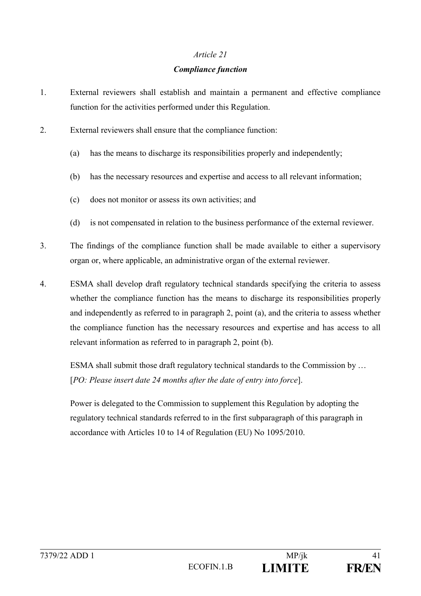## *Compliance function*

- 1. External reviewers shall establish and maintain a permanent and effective compliance function for the activities performed under this Regulation.
- 2. External reviewers shall ensure that the compliance function:
	- (a) has the means to discharge its responsibilities properly and independently;
	- (b) has the necessary resources and expertise and access to all relevant information;
	- (c) does not monitor or assess its own activities; and
	- (d) is not compensated in relation to the business performance of the external reviewer.
- 3. The findings of the compliance function shall be made available to either a supervisory organ or, where applicable, an administrative organ of the external reviewer.
- 4. ESMA shall develop draft regulatory technical standards specifying the criteria to assess whether the compliance function has the means to discharge its responsibilities properly and independently as referred to in paragraph 2, point (a), and the criteria to assess whether the compliance function has the necessary resources and expertise and has access to all relevant information as referred to in paragraph 2, point (b).

ESMA shall submit those draft regulatory technical standards to the Commission by … [*PO: Please insert date 24 months after the date of entry into force*].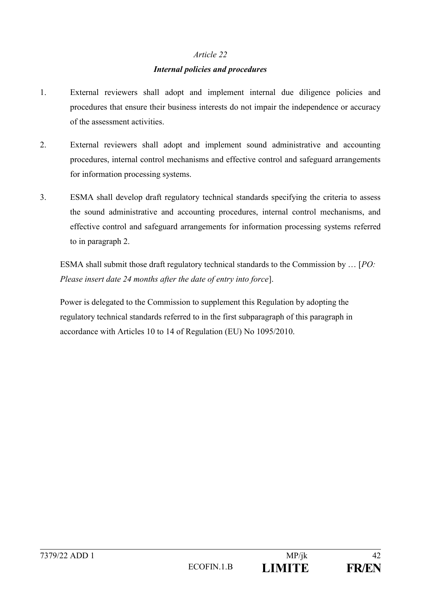## *Internal policies and procedures*

- 1. External reviewers shall adopt and implement internal due diligence policies and procedures that ensure their business interests do not impair the independence or accuracy of the assessment activities.
- 2. External reviewers shall adopt and implement sound administrative and accounting procedures, internal control mechanisms and effective control and safeguard arrangements for information processing systems.
- 3. ESMA shall develop draft regulatory technical standards specifying the criteria to assess the sound administrative and accounting procedures, internal control mechanisms, and effective control and safeguard arrangements for information processing systems referred to in paragraph 2.

ESMA shall submit those draft regulatory technical standards to the Commission by … [*PO: Please insert date 24 months after the date of entry into force*].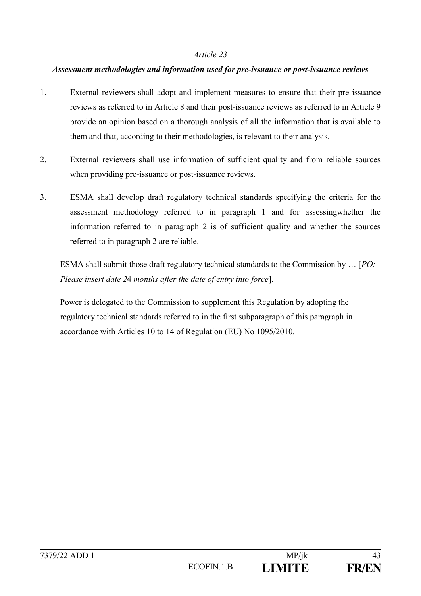## *Assessment methodologies and information used for pre-issuance or post-issuance reviews*

- 1. External reviewers shall adopt and implement measures to ensure that their pre-issuance reviews as referred to in Article 8 and their post-issuance reviews as referred to in Article 9 provide an opinion based on a thorough analysis of all the information that is available to them and that, according to their methodologies, is relevant to their analysis.
- 2. External reviewers shall use information of sufficient quality and from reliable sources when providing pre-issuance or post-issuance reviews.
- 3. ESMA shall develop draft regulatory technical standards specifying the criteria for the assessment methodology referred to in paragraph 1 and for assessingwhether the information referred to in paragraph 2 is of sufficient quality and whether the sources referred to in paragraph 2 are reliable.

ESMA shall submit those draft regulatory technical standards to the Commission by … [*PO: Please insert date 2*4 *months after the date of entry into force*].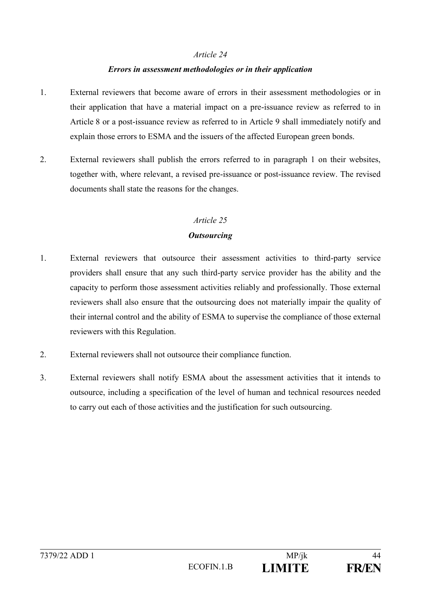## *Errors in assessment methodologies or in their application*

- 1. External reviewers that become aware of errors in their assessment methodologies or in their application that have a material impact on a pre-issuance review as referred to in Article 8 or a post-issuance review as referred to in Article 9 shall immediately notify and explain those errors to ESMA and the issuers of the affected European green bonds.
- 2. External reviewers shall publish the errors referred to in paragraph 1 on their websites, together with, where relevant, a revised pre-issuance or post-issuance review. The revised documents shall state the reasons for the changes.

## *Article 25*

## *Outsourcing*

- 1. External reviewers that outsource their assessment activities to third-party service providers shall ensure that any such third-party service provider has the ability and the capacity to perform those assessment activities reliably and professionally. Those external reviewers shall also ensure that the outsourcing does not materially impair the quality of their internal control and the ability of ESMA to supervise the compliance of those external reviewers with this Regulation.
- 2. External reviewers shall not outsource their compliance function.
- 3. External reviewers shall notify ESMA about the assessment activities that it intends to outsource, including a specification of the level of human and technical resources needed to carry out each of those activities and the justification for such outsourcing.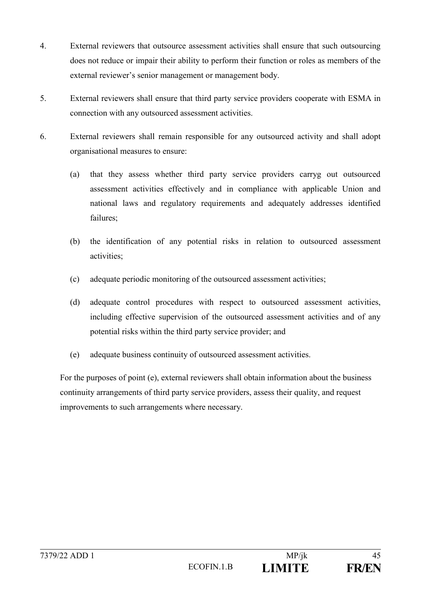- 4. External reviewers that outsource assessment activities shall ensure that such outsourcing does not reduce or impair their ability to perform their function or roles as members of the external reviewer's senior management or management body.
- 5. External reviewers shall ensure that third party service providers cooperate with ESMA in connection with any outsourced assessment activities.
- 6. External reviewers shall remain responsible for any outsourced activity and shall adopt organisational measures to ensure:
	- (a) that they assess whether third party service providers carryg out outsourced assessment activities effectively and in compliance with applicable Union and national laws and regulatory requirements and adequately addresses identified failures;
	- (b) the identification of any potential risks in relation to outsourced assessment activities;
	- (c) adequate periodic monitoring of the outsourced assessment activities;
	- (d) adequate control procedures with respect to outsourced assessment activities, including effective supervision of the outsourced assessment activities and of any potential risks within the third party service provider; and
	- (e) adequate business continuity of outsourced assessment activities.

For the purposes of point (e), external reviewers shall obtain information about the business continuity arrangements of third party service providers, assess their quality, and request improvements to such arrangements where necessary.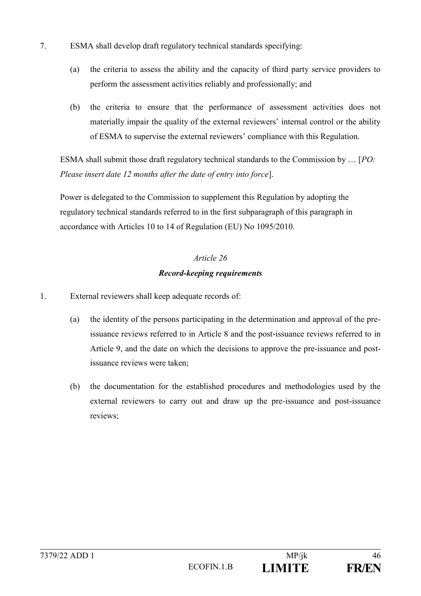- 7. ESMA shall develop draft regulatory technical standards specifying:
	- (a) the criteria to assess the ability and the capacity of third party service providers to perform the assessment activities reliably and professionally; and
	- (b) the criteria to ensure that the performance of assessment activities does not materially impair the quality of the external reviewers' internal control or the ability of ESMA to supervise the external reviewers' compliance with this Regulation.

ESMA shall submit those draft regulatory technical standards to the Commission by … [*PO: Please insert date 12 months after the date of entry into force*].

Power is delegated to the Commission to supplement this Regulation by adopting the regulatory technical standards referred to in the first subparagraph of this paragraph in accordance with Articles 10 to 14 of Regulation (EU) No 1095/2010.

# *Article 26 Record-keeping requirements*

- 1. External reviewers shall keep adequate records of:
	- (a) the identity of the persons participating in the determination and approval of the preissuance reviews referred to in Article 8 and the post-issuance reviews referred to in Article 9, and the date on which the decisions to approve the pre-issuance and postissuance reviews were taken;
	- (b) the documentation for the established procedures and methodologies used by the external reviewers to carry out and draw up the pre-issuance and post-issuance reviews;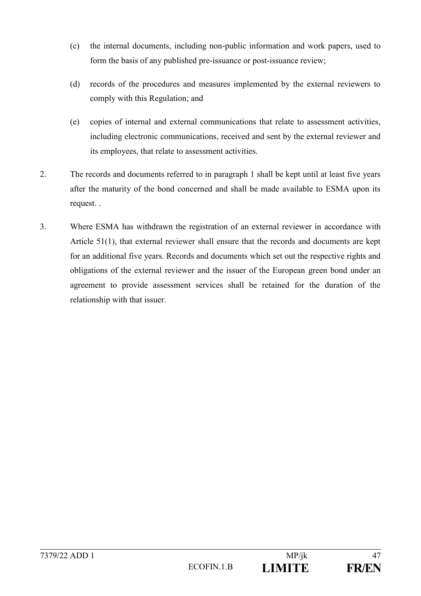- (c) the internal documents, including non-public information and work papers, used to form the basis of any published pre-issuance or post-issuance review;
- (d) records of the procedures and measures implemented by the external reviewers to comply with this Regulation; and
- (e) copies of internal and external communications that relate to assessment activities, including electronic communications, received and sent by the external reviewer and its employees, that relate to assessment activities.
- 2. The records and documents referred to in paragraph 1 shall be kept until at least five years after the maturity of the bond concerned and shall be made available to ESMA upon its request. .
- 3. Where ESMA has withdrawn the registration of an external reviewer in accordance with Article 51(1), that external reviewer shall ensure that the records and documents are kept for an additional five years. Records and documents which set out the respective rights and obligations of the external reviewer and the issuer of the European green bond under an agreement to provide assessment services shall be retained for the duration of the relationship with that issuer.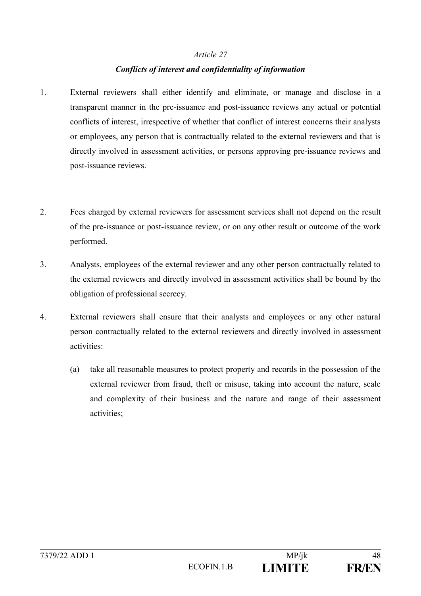## *Conflicts of interest and confidentiality of information*

- 1. External reviewers shall either identify and eliminate, or manage and disclose in a transparent manner in the pre-issuance and post-issuance reviews any actual or potential conflicts of interest, irrespective of whether that conflict of interest concerns their analysts or employees, any person that is contractually related to the external reviewers and that is directly involved in assessment activities, or persons approving pre-issuance reviews and post-issuance reviews.
- 2. Fees charged by external reviewers for assessment services shall not depend on the result of the pre-issuance or post-issuance review, or on any other result or outcome of the work performed.
- 3. Analysts, employees of the external reviewer and any other person contractually related to the external reviewers and directly involved in assessment activities shall be bound by the obligation of professional secrecy.
- 4. External reviewers shall ensure that their analysts and employees or any other natural person contractually related to the external reviewers and directly involved in assessment activities:
	- (a) take all reasonable measures to protect property and records in the possession of the external reviewer from fraud, theft or misuse, taking into account the nature, scale and complexity of their business and the nature and range of their assessment activities;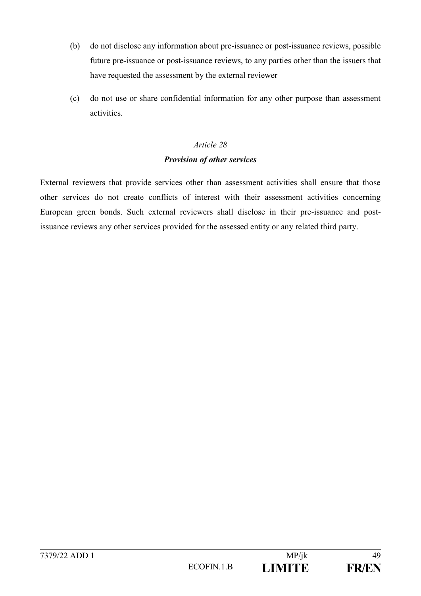- (b) do not disclose any information about pre-issuance or post-issuance reviews, possible future pre-issuance or post-issuance reviews, to any parties other than the issuers that have requested the assessment by the external reviewer
- (c) do not use or share confidential information for any other purpose than assessment activities.

## *Provision of other services*

External reviewers that provide services other than assessment activities shall ensure that those other services do not create conflicts of interest with their assessment activities concerning European green bonds. Such external reviewers shall disclose in their pre-issuance and postissuance reviews any other services provided for the assessed entity or any related third party.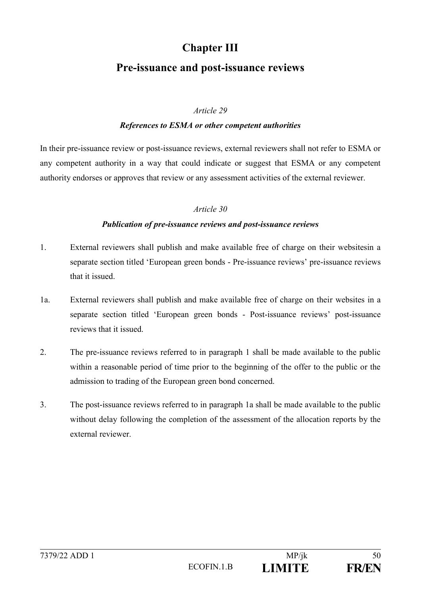# **Chapter III**

# **Pre-issuance and post-issuance reviews**

#### *Article 29*

## *References to ESMA or other competent authorities*

In their pre-issuance review or post-issuance reviews, external reviewers shall not refer to ESMA or any competent authority in a way that could indicate or suggest that ESMA or any competent authority endorses or approves that review or any assessment activities of the external reviewer.

## *Article 30*

## *Publication of pre-issuance reviews and post-issuance reviews*

- 1. External reviewers shall publish and make available free of charge on their websitesin a separate section titled 'European green bonds - Pre-issuance reviews' pre-issuance reviews that it issued.
- 1a. External reviewers shall publish and make available free of charge on their websites in a separate section titled 'European green bonds - Post-issuance reviews' post-issuance reviews that it issued.
- 2. The pre-issuance reviews referred to in paragraph 1 shall be made available to the public within a reasonable period of time prior to the beginning of the offer to the public or the admission to trading of the European green bond concerned.
- 3. The post-issuance reviews referred to in paragraph 1a shall be made available to the public without delay following the completion of the assessment of the allocation reports by the external reviewer.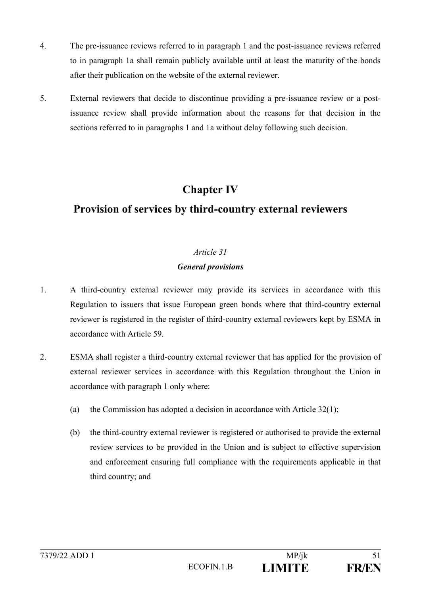- 4. The pre-issuance reviews referred to in paragraph 1 and the post-issuance reviews referred to in paragraph 1a shall remain publicly available until at least the maturity of the bonds after their publication on the website of the external reviewer.
- 5. External reviewers that decide to discontinue providing a pre-issuance review or a postissuance review shall provide information about the reasons for that decision in the sections referred to in paragraphs 1 and 1a without delay following such decision.

# **Chapter IV**

# **Provision of services by third-country external reviewers**

## *Article 31*

## *General provisions*

- 1. A third-country external reviewer may provide its services in accordance with this Regulation to issuers that issue European green bonds where that third-country external reviewer is registered in the register of third-country external reviewers kept by ESMA in accordance with Article 59.
- 2. ESMA shall register a third-country external reviewer that has applied for the provision of external reviewer services in accordance with this Regulation throughout the Union in accordance with paragraph 1 only where:
	- (a) the Commission has adopted a decision in accordance with Article  $32(1)$ ;
	- (b) the third-country external reviewer is registered or authorised to provide the external review services to be provided in the Union and is subject to effective supervision and enforcement ensuring full compliance with the requirements applicable in that third country; and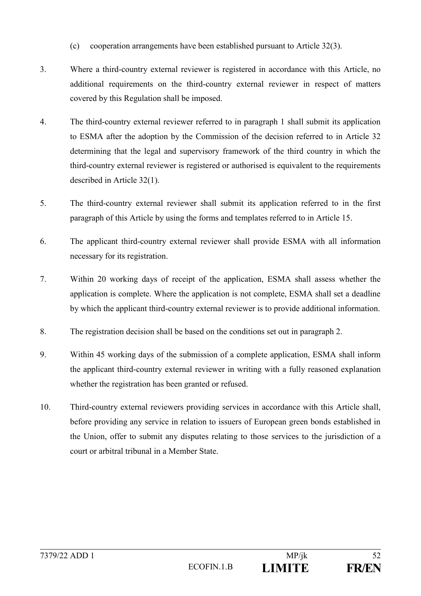- (c) cooperation arrangements have been established pursuant to Article 32(3).
- 3. Where a third-country external reviewer is registered in accordance with this Article, no additional requirements on the third-country external reviewer in respect of matters covered by this Regulation shall be imposed.
- 4. The third-country external reviewer referred to in paragraph 1 shall submit its application to ESMA after the adoption by the Commission of the decision referred to in Article 32 determining that the legal and supervisory framework of the third country in which the third-country external reviewer is registered or authorised is equivalent to the requirements described in Article 32(1).
- 5. The third-country external reviewer shall submit its application referred to in the first paragraph of this Article by using the forms and templates referred to in Article 15.
- 6. The applicant third-country external reviewer shall provide ESMA with all information necessary for its registration.
- 7. Within 20 working days of receipt of the application, ESMA shall assess whether the application is complete. Where the application is not complete, ESMA shall set a deadline by which the applicant third-country external reviewer is to provide additional information.
- 8. The registration decision shall be based on the conditions set out in paragraph 2.
- 9. Within 45 working days of the submission of a complete application, ESMA shall inform the applicant third-country external reviewer in writing with a fully reasoned explanation whether the registration has been granted or refused.
- 10. Third-country external reviewers providing services in accordance with this Article shall, before providing any service in relation to issuers of European green bonds established in the Union, offer to submit any disputes relating to those services to the jurisdiction of a court or arbitral tribunal in a Member State.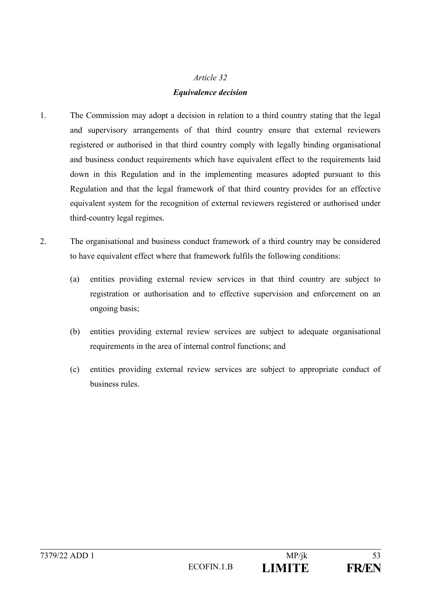## *Article 32 Equivalence decision*

- 1. The Commission may adopt a decision in relation to a third country stating that the legal and supervisory arrangements of that third country ensure that external reviewers registered or authorised in that third country comply with legally binding organisational and business conduct requirements which have equivalent effect to the requirements laid down in this Regulation and in the implementing measures adopted pursuant to this Regulation and that the legal framework of that third country provides for an effective equivalent system for the recognition of external reviewers registered or authorised under third-country legal regimes.
- 2. The organisational and business conduct framework of a third country may be considered to have equivalent effect where that framework fulfils the following conditions:
	- (a) entities providing external review services in that third country are subject to registration or authorisation and to effective supervision and enforcement on an ongoing basis;
	- (b) entities providing external review services are subject to adequate organisational requirements in the area of internal control functions; and
	- (c) entities providing external review services are subject to appropriate conduct of business rules.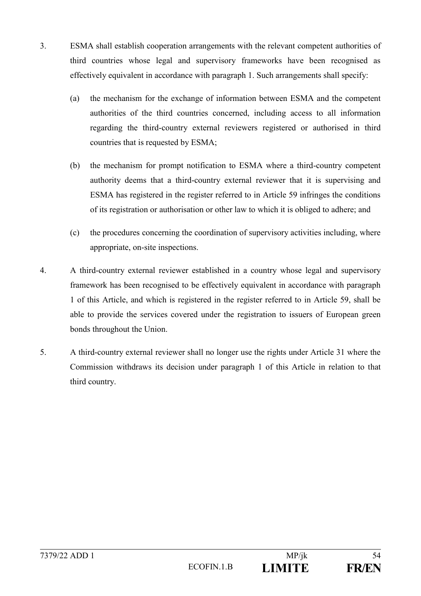- 3. ESMA shall establish cooperation arrangements with the relevant competent authorities of third countries whose legal and supervisory frameworks have been recognised as effectively equivalent in accordance with paragraph 1. Such arrangements shall specify:
	- (a) the mechanism for the exchange of information between ESMA and the competent authorities of the third countries concerned, including access to all information regarding the third-country external reviewers registered or authorised in third countries that is requested by ESMA;
	- (b) the mechanism for prompt notification to ESMA where a third-country competent authority deems that a third-country external reviewer that it is supervising and ESMA has registered in the register referred to in Article 59 infringes the conditions of its registration or authorisation or other law to which it is obliged to adhere; and
	- (c) the procedures concerning the coordination of supervisory activities including, where appropriate, on-site inspections.
- 4. A third-country external reviewer established in a country whose legal and supervisory framework has been recognised to be effectively equivalent in accordance with paragraph 1 of this Article, and which is registered in the register referred to in Article 59, shall be able to provide the services covered under the registration to issuers of European green bonds throughout the Union.
- 5. A third-country external reviewer shall no longer use the rights under Article 31 where the Commission withdraws its decision under paragraph 1 of this Article in relation to that third country.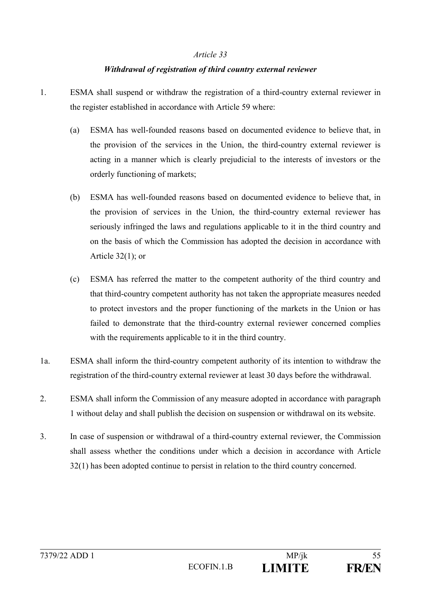## *Withdrawal of registration of third country external reviewer*

- 1. ESMA shall suspend or withdraw the registration of a third-country external reviewer in the register established in accordance with Article 59 where:
	- (a) ESMA has well-founded reasons based on documented evidence to believe that, in the provision of the services in the Union, the third-country external reviewer is acting in a manner which is clearly prejudicial to the interests of investors or the orderly functioning of markets;
	- (b) ESMA has well-founded reasons based on documented evidence to believe that, in the provision of services in the Union, the third-country external reviewer has seriously infringed the laws and regulations applicable to it in the third country and on the basis of which the Commission has adopted the decision in accordance with Article  $32(1)$ ; or
	- (c) ESMA has referred the matter to the competent authority of the third country and that third-country competent authority has not taken the appropriate measures needed to protect investors and the proper functioning of the markets in the Union or has failed to demonstrate that the third-country external reviewer concerned complies with the requirements applicable to it in the third country.
- 1a. ESMA shall inform the third-country competent authority of its intention to withdraw the registration of the third-country external reviewer at least 30 days before the withdrawal.
- 2. ESMA shall inform the Commission of any measure adopted in accordance with paragraph 1 without delay and shall publish the decision on suspension or withdrawal on its website.
- 3. In case of suspension or withdrawal of a third-country external reviewer, the Commission shall assess whether the conditions under which a decision in accordance with Article 32(1) has been adopted continue to persist in relation to the third country concerned.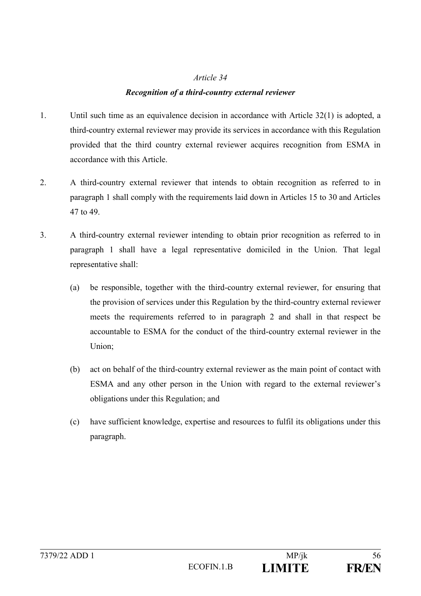#### *Recognition of a third-country external reviewer*

- 1. Until such time as an equivalence decision in accordance with Article 32(1) is adopted, a third-country external reviewer may provide its services in accordance with this Regulation provided that the third country external reviewer acquires recognition from ESMA in accordance with this Article.
- 2. A third-country external reviewer that intends to obtain recognition as referred to in paragraph 1 shall comply with the requirements laid down in Articles 15 to 30 and Articles 47 to 49.
- 3. A third-country external reviewer intending to obtain prior recognition as referred to in paragraph 1 shall have a legal representative domiciled in the Union. That legal representative shall:
	- (a) be responsible, together with the third-country external reviewer, for ensuring that the provision of services under this Regulation by the third-country external reviewer meets the requirements referred to in paragraph 2 and shall in that respect be accountable to ESMA for the conduct of the third-country external reviewer in the Union;
	- (b) act on behalf of the third-country external reviewer as the main point of contact with ESMA and any other person in the Union with regard to the external reviewer's obligations under this Regulation; and
	- (c) have sufficient knowledge, expertise and resources to fulfil its obligations under this paragraph.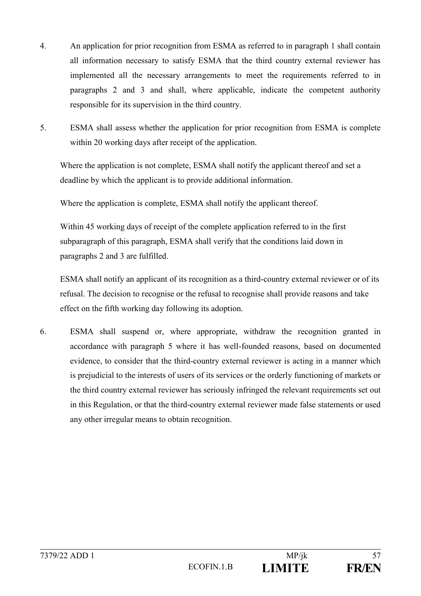- 4. An application for prior recognition from ESMA as referred to in paragraph 1 shall contain all information necessary to satisfy ESMA that the third country external reviewer has implemented all the necessary arrangements to meet the requirements referred to in paragraphs 2 and 3 and shall, where applicable, indicate the competent authority responsible for its supervision in the third country.
- 5. ESMA shall assess whether the application for prior recognition from ESMA is complete within 20 working days after receipt of the application.

Where the application is not complete, ESMA shall notify the applicant thereof and set a deadline by which the applicant is to provide additional information.

Where the application is complete, ESMA shall notify the applicant thereof.

Within 45 working days of receipt of the complete application referred to in the first subparagraph of this paragraph, ESMA shall verify that the conditions laid down in paragraphs 2 and 3 are fulfilled.

ESMA shall notify an applicant of its recognition as a third-country external reviewer or of its refusal. The decision to recognise or the refusal to recognise shall provide reasons and take effect on the fifth working day following its adoption.

6. ESMA shall suspend or, where appropriate, withdraw the recognition granted in accordance with paragraph 5 where it has well-founded reasons, based on documented evidence, to consider that the third-country external reviewer is acting in a manner which is prejudicial to the interests of users of its services or the orderly functioning of markets or the third country external reviewer has seriously infringed the relevant requirements set out in this Regulation, or that the third-country external reviewer made false statements or used any other irregular means to obtain recognition.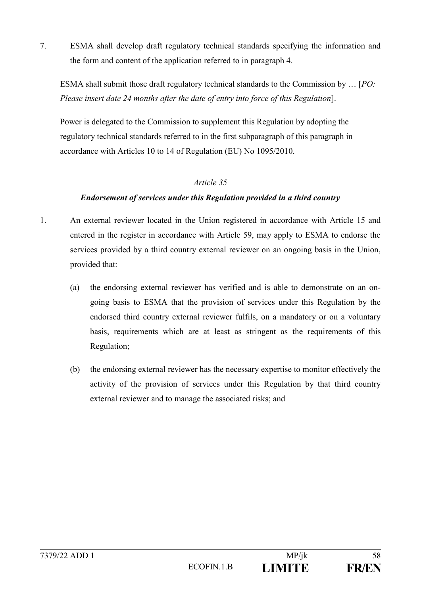7. ESMA shall develop draft regulatory technical standards specifying the information and the form and content of the application referred to in paragraph 4.

ESMA shall submit those draft regulatory technical standards to the Commission by … [*PO: Please insert date 24 months after the date of entry into force of this Regulation*].

Power is delegated to the Commission to supplement this Regulation by adopting the regulatory technical standards referred to in the first subparagraph of this paragraph in accordance with Articles 10 to 14 of Regulation (EU) No 1095/2010.

## *Article 35*

## *Endorsement of services under this Regulation provided in a third country*

- 1. An external reviewer located in the Union registered in accordance with Article 15 and entered in the register in accordance with Article 59, may apply to ESMA to endorse the services provided by a third country external reviewer on an ongoing basis in the Union, provided that:
	- (a) the endorsing external reviewer has verified and is able to demonstrate on an ongoing basis to ESMA that the provision of services under this Regulation by the endorsed third country external reviewer fulfils, on a mandatory or on a voluntary basis, requirements which are at least as stringent as the requirements of this Regulation;
	- (b) the endorsing external reviewer has the necessary expertise to monitor effectively the activity of the provision of services under this Regulation by that third country external reviewer and to manage the associated risks; and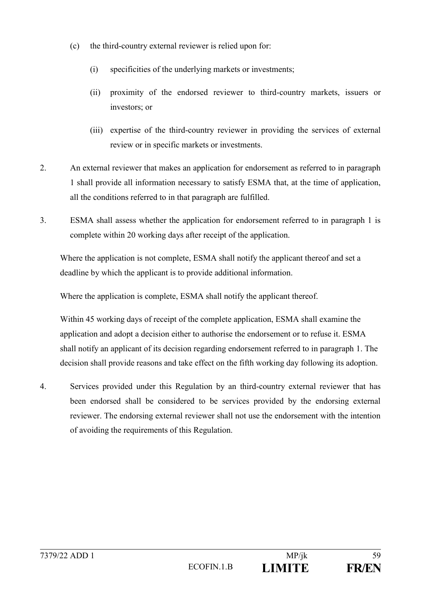- (c) the third-country external reviewer is relied upon for:
	- (i) specificities of the underlying markets or investments;
	- (ii) proximity of the endorsed reviewer to third-country markets, issuers or investors; or
	- (iii) expertise of the third-country reviewer in providing the services of external review or in specific markets or investments.
- 2. An external reviewer that makes an application for endorsement as referred to in paragraph 1 shall provide all information necessary to satisfy ESMA that, at the time of application, all the conditions referred to in that paragraph are fulfilled.
- 3. ESMA shall assess whether the application for endorsement referred to in paragraph 1 is complete within 20 working days after receipt of the application.

Where the application is not complete, ESMA shall notify the applicant thereof and set a deadline by which the applicant is to provide additional information.

Where the application is complete, ESMA shall notify the applicant thereof.

Within 45 working days of receipt of the complete application, ESMA shall examine the application and adopt a decision either to authorise the endorsement or to refuse it. ESMA shall notify an applicant of its decision regarding endorsement referred to in paragraph 1. The decision shall provide reasons and take effect on the fifth working day following its adoption.

4. Services provided under this Regulation by an third-country external reviewer that has been endorsed shall be considered to be services provided by the endorsing external reviewer. The endorsing external reviewer shall not use the endorsement with the intention of avoiding the requirements of this Regulation.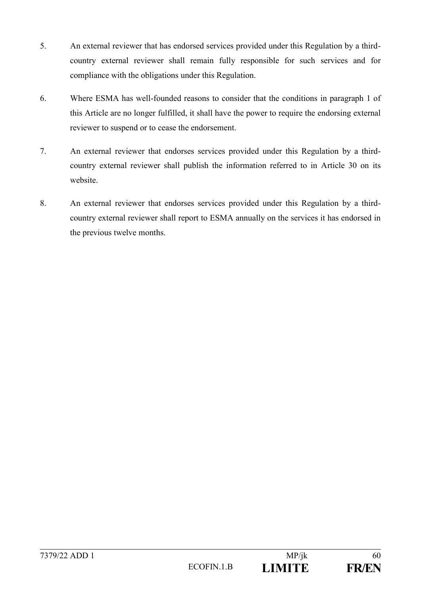- 5. An external reviewer that has endorsed services provided under this Regulation by a thirdcountry external reviewer shall remain fully responsible for such services and for compliance with the obligations under this Regulation.
- 6. Where ESMA has well-founded reasons to consider that the conditions in paragraph 1 of this Article are no longer fulfilled, it shall have the power to require the endorsing external reviewer to suspend or to cease the endorsement.
- 7. An external reviewer that endorses services provided under this Regulation by a thirdcountry external reviewer shall publish the information referred to in Article 30 on its website.
- 8. An external reviewer that endorses services provided under this Regulation by a thirdcountry external reviewer shall report to ESMA annually on the services it has endorsed in the previous twelve months.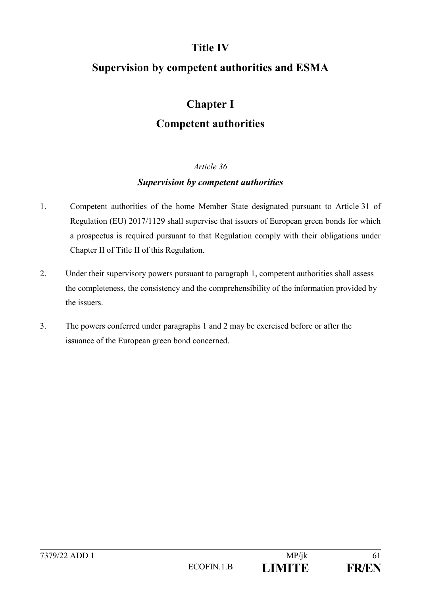# **Title IV**

# **Supervision by competent authorities and ESMA**

# **Chapter I**

# **Competent authorities**

## *Article 36*

## *Supervision by competent authorities*

- 1. Competent authorities of the home Member State designated pursuant to Article 31 of Regulation (EU) 2017/1129 shall supervise that issuers of European green bonds for which a prospectus is required pursuant to that Regulation comply with their obligations under Chapter II of Title II of this Regulation.
- 2. Under their supervisory powers pursuant to paragraph 1, competent authorities shall assess the completeness, the consistency and the comprehensibility of the information provided by the issuers.
- 3. The powers conferred under paragraphs 1 and 2 may be exercised before or after the issuance of the European green bond concerned.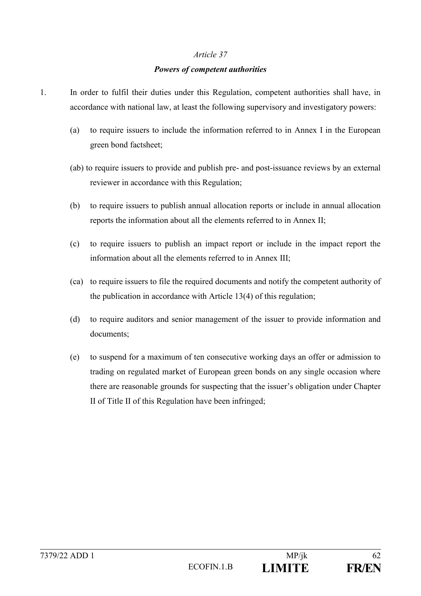## *Powers of competent authorities*

- 1. In order to fulfil their duties under this Regulation, competent authorities shall have, in accordance with national law, at least the following supervisory and investigatory powers:
	- (a) to require issuers to include the information referred to in Annex I in the European green bond factsheet;
	- (ab) to require issuers to provide and publish pre- and post-issuance reviews by an external reviewer in accordance with this Regulation;
	- (b) to require issuers to publish annual allocation reports or include in annual allocation reports the information about all the elements referred to in Annex II;
	- (c) to require issuers to publish an impact report or include in the impact report the information about all the elements referred to in Annex III;
	- (ca) to require issuers to file the required documents and notify the competent authority of the publication in accordance with Article 13(4) of this regulation;
	- (d) to require auditors and senior management of the issuer to provide information and documents;
	- (e) to suspend for a maximum of ten consecutive working days an offer or admission to trading on regulated market of European green bonds on any single occasion where there are reasonable grounds for suspecting that the issuer's obligation under Chapter II of Title II of this Regulation have been infringed;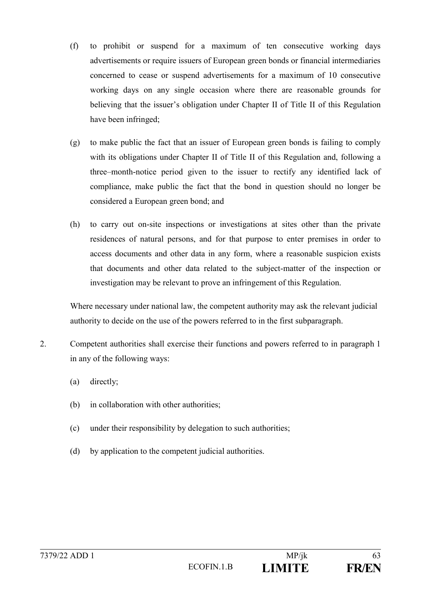- (f) to prohibit or suspend for a maximum of ten consecutive working days advertisements or require issuers of European green bonds or financial intermediaries concerned to cease or suspend advertisements for a maximum of 10 consecutive working days on any single occasion where there are reasonable grounds for believing that the issuer's obligation under Chapter II of Title II of this Regulation have been infringed;
- (g) to make public the fact that an issuer of European green bonds is failing to comply with its obligations under Chapter II of Title II of this Regulation and, following a three–month-notice period given to the issuer to rectify any identified lack of compliance, make public the fact that the bond in question should no longer be considered a European green bond; and
- (h) to carry out on-site inspections or investigations at sites other than the private residences of natural persons, and for that purpose to enter premises in order to access documents and other data in any form, where a reasonable suspicion exists that documents and other data related to the subject-matter of the inspection or investigation may be relevant to prove an infringement of this Regulation.

Where necessary under national law, the competent authority may ask the relevant judicial authority to decide on the use of the powers referred to in the first subparagraph.

- 2. Competent authorities shall exercise their functions and powers referred to in paragraph 1 in any of the following ways:
	- (a) directly;
	- (b) in collaboration with other authorities;
	- (c) under their responsibility by delegation to such authorities;
	- (d) by application to the competent judicial authorities.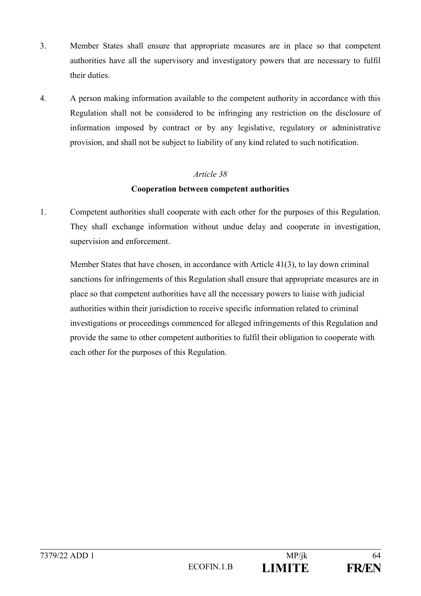- 3. Member States shall ensure that appropriate measures are in place so that competent authorities have all the supervisory and investigatory powers that are necessary to fulfil their duties.
- 4. A person making information available to the competent authority in accordance with this Regulation shall not be considered to be infringing any restriction on the disclosure of information imposed by contract or by any legislative, regulatory or administrative provision, and shall not be subject to liability of any kind related to such notification.

## **Cooperation between competent authorities**

1. Competent authorities shall cooperate with each other for the purposes of this Regulation. They shall exchange information without undue delay and cooperate in investigation, supervision and enforcement.

Member States that have chosen, in accordance with Article 41(3), to lay down criminal sanctions for infringements of this Regulation shall ensure that appropriate measures are in place so that competent authorities have all the necessary powers to liaise with judicial authorities within their jurisdiction to receive specific information related to criminal investigations or proceedings commenced for alleged infringements of this Regulation and provide the same to other competent authorities to fulfil their obligation to cooperate with each other for the purposes of this Regulation.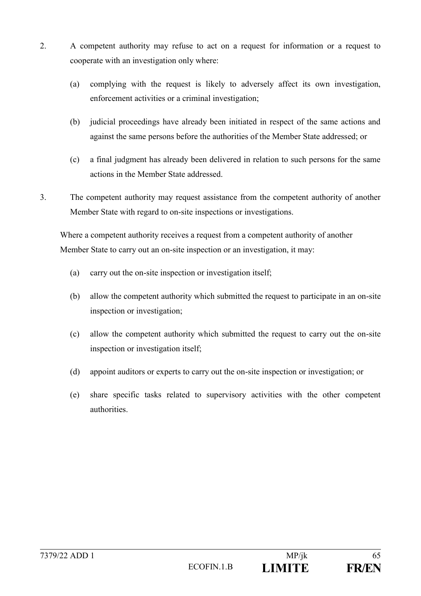- 2. A competent authority may refuse to act on a request for information or a request to cooperate with an investigation only where:
	- (a) complying with the request is likely to adversely affect its own investigation, enforcement activities or a criminal investigation;
	- (b) judicial proceedings have already been initiated in respect of the same actions and against the same persons before the authorities of the Member State addressed; or
	- (c) a final judgment has already been delivered in relation to such persons for the same actions in the Member State addressed.
- 3. The competent authority may request assistance from the competent authority of another Member State with regard to on-site inspections or investigations.

Where a competent authority receives a request from a competent authority of another Member State to carry out an on-site inspection or an investigation, it may:

- (a) carry out the on-site inspection or investigation itself;
- (b) allow the competent authority which submitted the request to participate in an on-site inspection or investigation;
- (c) allow the competent authority which submitted the request to carry out the on-site inspection or investigation itself;
- (d) appoint auditors or experts to carry out the on-site inspection or investigation; or
- (e) share specific tasks related to supervisory activities with the other competent authorities.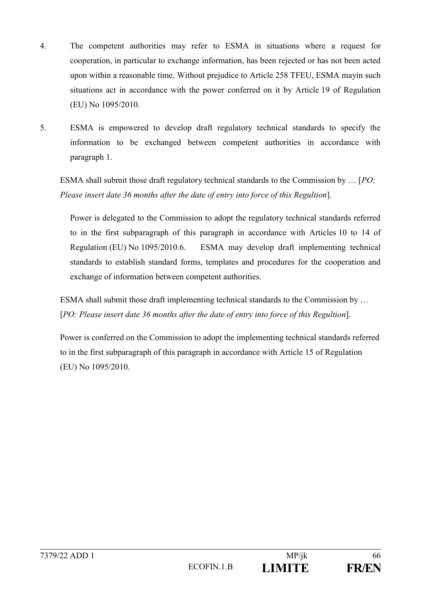- 4. The competent authorities may refer to ESMA in situations where a request for cooperation, in particular to exchange information, has been rejected or has not been acted upon within a reasonable time. Without prejudice to Article 258 TFEU, ESMA mayin such situations act in accordance with the power conferred on it by Article 19 of Regulation (EU) No 1095/2010.
- 5. ESMA is empowered to develop draft regulatory technical standards to specify the information to be exchanged between competent authorities in accordance with paragraph 1.

ESMA shall submit those draft regulatory technical standards to the Commission by … [*PO: Please insert date 36 months after the date of entry into force of this Regultion*].

Power is delegated to the Commission to adopt the regulatory technical standards referred to in the first subparagraph of this paragraph in accordance with Articles 10 to 14 of Regulation (EU) No 1095/2010.6. ESMA may develop draft implementing technical standards to establish standard forms, templates and procedures for the cooperation and exchange of information between competent authorities.

ESMA shall submit those draft implementing technical standards to the Commission by … [*PO: Please insert date 36 months after the date of entry into force of this Regultion*].

Power is conferred on the Commission to adopt the implementing technical standards referred to in the first subparagraph of this paragraph in accordance with Article 15 of Regulation (EU) No 1095/2010.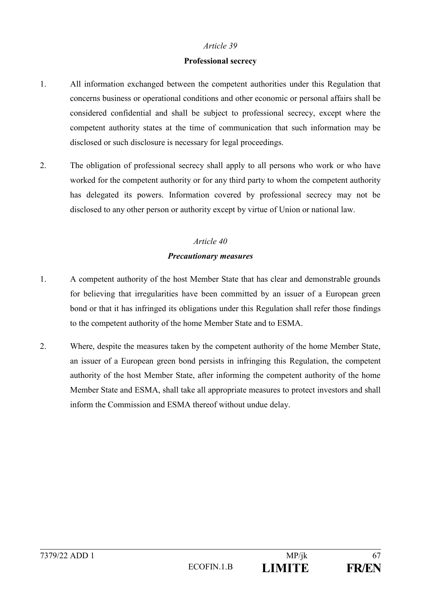#### **Professional secrecy**

- 1. All information exchanged between the competent authorities under this Regulation that concerns business or operational conditions and other economic or personal affairs shall be considered confidential and shall be subject to professional secrecy, except where the competent authority states at the time of communication that such information may be disclosed or such disclosure is necessary for legal proceedings.
- 2. The obligation of professional secrecy shall apply to all persons who work or who have worked for the competent authority or for any third party to whom the competent authority has delegated its powers. Information covered by professional secrecy may not be disclosed to any other person or authority except by virtue of Union or national law.

# *Article 40 Precautionary measures*

- 1. A competent authority of the host Member State that has clear and demonstrable grounds for believing that irregularities have been committed by an issuer of a European green bond or that it has infringed its obligations under this Regulation shall refer those findings to the competent authority of the home Member State and to ESMA.
- 2. Where, despite the measures taken by the competent authority of the home Member State, an issuer of a European green bond persists in infringing this Regulation, the competent authority of the host Member State, after informing the competent authority of the home Member State and ESMA, shall take all appropriate measures to protect investors and shall inform the Commission and ESMA thereof without undue delay.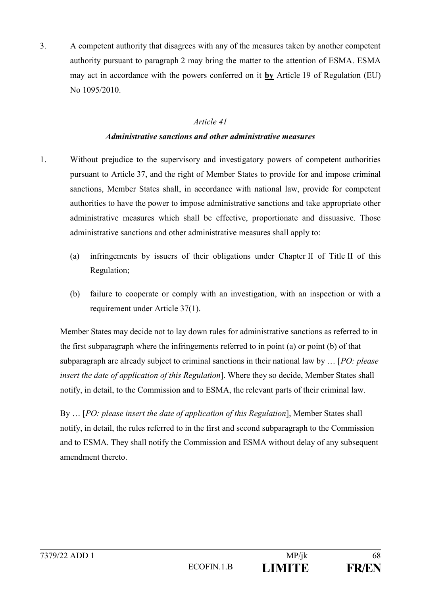3. A competent authority that disagrees with any of the measures taken by another competent authority pursuant to paragraph 2 may bring the matter to the attention of ESMA. ESMA may act in accordance with the powers conferred on it **by** Article 19 of Regulation (EU) No 1095/2010.

## *Article 41*

## *Administrative sanctions and other administrative measures*

- 1. Without prejudice to the supervisory and investigatory powers of competent authorities pursuant to Article 37, and the right of Member States to provide for and impose criminal sanctions, Member States shall, in accordance with national law, provide for competent authorities to have the power to impose administrative sanctions and take appropriate other administrative measures which shall be effective, proportionate and dissuasive. Those administrative sanctions and other administrative measures shall apply to:
	- (a) infringements by issuers of their obligations under Chapter II of Title II of this Regulation;
	- (b) failure to cooperate or comply with an investigation, with an inspection or with a requirement under Article 37(1).

Member States may decide not to lay down rules for administrative sanctions as referred to in the first subparagraph where the infringements referred to in point (a) or point (b) of that subparagraph are already subject to criminal sanctions in their national law by … [*PO: please insert the date of application of this Regulation*]. Where they so decide, Member States shall notify, in detail, to the Commission and to ESMA, the relevant parts of their criminal law.

By … [*PO: please insert the date of application of this Regulation*], Member States shall notify, in detail, the rules referred to in the first and second subparagraph to the Commission and to ESMA. They shall notify the Commission and ESMA without delay of any subsequent amendment thereto.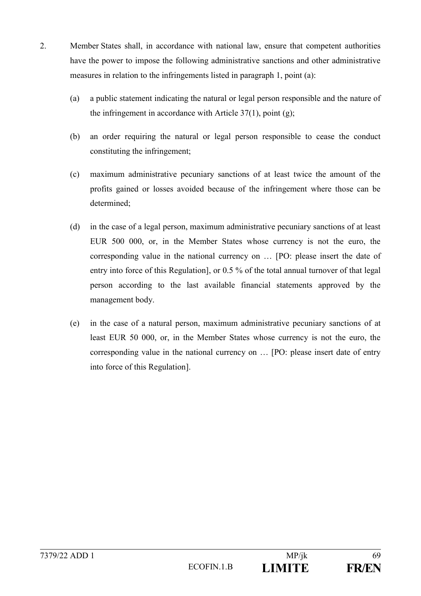- 2. Member States shall, in accordance with national law, ensure that competent authorities have the power to impose the following administrative sanctions and other administrative measures in relation to the infringements listed in paragraph 1, point (a):
	- (a) a public statement indicating the natural or legal person responsible and the nature of the infringement in accordance with Article 37(1), point (g);
	- (b) an order requiring the natural or legal person responsible to cease the conduct constituting the infringement;
	- (c) maximum administrative pecuniary sanctions of at least twice the amount of the profits gained or losses avoided because of the infringement where those can be determined;
	- (d) in the case of a legal person, maximum administrative pecuniary sanctions of at least EUR 500 000, or, in the Member States whose currency is not the euro, the corresponding value in the national currency on … [PO: please insert the date of entry into force of this Regulation], or 0.5 % of the total annual turnover of that legal person according to the last available financial statements approved by the management body.
	- (e) in the case of a natural person, maximum administrative pecuniary sanctions of at least EUR 50 000, or, in the Member States whose currency is not the euro, the corresponding value in the national currency on … [PO: please insert date of entry into force of this Regulation].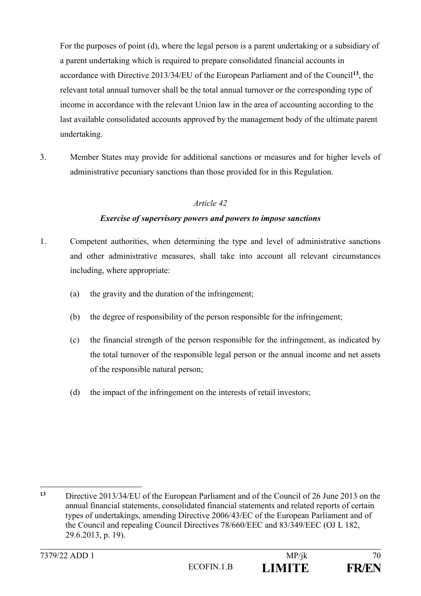For the purposes of point (d), where the legal person is a parent undertaking or a subsidiary of a parent undertaking which is required to prepare consolidated financial accounts in accordance with Directive 2013/34/EU of the European Parliament and of the Council**<sup>13</sup>**, the relevant total annual turnover shall be the total annual turnover or the corresponding type of income in accordance with the relevant Union law in the area of accounting according to the last available consolidated accounts approved by the management body of the ultimate parent undertaking.

3. Member States may provide for additional sanctions or measures and for higher levels of administrative pecuniary sanctions than those provided for in this Regulation.

## *Article 42*

## *Exercise of supervisory powers and powers to impose sanctions*

- 1. Competent authorities, when determining the type and level of administrative sanctions and other administrative measures, shall take into account all relevant circumstances including, where appropriate:
	- (a) the gravity and the duration of the infringement;
	- (b) the degree of responsibility of the person responsible for the infringement;
	- (c) the financial strength of the person responsible for the infringement, as indicated by the total turnover of the responsible legal person or the annual income and net assets of the responsible natural person;
	- (d) the impact of the infringement on the interests of retail investors;

1

**<sup>13</sup>** Directive 2013/34/EU of the European Parliament and of the Council of 26 June 2013 on the annual financial statements, consolidated financial statements and related reports of certain types of undertakings, amending Directive 2006/43/EC of the European Parliament and of the Council and repealing Council Directives 78/660/EEC and 83/349/EEC (OJ L 182, 29.6.2013, p. 19).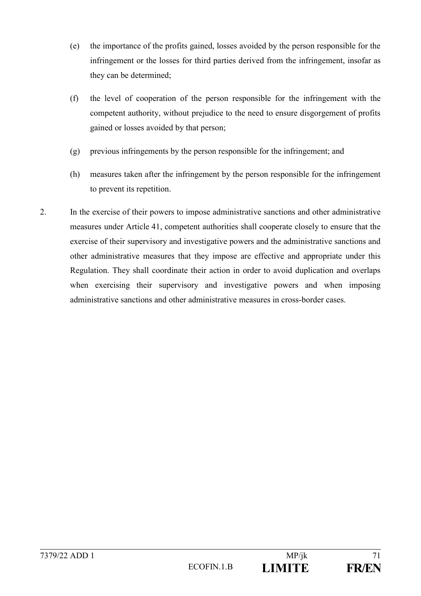- (e) the importance of the profits gained, losses avoided by the person responsible for the infringement or the losses for third parties derived from the infringement, insofar as they can be determined;
- (f) the level of cooperation of the person responsible for the infringement with the competent authority, without prejudice to the need to ensure disgorgement of profits gained or losses avoided by that person;
- (g) previous infringements by the person responsible for the infringement; and
- (h) measures taken after the infringement by the person responsible for the infringement to prevent its repetition.
- 2. In the exercise of their powers to impose administrative sanctions and other administrative measures under Article 41, competent authorities shall cooperate closely to ensure that the exercise of their supervisory and investigative powers and the administrative sanctions and other administrative measures that they impose are effective and appropriate under this Regulation. They shall coordinate their action in order to avoid duplication and overlaps when exercising their supervisory and investigative powers and when imposing administrative sanctions and other administrative measures in cross-border cases.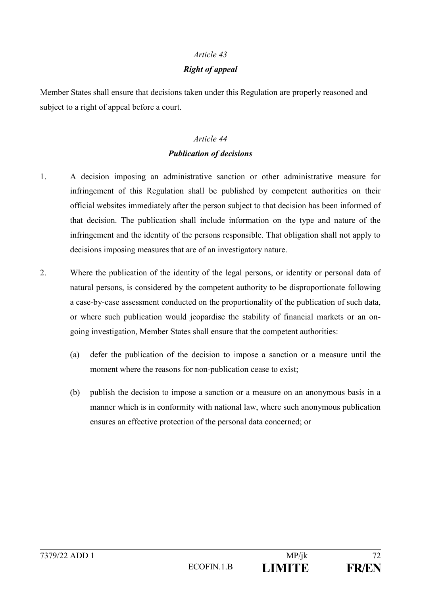# *Article 43 Right of appeal*

Member States shall ensure that decisions taken under this Regulation are properly reasoned and subject to a right of appeal before a court.

# *Article 44 Publication of decisions*

- 1. A decision imposing an administrative sanction or other administrative measure for infringement of this Regulation shall be published by competent authorities on their official websites immediately after the person subject to that decision has been informed of that decision. The publication shall include information on the type and nature of the infringement and the identity of the persons responsible. That obligation shall not apply to decisions imposing measures that are of an investigatory nature.
- 2. Where the publication of the identity of the legal persons, or identity or personal data of natural persons, is considered by the competent authority to be disproportionate following a case-by-case assessment conducted on the proportionality of the publication of such data, or where such publication would jeopardise the stability of financial markets or an ongoing investigation, Member States shall ensure that the competent authorities:
	- (a) defer the publication of the decision to impose a sanction or a measure until the moment where the reasons for non-publication cease to exist;
	- (b) publish the decision to impose a sanction or a measure on an anonymous basis in a manner which is in conformity with national law, where such anonymous publication ensures an effective protection of the personal data concerned; or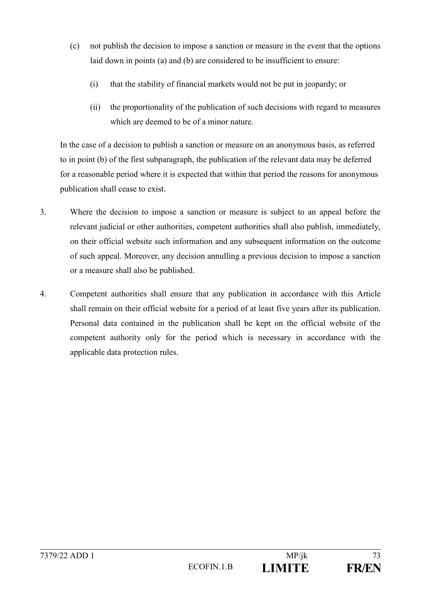- (c) not publish the decision to impose a sanction or measure in the event that the options laid down in points (a) and (b) are considered to be insufficient to ensure:
	- (i) that the stability of financial markets would not be put in jeopardy; or
	- (ii) the proportionality of the publication of such decisions with regard to measures which are deemed to be of a minor nature.

In the case of a decision to publish a sanction or measure on an anonymous basis, as referred to in point (b) of the first subparagraph, the publication of the relevant data may be deferred for a reasonable period where it is expected that within that period the reasons for anonymous publication shall cease to exist.

- 3. Where the decision to impose a sanction or measure is subject to an appeal before the relevant judicial or other authorities, competent authorities shall also publish, immediately, on their official website such information and any subsequent information on the outcome of such appeal. Moreover, any decision annulling a previous decision to impose a sanction or a measure shall also be published.
- 4. Competent authorities shall ensure that any publication in accordance with this Article shall remain on their official website for a period of at least five years after its publication. Personal data contained in the publication shall be kept on the official website of the competent authority only for the period which is necessary in accordance with the applicable data protection rules.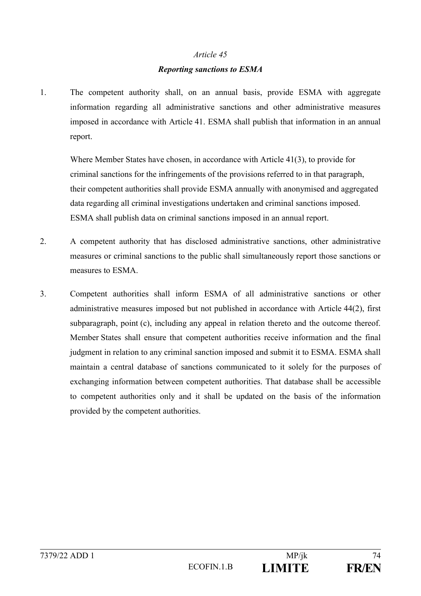### *Article 45 Reporting sanctions to ESMA*

1. The competent authority shall, on an annual basis, provide ESMA with aggregate information regarding all administrative sanctions and other administrative measures imposed in accordance with Article 41. ESMA shall publish that information in an annual report.

Where Member States have chosen, in accordance with Article 41(3), to provide for criminal sanctions for the infringements of the provisions referred to in that paragraph, their competent authorities shall provide ESMA annually with anonymised and aggregated data regarding all criminal investigations undertaken and criminal sanctions imposed. ESMA shall publish data on criminal sanctions imposed in an annual report.

- 2. A competent authority that has disclosed administrative sanctions, other administrative measures or criminal sanctions to the public shall simultaneously report those sanctions or measures to ESMA.
- 3. Competent authorities shall inform ESMA of all administrative sanctions or other administrative measures imposed but not published in accordance with Article 44(2), first subparagraph, point (c), including any appeal in relation thereto and the outcome thereof. Member States shall ensure that competent authorities receive information and the final judgment in relation to any criminal sanction imposed and submit it to ESMA. ESMA shall maintain a central database of sanctions communicated to it solely for the purposes of exchanging information between competent authorities. That database shall be accessible to competent authorities only and it shall be updated on the basis of the information provided by the competent authorities.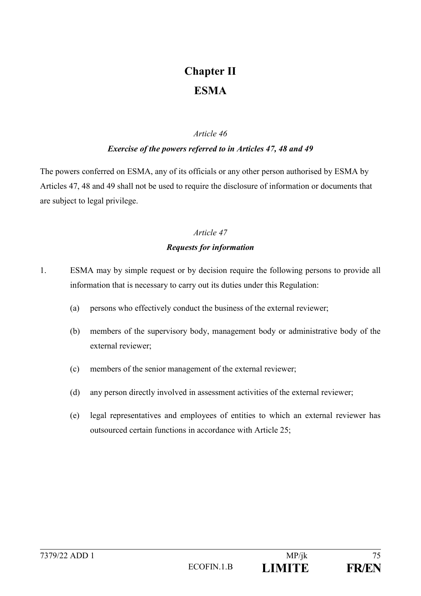# **Chapter II ESMA**

#### *Article 46*

#### *Exercise of the powers referred to in Articles 47, 48 and 49*

The powers conferred on ESMA, any of its officials or any other person authorised by ESMA by Articles 47, 48 and 49 shall not be used to require the disclosure of information or documents that are subject to legal privilege.

#### *Article 47*

#### *Requests for information*

- 1. ESMA may by simple request or by decision require the following persons to provide all information that is necessary to carry out its duties under this Regulation:
	- (a) persons who effectively conduct the business of the external reviewer;
	- (b) members of the supervisory body, management body or administrative body of the external reviewer;
	- (c) members of the senior management of the external reviewer;
	- (d) any person directly involved in assessment activities of the external reviewer;
	- (e) legal representatives and employees of entities to which an external reviewer has outsourced certain functions in accordance with Article 25;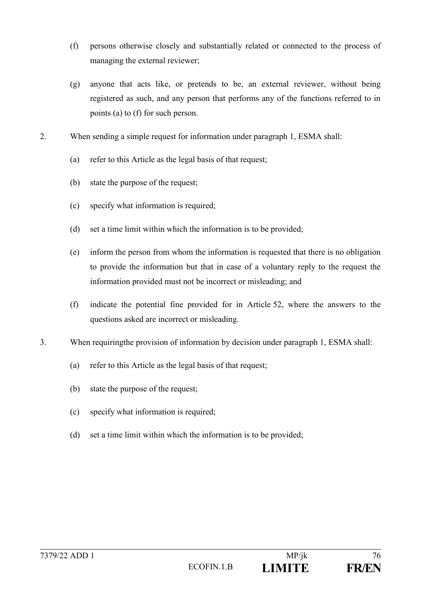- (f) persons otherwise closely and substantially related or connected to the process of managing the external reviewer;
- (g) anyone that acts like, or pretends to be, an external reviewer, without being registered as such, and any person that performs any of the functions referred to in points (a) to (f) for such person.
- 2. When sending a simple request for information under paragraph 1, ESMA shall:
	- (a) refer to this Article as the legal basis of that request;
	- (b) state the purpose of the request;
	- (c) specify what information is required;
	- (d) set a time limit within which the information is to be provided;
	- (e) inform the person from whom the information is requested that there is no obligation to provide the information but that in case of a voluntary reply to the request the information provided must not be incorrect or misleading; and
	- (f) indicate the potential fine provided for in Article 52, where the answers to the questions asked are incorrect or misleading.
- 3. When requiringthe provision of information by decision under paragraph 1, ESMA shall:
	- (a) refer to this Article as the legal basis of that request;
	- (b) state the purpose of the request;
	- (c) specify what information is required;
	- (d) set a time limit within which the information is to be provided;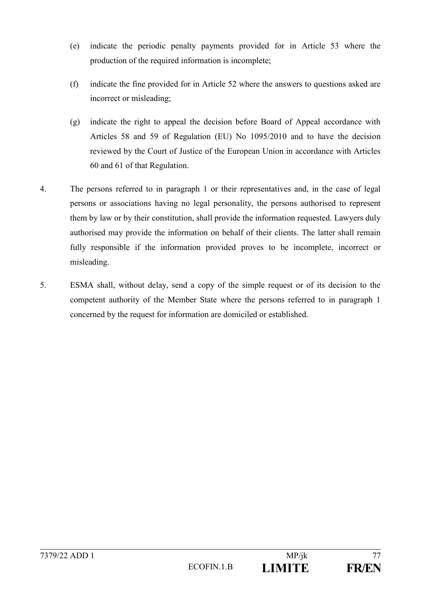- (e) indicate the periodic penalty payments provided for in Article 53 where the production of the required information is incomplete;
- (f) indicate the fine provided for in Article 52 where the answers to questions asked are incorrect or misleading;
- (g) indicate the right to appeal the decision before Board of Appeal accordance with Articles 58 and 59 of Regulation (EU) No 1095/2010 and to have the decision reviewed by the Court of Justice of the European Union in accordance with Articles 60 and 61 of that Regulation.
- 4. The persons referred to in paragraph 1 or their representatives and, in the case of legal persons or associations having no legal personality, the persons authorised to represent them by law or by their constitution, shall provide the information requested. Lawyers duly authorised may provide the information on behalf of their clients. The latter shall remain fully responsible if the information provided proves to be incomplete, incorrect or misleading.
- 5. ESMA shall, without delay, send a copy of the simple request or of its decision to the competent authority of the Member State where the persons referred to in paragraph 1 concerned by the request for information are domiciled or established.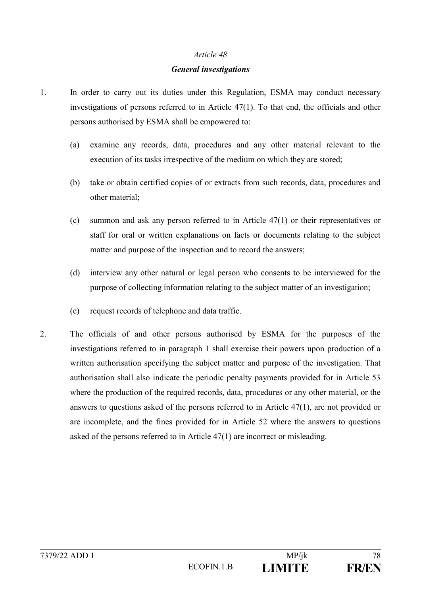#### *Article 48*

#### *General investigations*

- 1. In order to carry out its duties under this Regulation, ESMA may conduct necessary investigations of persons referred to in Article 47(1). To that end, the officials and other persons authorised by ESMA shall be empowered to:
	- (a) examine any records, data, procedures and any other material relevant to the execution of its tasks irrespective of the medium on which they are stored;
	- (b) take or obtain certified copies of or extracts from such records, data, procedures and other material;
	- (c) summon and ask any person referred to in Article 47(1) or their representatives or staff for oral or written explanations on facts or documents relating to the subject matter and purpose of the inspection and to record the answers;
	- (d) interview any other natural or legal person who consents to be interviewed for the purpose of collecting information relating to the subject matter of an investigation;
	- (e) request records of telephone and data traffic.
- 2. The officials of and other persons authorised by ESMA for the purposes of the investigations referred to in paragraph 1 shall exercise their powers upon production of a written authorisation specifying the subject matter and purpose of the investigation. That authorisation shall also indicate the periodic penalty payments provided for in Article 53 where the production of the required records, data, procedures or any other material, or the answers to questions asked of the persons referred to in Article 47(1), are not provided or are incomplete, and the fines provided for in Article 52 where the answers to questions asked of the persons referred to in Article 47(1) are incorrect or misleading.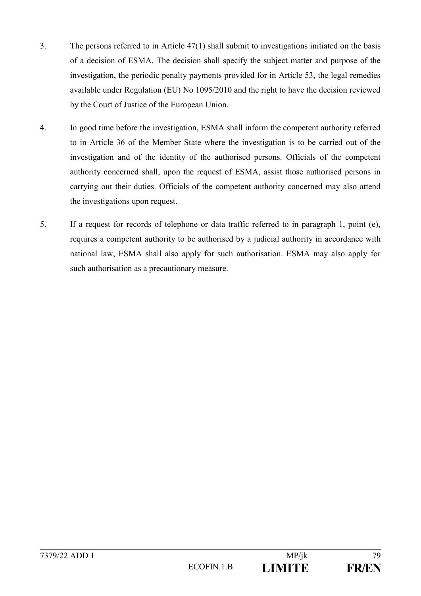- 3. The persons referred to in Article 47(1) shall submit to investigations initiated on the basis of a decision of ESMA. The decision shall specify the subject matter and purpose of the investigation, the periodic penalty payments provided for in Article 53, the legal remedies available under Regulation (EU) No 1095/2010 and the right to have the decision reviewed by the Court of Justice of the European Union.
- 4. In good time before the investigation, ESMA shall inform the competent authority referred to in Article 36 of the Member State where the investigation is to be carried out of the investigation and of the identity of the authorised persons. Officials of the competent authority concerned shall, upon the request of ESMA, assist those authorised persons in carrying out their duties. Officials of the competent authority concerned may also attend the investigations upon request.
- 5. If a request for records of telephone or data traffic referred to in paragraph 1, point (e), requires a competent authority to be authorised by a judicial authority in accordance with national law, ESMA shall also apply for such authorisation. ESMA may also apply for such authorisation as a precautionary measure.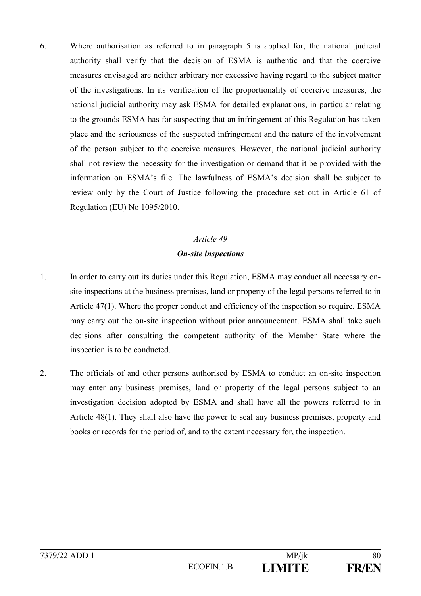6. Where authorisation as referred to in paragraph 5 is applied for, the national judicial authority shall verify that the decision of ESMA is authentic and that the coercive measures envisaged are neither arbitrary nor excessive having regard to the subject matter of the investigations. In its verification of the proportionality of coercive measures, the national judicial authority may ask ESMA for detailed explanations, in particular relating to the grounds ESMA has for suspecting that an infringement of this Regulation has taken place and the seriousness of the suspected infringement and the nature of the involvement of the person subject to the coercive measures. However, the national judicial authority shall not review the necessity for the investigation or demand that it be provided with the information on ESMA's file. The lawfulness of ESMA's decision shall be subject to review only by the Court of Justice following the procedure set out in Article 61 of Regulation (EU) No 1095/2010.

#### *Article 49*

#### *On-site inspections*

- 1. In order to carry out its duties under this Regulation, ESMA may conduct all necessary onsite inspections at the business premises, land or property of the legal persons referred to in Article 47(1). Where the proper conduct and efficiency of the inspection so require, ESMA may carry out the on-site inspection without prior announcement. ESMA shall take such decisions after consulting the competent authority of the Member State where the inspection is to be conducted.
- 2. The officials of and other persons authorised by ESMA to conduct an on-site inspection may enter any business premises, land or property of the legal persons subject to an investigation decision adopted by ESMA and shall have all the powers referred to in Article 48(1). They shall also have the power to seal any business premises, property and books or records for the period of, and to the extent necessary for, the inspection.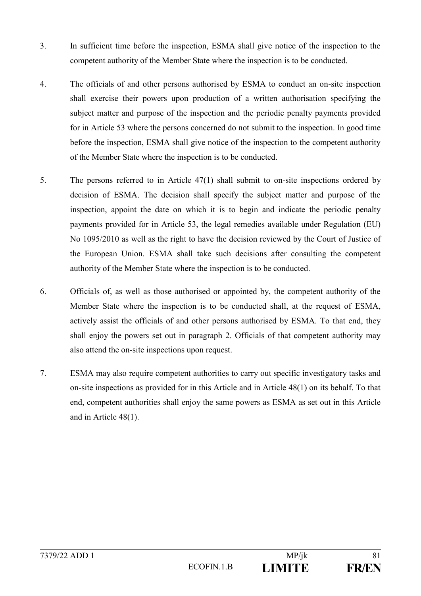- 3. In sufficient time before the inspection, ESMA shall give notice of the inspection to the competent authority of the Member State where the inspection is to be conducted.
- 4. The officials of and other persons authorised by ESMA to conduct an on-site inspection shall exercise their powers upon production of a written authorisation specifying the subject matter and purpose of the inspection and the periodic penalty payments provided for in Article 53 where the persons concerned do not submit to the inspection. In good time before the inspection, ESMA shall give notice of the inspection to the competent authority of the Member State where the inspection is to be conducted.
- 5. The persons referred to in Article 47(1) shall submit to on-site inspections ordered by decision of ESMA. The decision shall specify the subject matter and purpose of the inspection, appoint the date on which it is to begin and indicate the periodic penalty payments provided for in Article 53, the legal remedies available under Regulation (EU) No 1095/2010 as well as the right to have the decision reviewed by the Court of Justice of the European Union. ESMA shall take such decisions after consulting the competent authority of the Member State where the inspection is to be conducted.
- 6. Officials of, as well as those authorised or appointed by, the competent authority of the Member State where the inspection is to be conducted shall, at the request of ESMA, actively assist the officials of and other persons authorised by ESMA. To that end, they shall enjoy the powers set out in paragraph 2. Officials of that competent authority may also attend the on-site inspections upon request.
- 7. ESMA may also require competent authorities to carry out specific investigatory tasks and on-site inspections as provided for in this Article and in Article 48(1) on its behalf. To that end, competent authorities shall enjoy the same powers as ESMA as set out in this Article and in Article 48(1).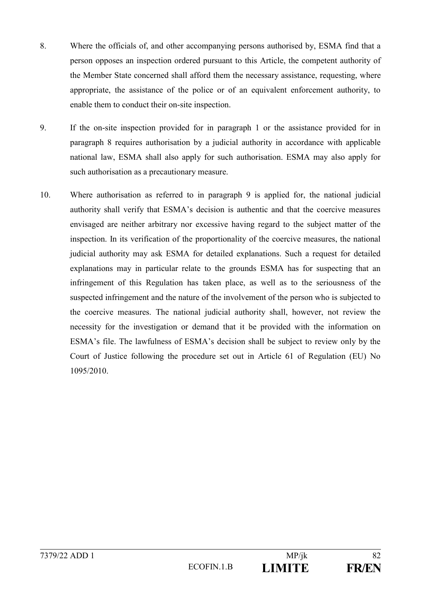- 8. Where the officials of, and other accompanying persons authorised by, ESMA find that a person opposes an inspection ordered pursuant to this Article, the competent authority of the Member State concerned shall afford them the necessary assistance, requesting, where appropriate, the assistance of the police or of an equivalent enforcement authority, to enable them to conduct their on-site inspection.
- 9. If the on-site inspection provided for in paragraph 1 or the assistance provided for in paragraph 8 requires authorisation by a judicial authority in accordance with applicable national law, ESMA shall also apply for such authorisation. ESMA may also apply for such authorisation as a precautionary measure.
- 10. Where authorisation as referred to in paragraph 9 is applied for, the national judicial authority shall verify that ESMA's decision is authentic and that the coercive measures envisaged are neither arbitrary nor excessive having regard to the subject matter of the inspection. In its verification of the proportionality of the coercive measures, the national judicial authority may ask ESMA for detailed explanations. Such a request for detailed explanations may in particular relate to the grounds ESMA has for suspecting that an infringement of this Regulation has taken place, as well as to the seriousness of the suspected infringement and the nature of the involvement of the person who is subjected to the coercive measures. The national judicial authority shall, however, not review the necessity for the investigation or demand that it be provided with the information on ESMA's file. The lawfulness of ESMA's decision shall be subject to review only by the Court of Justice following the procedure set out in Article 61 of Regulation (EU) No 1095/2010.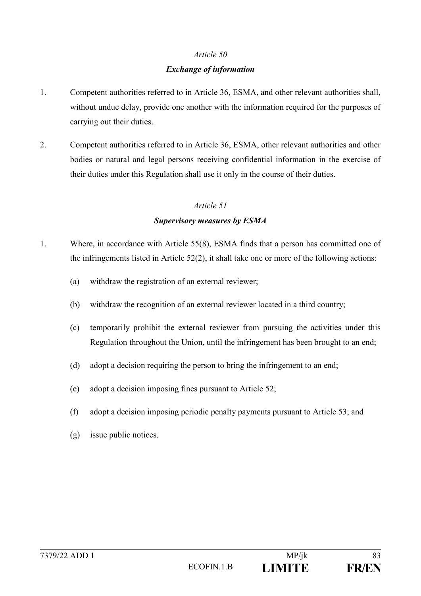## *Article 50 Exchange of information*

- 1. Competent authorities referred to in Article 36, ESMA, and other relevant authorities shall, without undue delay, provide one another with the information required for the purposes of carrying out their duties.
- 2. Competent authorities referred to in Article 36, ESMA, other relevant authorities and other bodies or natural and legal persons receiving confidential information in the exercise of their duties under this Regulation shall use it only in the course of their duties.

#### *Article 51 Supervisory measures by ESMA*

- 1. Where, in accordance with Article 55(8), ESMA finds that a person has committed one of the infringements listed in Article 52(2), it shall take one or more of the following actions:
	- (a) withdraw the registration of an external reviewer;
	- (b) withdraw the recognition of an external reviewer located in a third country;
	- (c) temporarily prohibit the external reviewer from pursuing the activities under this Regulation throughout the Union, until the infringement has been brought to an end;
	- (d) adopt a decision requiring the person to bring the infringement to an end;
	- (e) adopt a decision imposing fines pursuant to Article 52;
	- (f) adopt a decision imposing periodic penalty payments pursuant to Article 53; and
	- (g) issue public notices.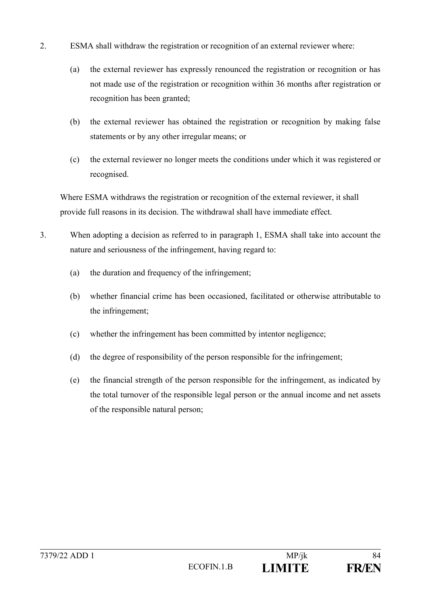- 2. ESMA shall withdraw the registration or recognition of an external reviewer where:
	- (a) the external reviewer has expressly renounced the registration or recognition or has not made use of the registration or recognition within 36 months after registration or recognition has been granted;
	- (b) the external reviewer has obtained the registration or recognition by making false statements or by any other irregular means; or
	- (c) the external reviewer no longer meets the conditions under which it was registered or recognised.

Where ESMA withdraws the registration or recognition of the external reviewer, it shall provide full reasons in its decision. The withdrawal shall have immediate effect.

- 3. When adopting a decision as referred to in paragraph 1, ESMA shall take into account the nature and seriousness of the infringement, having regard to:
	- (a) the duration and frequency of the infringement;
	- (b) whether financial crime has been occasioned, facilitated or otherwise attributable to the infringement;
	- (c) whether the infringement has been committed by intentor negligence;
	- (d) the degree of responsibility of the person responsible for the infringement;
	- (e) the financial strength of the person responsible for the infringement, as indicated by the total turnover of the responsible legal person or the annual income and net assets of the responsible natural person;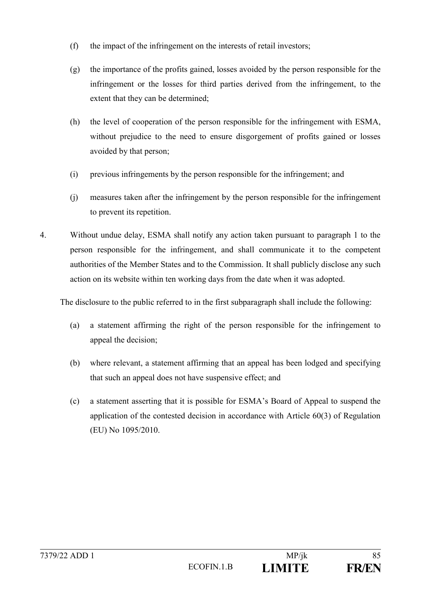- (f) the impact of the infringement on the interests of retail investors;
- (g) the importance of the profits gained, losses avoided by the person responsible for the infringement or the losses for third parties derived from the infringement, to the extent that they can be determined;
- (h) the level of cooperation of the person responsible for the infringement with ESMA, without prejudice to the need to ensure disgorgement of profits gained or losses avoided by that person;
- (i) previous infringements by the person responsible for the infringement; and
- (j) measures taken after the infringement by the person responsible for the infringement to prevent its repetition.
- 4. Without undue delay, ESMA shall notify any action taken pursuant to paragraph 1 to the person responsible for the infringement, and shall communicate it to the competent authorities of the Member States and to the Commission. It shall publicly disclose any such action on its website within ten working days from the date when it was adopted.

The disclosure to the public referred to in the first subparagraph shall include the following:

- (a) a statement affirming the right of the person responsible for the infringement to appeal the decision;
- (b) where relevant, a statement affirming that an appeal has been lodged and specifying that such an appeal does not have suspensive effect; and
- (c) a statement asserting that it is possible for ESMA's Board of Appeal to suspend the application of the contested decision in accordance with Article 60(3) of Regulation (EU) No 1095/2010.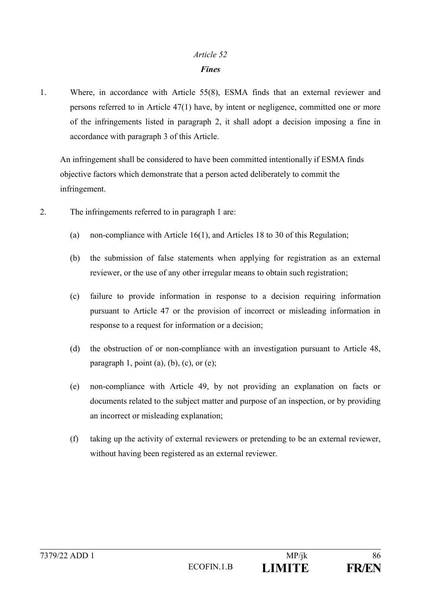#### *Article 52 Fines*

1. Where, in accordance with Article 55(8), ESMA finds that an external reviewer and persons referred to in Article 47(1) have, by intent or negligence, committed one or more of the infringements listed in paragraph 2, it shall adopt a decision imposing a fine in accordance with paragraph 3 of this Article.

An infringement shall be considered to have been committed intentionally if ESMA finds objective factors which demonstrate that a person acted deliberately to commit the infringement.

- 2. The infringements referred to in paragraph 1 are:
	- (a) non-compliance with Article 16(1), and Articles 18 to 30 of this Regulation;
	- (b) the submission of false statements when applying for registration as an external reviewer, or the use of any other irregular means to obtain such registration;
	- (c) failure to provide information in response to a decision requiring information pursuant to Article 47 or the provision of incorrect or misleading information in response to a request for information or a decision;
	- (d) the obstruction of or non-compliance with an investigation pursuant to Article 48, paragraph 1, point (a), (b), (c), or (e);
	- (e) non-compliance with Article 49, by not providing an explanation on facts or documents related to the subject matter and purpose of an inspection, or by providing an incorrect or misleading explanation;
	- (f) taking up the activity of external reviewers or pretending to be an external reviewer, without having been registered as an external reviewer.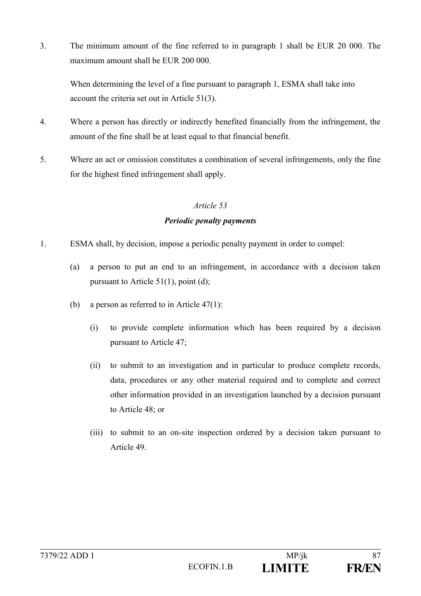3. The minimum amount of the fine referred to in paragraph 1 shall be EUR 20 000. The maximum amount shall be EUR 200 000.

When determining the level of a fine pursuant to paragraph 1, ESMA shall take into account the criteria set out in Article 51(3).

- 4. Where a person has directly or indirectly benefited financially from the infringement, the amount of the fine shall be at least equal to that financial benefit.
- 5. Where an act or omission constitutes a combination of several infringements, only the fine for the highest fined infringement shall apply.

#### *Article 53 Periodic penalty payments*

- 1. ESMA shall, by decision, impose a periodic penalty payment in order to compel:
	- (a) a person to put an end to an infringement, in accordance with a decision taken pursuant to Article 51(1), point (d);
	- (b) a person as referred to in Article 47(1):
		- (i) to provide complete information which has been required by a decision pursuant to Article 47;
		- (ii) to submit to an investigation and in particular to produce complete records, data, procedures or any other material required and to complete and correct other information provided in an investigation launched by a decision pursuant to Article 48; or
		- (iii) to submit to an on-site inspection ordered by a decision taken pursuant to Article 49.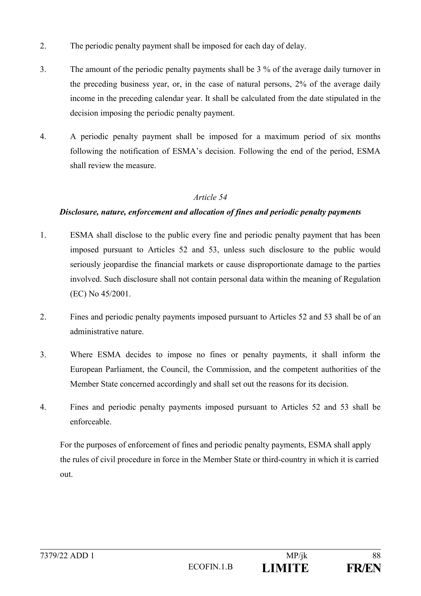- 2. The periodic penalty payment shall be imposed for each day of delay.
- 3. The amount of the periodic penalty payments shall be 3 % of the average daily turnover in the preceding business year, or, in the case of natural persons, 2% of the average daily income in the preceding calendar year. It shall be calculated from the date stipulated in the decision imposing the periodic penalty payment.
- 4. A periodic penalty payment shall be imposed for a maximum period of six months following the notification of ESMA's decision. Following the end of the period, ESMA shall review the measure.

#### *Article 54*

#### *Disclosure, nature, enforcement and allocation of fines and periodic penalty payments*

- 1. ESMA shall disclose to the public every fine and periodic penalty payment that has been imposed pursuant to Articles 52 and 53, unless such disclosure to the public would seriously jeopardise the financial markets or cause disproportionate damage to the parties involved. Such disclosure shall not contain personal data within the meaning of Regulation (EC) No 45/2001.
- 2. Fines and periodic penalty payments imposed pursuant to Articles 52 and 53 shall be of an administrative nature.
- 3. Where ESMA decides to impose no fines or penalty payments, it shall inform the European Parliament, the Council, the Commission, and the competent authorities of the Member State concerned accordingly and shall set out the reasons for its decision.
- 4. Fines and periodic penalty payments imposed pursuant to Articles 52 and 53 shall be enforceable.

For the purposes of enforcement of fines and periodic penalty payments, ESMA shall apply the rules of civil procedure in force in the Member State or third-country in which it is carried out.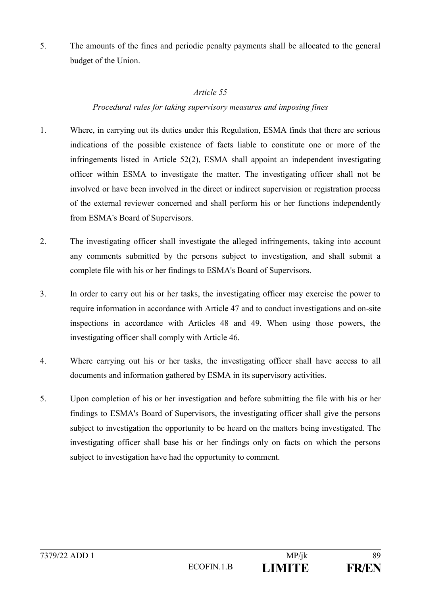5. The amounts of the fines and periodic penalty payments shall be allocated to the general budget of the Union.

#### *Article 55*

#### *Procedural rules for taking supervisory measures and imposing fines*

- 1. Where, in carrying out its duties under this Regulation, ESMA finds that there are serious indications of the possible existence of facts liable to constitute one or more of the infringements listed in Article 52(2), ESMA shall appoint an independent investigating officer within ESMA to investigate the matter. The investigating officer shall not be involved or have been involved in the direct or indirect supervision or registration process of the external reviewer concerned and shall perform his or her functions independently from ESMA's Board of Supervisors.
- 2. The investigating officer shall investigate the alleged infringements, taking into account any comments submitted by the persons subject to investigation, and shall submit a complete file with his or her findings to ESMA's Board of Supervisors.
- 3. In order to carry out his or her tasks, the investigating officer may exercise the power to require information in accordance with Article 47 and to conduct investigations and on-site inspections in accordance with Articles 48 and 49. When using those powers, the investigating officer shall comply with Article 46.
- 4. Where carrying out his or her tasks, the investigating officer shall have access to all documents and information gathered by ESMA in its supervisory activities.
- 5. Upon completion of his or her investigation and before submitting the file with his or her findings to ESMA's Board of Supervisors, the investigating officer shall give the persons subject to investigation the opportunity to be heard on the matters being investigated. The investigating officer shall base his or her findings only on facts on which the persons subject to investigation have had the opportunity to comment.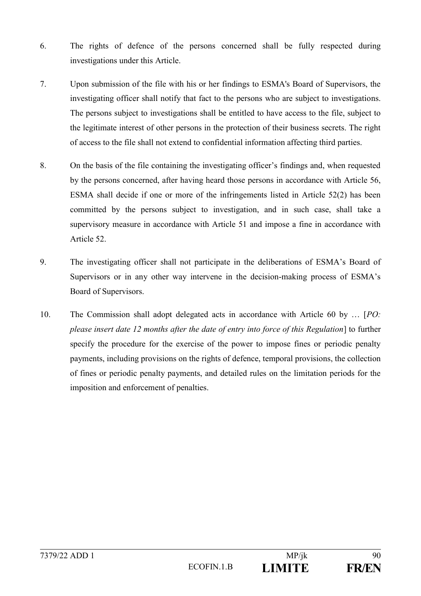- 6. The rights of defence of the persons concerned shall be fully respected during investigations under this Article.
- 7. Upon submission of the file with his or her findings to ESMA's Board of Supervisors, the investigating officer shall notify that fact to the persons who are subject to investigations. The persons subject to investigations shall be entitled to have access to the file, subject to the legitimate interest of other persons in the protection of their business secrets. The right of access to the file shall not extend to confidential information affecting third parties.
- 8. On the basis of the file containing the investigating officer's findings and, when requested by the persons concerned, after having heard those persons in accordance with Article 56, ESMA shall decide if one or more of the infringements listed in Article 52(2) has been committed by the persons subject to investigation, and in such case, shall take a supervisory measure in accordance with Article 51 and impose a fine in accordance with Article 52.
- 9. The investigating officer shall not participate in the deliberations of ESMA's Board of Supervisors or in any other way intervene in the decision-making process of ESMA's Board of Supervisors.
- 10. The Commission shall adopt delegated acts in accordance with Article 60 by … [*PO: please insert date 12 months after the date of entry into force of this Regulation*] to further specify the procedure for the exercise of the power to impose fines or periodic penalty payments, including provisions on the rights of defence, temporal provisions, the collection of fines or periodic penalty payments, and detailed rules on the limitation periods for the imposition and enforcement of penalties.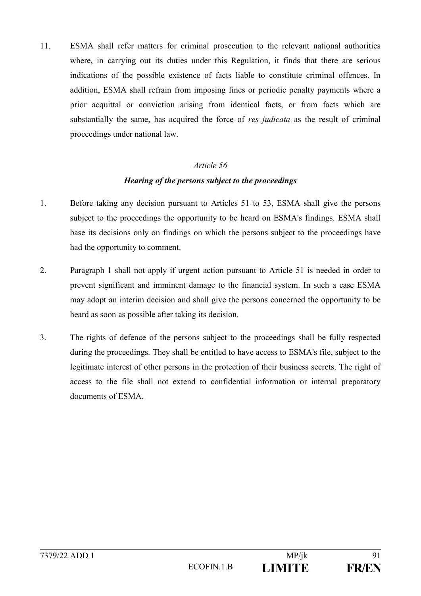11. ESMA shall refer matters for criminal prosecution to the relevant national authorities where, in carrying out its duties under this Regulation, it finds that there are serious indications of the possible existence of facts liable to constitute criminal offences. In addition, ESMA shall refrain from imposing fines or periodic penalty payments where a prior acquittal or conviction arising from identical facts, or from facts which are substantially the same, has acquired the force of *res judicata* as the result of criminal proceedings under national law.

#### *Article 56*

#### *Hearing of the persons subject to the proceedings*

- 1. Before taking any decision pursuant to Articles 51 to 53, ESMA shall give the persons subject to the proceedings the opportunity to be heard on ESMA's findings. ESMA shall base its decisions only on findings on which the persons subject to the proceedings have had the opportunity to comment.
- 2. Paragraph 1 shall not apply if urgent action pursuant to Article 51 is needed in order to prevent significant and imminent damage to the financial system. In such a case ESMA may adopt an interim decision and shall give the persons concerned the opportunity to be heard as soon as possible after taking its decision.
- 3. The rights of defence of the persons subject to the proceedings shall be fully respected during the proceedings. They shall be entitled to have access to ESMA's file, subject to the legitimate interest of other persons in the protection of their business secrets. The right of access to the file shall not extend to confidential information or internal preparatory documents of ESMA.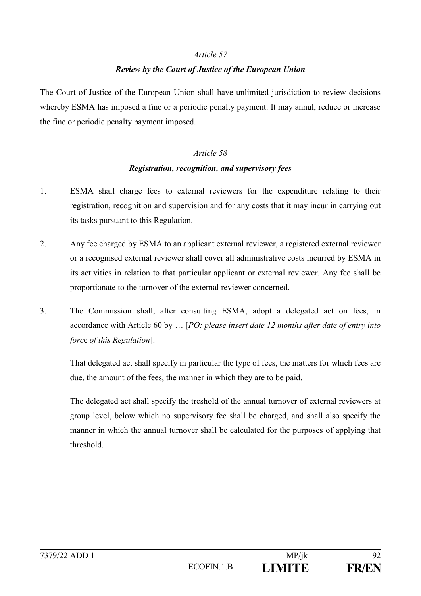## *Article 57 Review by the Court of Justice of the European Union*

The Court of Justice of the European Union shall have unlimited jurisdiction to review decisions whereby ESMA has imposed a fine or a periodic penalty payment. It may annul, reduce or increase the fine or periodic penalty payment imposed.

#### *Article 58*

#### *Registration, recognition, and supervisory fees*

- 1. ESMA shall charge fees to external reviewers for the expenditure relating to their registration, recognition and supervision and for any costs that it may incur in carrying out its tasks pursuant to this Regulation.
- 2. Any fee charged by ESMA to an applicant external reviewer, a registered external reviewer or a recognised external reviewer shall cover all administrative costs incurred by ESMA in its activities in relation to that particular applicant or external reviewer. Any fee shall be proportionate to the turnover of the external reviewer concerned.
- 3. The Commission shall, after consulting ESMA, adopt a delegated act on fees, in accordance with Article 60 by … [*PO: please insert date 12 months after date of entry into forc*e *of this Regulation*].

That delegated act shall specify in particular the type of fees, the matters for which fees are due, the amount of the fees, the manner in which they are to be paid.

The delegated act shall specify the treshold of the annual turnover of external reviewers at group level, below which no supervisory fee shall be charged, and shall also specify the manner in which the annual turnover shall be calculated for the purposes of applying that threshold.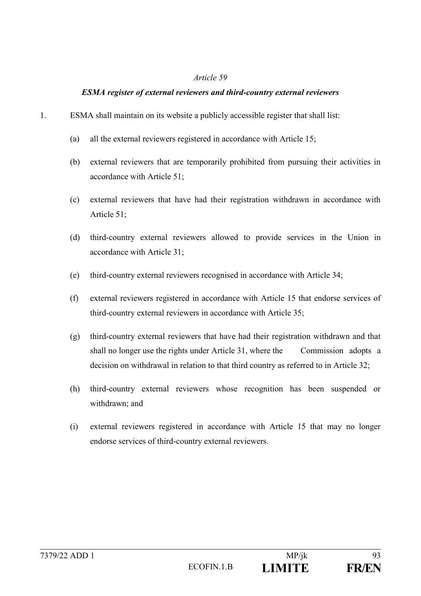#### *Article 59*

#### *ESMA register of external reviewers and third-country external reviewers*

- 1. ESMA shall maintain on its website a publicly accessible register that shall list:
	- (a) all the external reviewers registered in accordance with Article 15;
	- (b) external reviewers that are temporarily prohibited from pursuing their activities in accordance with Article 51;
	- (c) external reviewers that have had their registration withdrawn in accordance with Article 51;
	- (d) third-country external reviewers allowed to provide services in the Union in accordance with Article 31;
	- (e) third-country external reviewers recognised in accordance with Article 34;
	- (f) external reviewers registered in accordance with Article 15 that endorse services of third-country external reviewers in accordance with Article 35;
	- (g) third-country external reviewers that have had their registration withdrawn and that shall no longer use the rights under Article 31, where the Commission adopts a decision on withdrawal in relation to that third country as referred to in Article 32;
	- (h) third-country external reviewers whose recognition has been suspended or withdrawn; and
	- (i) external reviewers registered in accordance with Article 15 that may no longer endorse services of third-country external reviewers.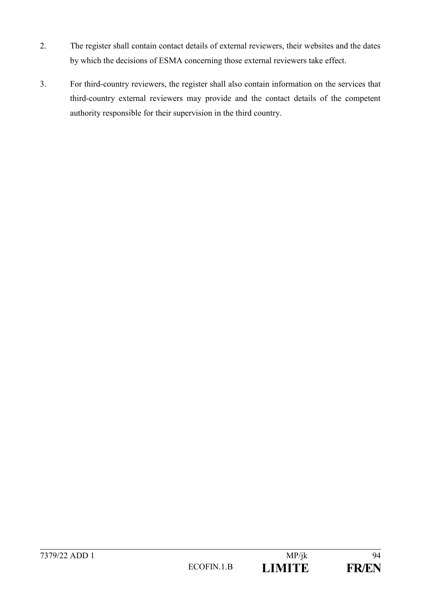- 2. The register shall contain contact details of external reviewers, their websites and the dates by which the decisions of ESMA concerning those external reviewers take effect.
- 3. For third-country reviewers, the register shall also contain information on the services that third-country external reviewers may provide and the contact details of the competent authority responsible for their supervision in the third country.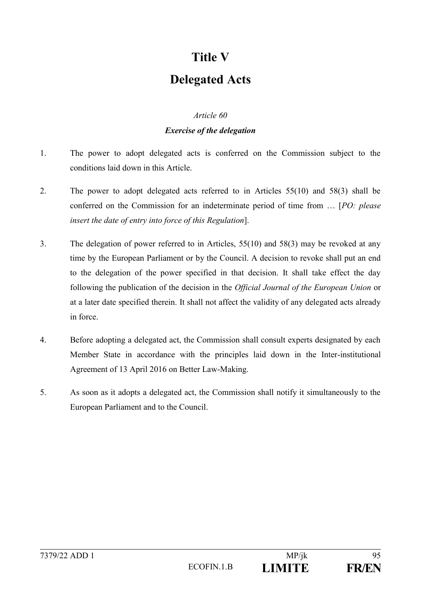# **Title V**

# **Delegated Acts**

#### *Article 60*

#### *Exercise of the delegation*

- 1. The power to adopt delegated acts is conferred on the Commission subject to the conditions laid down in this Article.
- 2. The power to adopt delegated acts referred to in Articles 55(10) and 58(3) shall be conferred on the Commission for an indeterminate period of time from … [*PO: please insert the date of entry into force of this Regulation*].
- 3. The delegation of power referred to in Articles, 55(10) and 58(3) may be revoked at any time by the European Parliament or by the Council. A decision to revoke shall put an end to the delegation of the power specified in that decision. It shall take effect the day following the publication of the decision in the *Official Journal of the European Union* or at a later date specified therein. It shall not affect the validity of any delegated acts already in force.
- 4. Before adopting a delegated act, the Commission shall consult experts designated by each Member State in accordance with the principles laid down in the Inter-institutional Agreement of 13 April 2016 on Better Law-Making.
- 5. As soon as it adopts a delegated act, the Commission shall notify it simultaneously to the European Parliament and to the Council.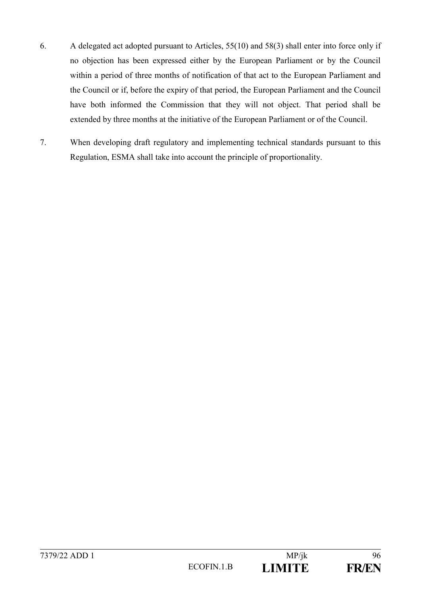- 6. A delegated act adopted pursuant to Articles, 55(10) and 58(3) shall enter into force only if no objection has been expressed either by the European Parliament or by the Council within a period of three months of notification of that act to the European Parliament and the Council or if, before the expiry of that period, the European Parliament and the Council have both informed the Commission that they will not object. That period shall be extended by three months at the initiative of the European Parliament or of the Council.
- 7. When developing draft regulatory and implementing technical standards pursuant to this Regulation, ESMA shall take into account the principle of proportionality.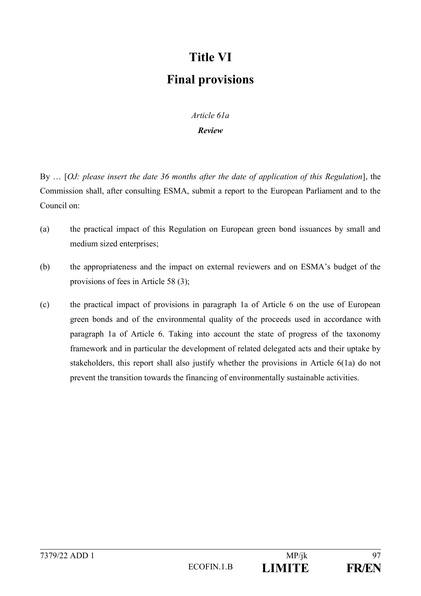# **Title VI Final provisions**

# *Article 61a*

*Review*

By … [*OJ: please insert the date 36 months after the date of application of this Regulation*], the Commission shall, after consulting ESMA, submit a report to the European Parliament and to the Council on:

- (a) the practical impact of this Regulation on European green bond issuances by small and medium sized enterprises;
- (b) the appropriateness and the impact on external reviewers and on ESMA's budget of the provisions of fees in Article 58 (3);
- (c) the practical impact of provisions in paragraph 1a of Article 6 on the use of European green bonds and of the environmental quality of the proceeds used in accordance with paragraph 1a of Article 6. Taking into account the state of progress of the taxonomy framework and in particular the development of related delegated acts and their uptake by stakeholders, this report shall also justify whether the provisions in Article 6(1a) do not prevent the transition towards the financing of environmentally sustainable activities.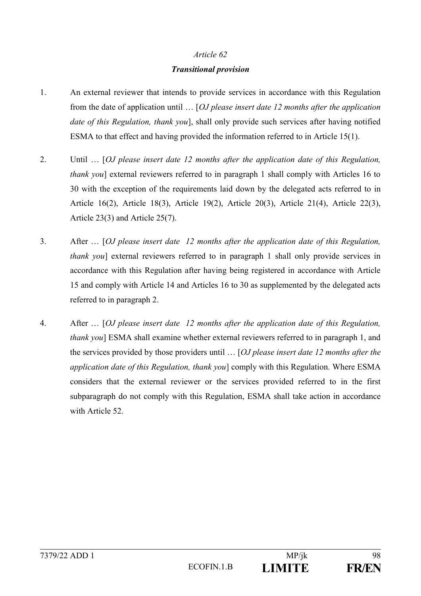### *Article 62 Transitional provision*

- 1. An external reviewer that intends to provide services in accordance with this Regulation from the date of application until … [*OJ please insert date 12 months after the application date of this Regulation, thank you*], shall only provide such services after having notified ESMA to that effect and having provided the information referred to in Article 15(1).
- 2. Until … [*OJ please insert date 12 months after the application date of this Regulation, thank you*] external reviewers referred to in paragraph 1 shall comply with Articles 16 to 30 with the exception of the requirements laid down by the delegated acts referred to in Article 16(2), Article 18(3), Article 19(2), Article 20(3), Article 21(4), Article 22(3), Article 23(3) and Article 25(7).
- 3. After … [*OJ please insert date 12 months after the application date of this Regulation, thank you*] external reviewers referred to in paragraph 1 shall only provide services in accordance with this Regulation after having being registered in accordance with Article 15 and comply with Article 14 and Articles 16 to 30 as supplemented by the delegated acts referred to in paragraph 2.
- 4. After … [*OJ please insert date 12 months after the application date of this Regulation, thank you*] ESMA shall examine whether external reviewers referred to in paragraph 1, and the services provided by those providers until … [*OJ please insert date 12 months after the application date of this Regulation, thank you*] comply with this Regulation. Where ESMA considers that the external reviewer or the services provided referred to in the first subparagraph do not comply with this Regulation, ESMA shall take action in accordance with Article 52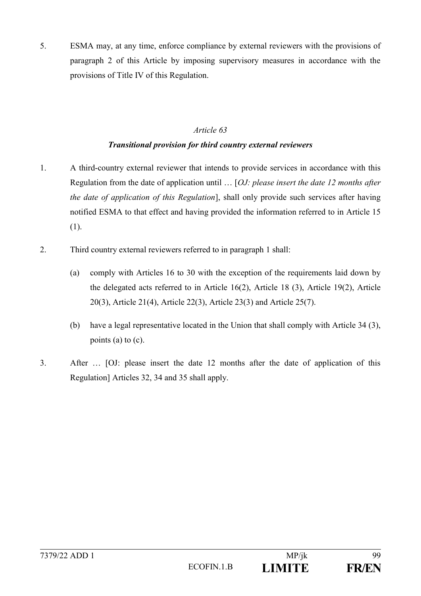5. ESMA may, at any time, enforce compliance by external reviewers with the provisions of paragraph 2 of this Article by imposing supervisory measures in accordance with the provisions of Title IV of this Regulation.

#### *Article 63*

#### *Transitional provision for third country external reviewers*

- 1. A third-country external reviewer that intends to provide services in accordance with this Regulation from the date of application until … [*OJ: please insert the date 12 months after the date of application of this Regulation*], shall only provide such services after having notified ESMA to that effect and having provided the information referred to in Article 15 (1).
- 2. Third country external reviewers referred to in paragraph 1 shall:
	- (a) comply with Articles 16 to 30 with the exception of the requirements laid down by the delegated acts referred to in Article 16(2), Article 18 (3), Article 19(2), Article 20(3), Article 21(4), Article 22(3), Article 23(3) and Article 25(7).
	- (b) have a legal representative located in the Union that shall comply with Article 34 (3), points (a) to (c).
- 3. After … [OJ: please insert the date 12 months after the date of application of this Regulation] Articles 32, 34 and 35 shall apply.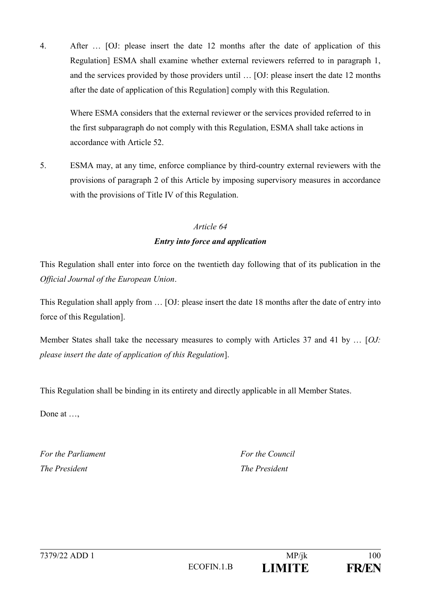4. After … [OJ: please insert the date 12 months after the date of application of this Regulation] ESMA shall examine whether external reviewers referred to in paragraph 1, and the services provided by those providers until … [OJ: please insert the date 12 months after the date of application of this Regulation] comply with this Regulation.

Where ESMA considers that the external reviewer or the services provided referred to in the first subparagraph do not comply with this Regulation, ESMA shall take actions in accordance with Article 52.

5. ESMA may, at any time, enforce compliance by third-country external reviewers with the provisions of paragraph 2 of this Article by imposing supervisory measures in accordance with the provisions of Title IV of this Regulation.

### *Article 64 Entry into force and application*

This Regulation shall enter into force on the twentieth day following that of its publication in the *Official Journal of the European Union*.

This Regulation shall apply from … [OJ: please insert the date 18 months after the date of entry into force of this Regulation].

Member States shall take the necessary measures to comply with Articles 37 and 41 by … [*OJ: please insert the date of application of this Regulation*].

This Regulation shall be binding in its entirety and directly applicable in all Member States.

Done at ...,

*For the Parliament For the Council The President* The *President* 

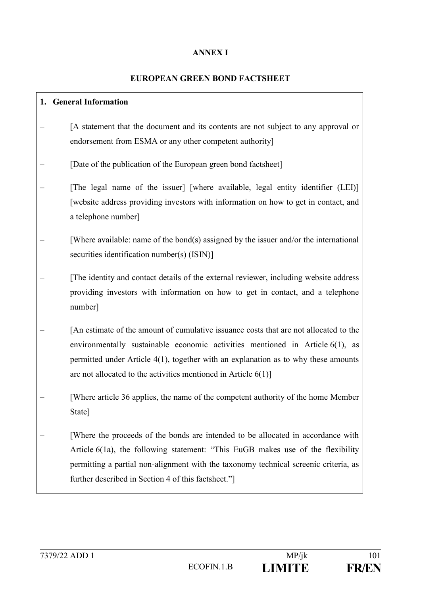#### **ANNEX I**

#### **EUROPEAN GREEN BOND FACTSHEET**

# **1. General Information**  – [A statement that the document and its contents are not subject to any approval or endorsement from ESMA or any other competent authority] [Date of the publication of the European green bond factsheet] [The legal name of the issuer] [where available, legal entity identifier (LEI)] [website address providing investors with information on how to get in contact, and a telephone number] [Where available: name of the bond(s) assigned by the issuer and/or the international securities identification number(s) (ISIN)] [The identity and contact details of the external reviewer, including website address providing investors with information on how to get in contact, and a telephone number] – [An estimate of the amount of cumulative issuance costs that are not allocated to the environmentally sustainable economic activities mentioned in Article 6(1), as permitted under Article 4(1), together with an explanation as to why these amounts are not allocated to the activities mentioned in Article 6(1)] – [Where article 36 applies, the name of the competent authority of the home Member State] – [Where the proceeds of the bonds are intended to be allocated in accordance with Article 6(1a), the following statement: "This EuGB makes use of the flexibility permitting a partial non-alignment with the taxonomy technical screenic criteria, as further described in Section 4 of this factsheet."]

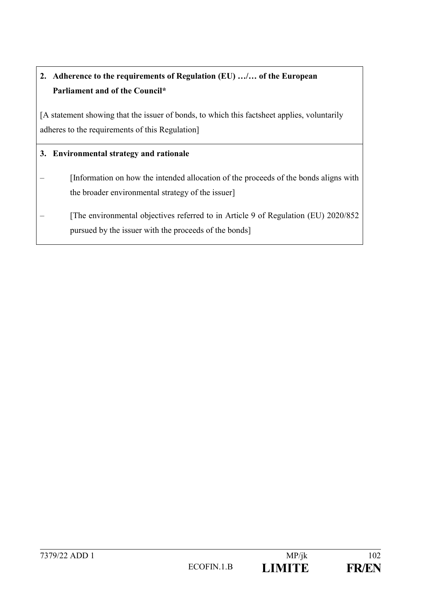# **2. Adherence to the requirements of Regulation (EU) …/… of the European Parliament and of the Council\***

[A statement showing that the issuer of bonds, to which this factsheet applies, voluntarily adheres to the requirements of this Regulation]

#### **3. Environmental strategy and rationale**

- [Information on how the intended allocation of the proceeds of the bonds aligns with the broader environmental strategy of the issuer]
- [The environmental objectives referred to in Article 9 of Regulation (EU) 2020/852 pursued by the issuer with the proceeds of the bonds]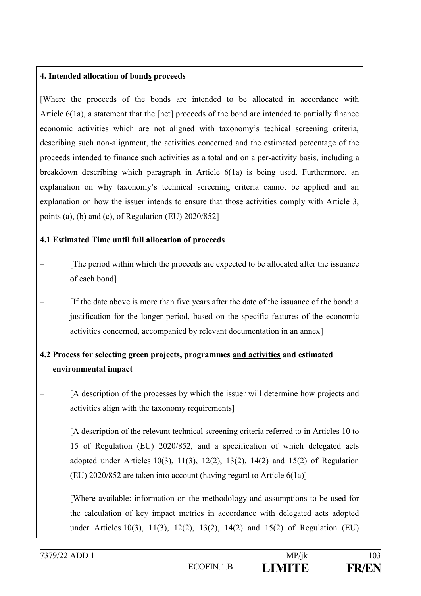#### **4. Intended allocation of bonds proceeds**

[Where the proceeds of the bonds are intended to be allocated in accordance with Article 6(1a), a statement that the [net] proceeds of the bond are intended to partially finance economic activities which are not aligned with taxonomy's techical screening criteria, describing such non-alignment, the activities concerned and the estimated percentage of the proceeds intended to finance such activities as a total and on a per-activity basis, including a breakdown describing which paragraph in Article 6(1a) is being used. Furthermore, an explanation on why taxonomy's technical screening criteria cannot be applied and an explanation on how the issuer intends to ensure that those activities comply with Article 3, points (a), (b) and (c), of Regulation (EU) 2020/852]

#### **4.1 Estimated Time until full allocation of proceeds**

- [The period within which the proceeds are expected to be allocated after the issuance of each bond]
- [If the date above is more than five years after the date of the issuance of the bond: a justification for the longer period, based on the specific features of the economic activities concerned, accompanied by relevant documentation in an annex]

## **4.2 Process for selecting green projects, programmes and activities and estimated environmental impact**

- [A description of the processes by which the issuer will determine how projects and activities align with the taxonomy requirements]
- [A description of the relevant technical screening criteria referred to in Articles 10 to 15 of Regulation (EU) 2020/852, and a specification of which delegated acts adopted under Articles 10(3), 11(3), 12(2), 13(2), 14(2) and 15(2) of Regulation (EU) 2020/852 are taken into account (having regard to Article 6(1a)]
- [Where available: information on the methodology and assumptions to be used for the calculation of key impact metrics in accordance with delegated acts adopted under Articles 10(3), 11(3), 12(2), 13(2), 14(2) and 15(2) of Regulation (EU)

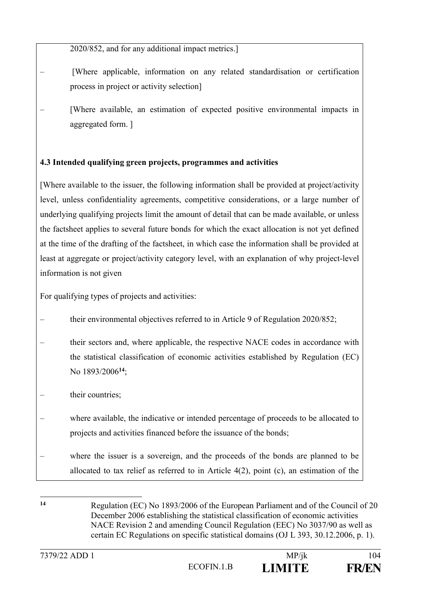2020/852, and for any additional impact metrics.]

- [Where applicable, information on any related standardisation or certification process in project or activity selection]
- [Where available, an estimation of expected positive environmental impacts in aggregated form. ]

#### **4.3 Intended qualifying green projects, programmes and activities**

[Where available to the issuer, the following information shall be provided at project/activity level, unless confidentiality agreements, competitive considerations, or a large number of underlying qualifying projects limit the amount of detail that can be made available, or unless the factsheet applies to several future bonds for which the exact allocation is not yet defined at the time of the drafting of the factsheet, in which case the information shall be provided at least at aggregate or project/activity category level, with an explanation of why project-level information is not given

For qualifying types of projects and activities:

- their environmental objectives referred to in Article 9 of Regulation 2020/852;
- their sectors and, where applicable, the respective NACE codes in accordance with the statistical classification of economic activities established by Regulation (EC) No 1893/2006**<sup>14</sup>**;
- their countries:
- where available, the indicative or intended percentage of proceeds to be allocated to projects and activities financed before the issuance of the bonds;
- where the issuer is a sovereign, and the proceeds of the bonds are planned to be allocated to tax relief as referred to in Article 4(2), point (c), an estimation of the

**<sup>14</sup>** Regulation (EC) No 1893/2006 of the European Parliament and of the Council of 20 December 2006 establishing the statistical classification of economic activities NACE Revision 2 and amending Council Regulation (EEC) No 3037/90 as well as certain EC Regulations on specific statistical domains (OJ L 393, 30.12.2006, p. 1).

1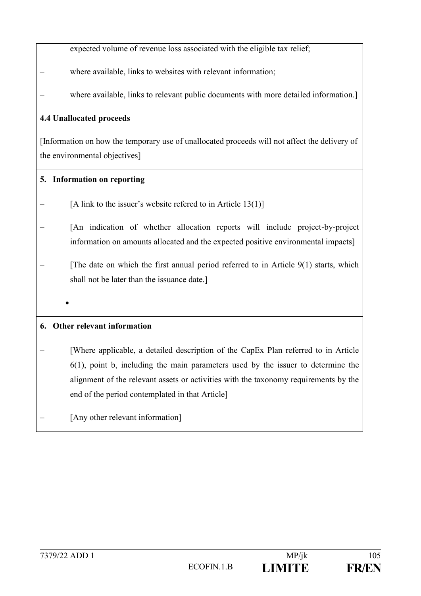expected volume of revenue loss associated with the eligible tax relief;

- where available, links to websites with relevant information;
- where available, links to relevant public documents with more detailed information.

#### **4.4 Unallocated proceeds**

[Information on how the temporary use of unallocated proceeds will not affect the delivery of the environmental objectives]

#### **5. Information on reporting**

- [A link to the issuer's website refered to in Article  $13(1)$ ]
- [An indication of whether allocation reports will include project-by-project information on amounts allocated and the expected positive environmental impacts]
- The date on which the first annual period referred to in Article  $9(1)$  starts, which shall not be later than the issuance date.]

#### **6. Other relevant information**

 $\bullet$ 

- [Where applicable, a detailed description of the CapEx Plan referred to in Article 6(1), point b, including the main parameters used by the issuer to determine the alignment of the relevant assets or activities with the taxonomy requirements by the end of the period contemplated in that Article]
- [Any other relevant information]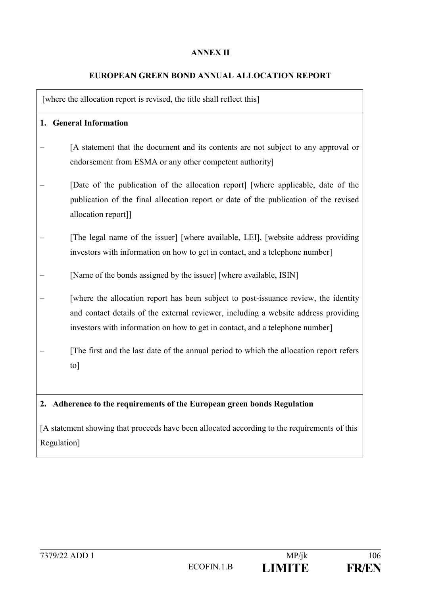#### **ANNEX II**

#### **EUROPEAN GREEN BOND ANNUAL ALLOCATION REPORT**

[where the allocation report is revised, the title shall reflect this] **1. General Information**  – [A statement that the document and its contents are not subject to any approval or endorsement from ESMA or any other competent authority] [Date of the publication of the allocation report] [where applicable, date of the publication of the final allocation report or date of the publication of the revised allocation report]] – [The legal name of the issuer] [where available, LEI], [website address providing investors with information on how to get in contact, and a telephone number] [Name of the bonds assigned by the issuer] [where available, ISIN] (where the allocation report has been subject to post-issuance review, the identity and contact details of the external reviewer, including a website address providing investors with information on how to get in contact, and a telephone number] – [The first and the last date of the annual period to which the allocation report refers to] **2. Adherence to the requirements of the European green bonds Regulation**  [A statement showing that proceeds have been allocated according to the requirements of this

Regulation]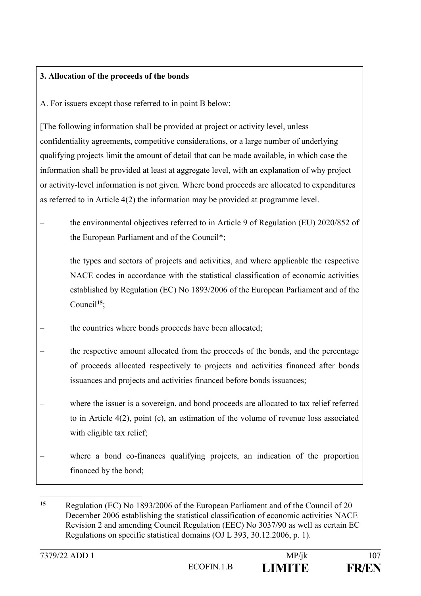#### **3. Allocation of the proceeds of the bonds**

A. For issuers except those referred to in point B below:

[The following information shall be provided at project or activity level, unless confidentiality agreements, competitive considerations, or a large number of underlying qualifying projects limit the amount of detail that can be made available, in which case the information shall be provided at least at aggregate level, with an explanation of why project or activity-level information is not given. Where bond proceeds are allocated to expenditures as referred to in Article 4(2) the information may be provided at programme level.

– the environmental objectives referred to in Article 9 of Regulation (EU) 2020/852 of the European Parliament and of the Council\*;

the types and sectors of projects and activities, and where applicable the respective NACE codes in accordance with the statistical classification of economic activities established by Regulation (EC) No 1893/2006 of the European Parliament and of the Council**<sup>15</sup>**;

- the countries where bonds proceeds have been allocated;
- the respective amount allocated from the proceeds of the bonds, and the percentage of proceeds allocated respectively to projects and activities financed after bonds issuances and projects and activities financed before bonds issuances;
- where the issuer is a sovereign, and bond proceeds are allocated to tax relief referred to in Article 4(2), point (c), an estimation of the volume of revenue loss associated with eligible tax relief;
- where a bond co-finances qualifying projects, an indication of the proportion financed by the bond;

<sup>1</sup> **<sup>15</sup>** Regulation (EC) No 1893/2006 of the European Parliament and of the Council of 20 December 2006 establishing the statistical classification of economic activities NACE Revision 2 and amending Council Regulation (EEC) No 3037/90 as well as certain EC Regulations on specific statistical domains (OJ L 393, 30.12.2006, p. 1).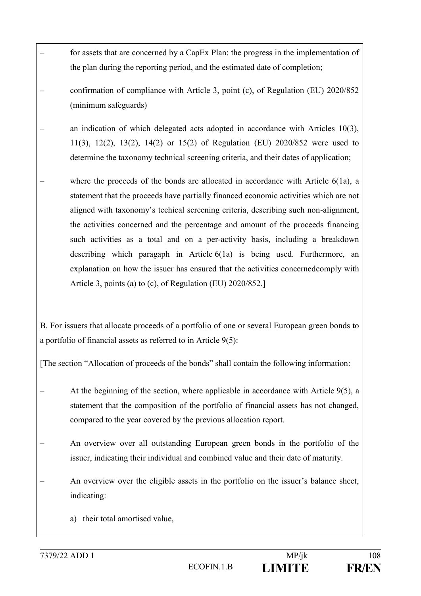- for assets that are concerned by a CapEx Plan: the progress in the implementation of the plan during the reporting period, and the estimated date of completion;
- confirmation of compliance with Article 3, point (c), of Regulation (EU) 2020/852 (minimum safeguards)
- an indication of which delegated acts adopted in accordance with Articles 10(3), 11(3), 12(2), 13(2), 14(2) or 15(2) of Regulation (EU) 2020/852 were used to determine the taxonomy technical screening criteria, and their dates of application;
- where the proceeds of the bonds are allocated in accordance with Article  $6(1a)$ , a statement that the proceeds have partially financed economic activities which are not aligned with taxonomy's techical screening criteria, describing such non-alignment, the activities concerned and the percentage and amount of the proceeds financing such activities as a total and on a per-activity basis, including a breakdown describing which paragaph in Article 6(1a) is being used. Furthermore, an explanation on how the issuer has ensured that the activities concernedcomply with Article 3, points (a) to (c), of Regulation (EU) 2020/852.]

B. For issuers that allocate proceeds of a portfolio of one or several European green bonds to a portfolio of financial assets as referred to in Article 9(5):

[The section "Allocation of proceeds of the bonds" shall contain the following information:

- At the beginning of the section, where applicable in accordance with Article 9(5), a statement that the composition of the portfolio of financial assets has not changed, compared to the year covered by the previous allocation report.
- An overview over all outstanding European green bonds in the portfolio of the issuer, indicating their individual and combined value and their date of maturity.
- An overview over the eligible assets in the portfolio on the issuer's balance sheet, indicating:
	- a) their total amortised value,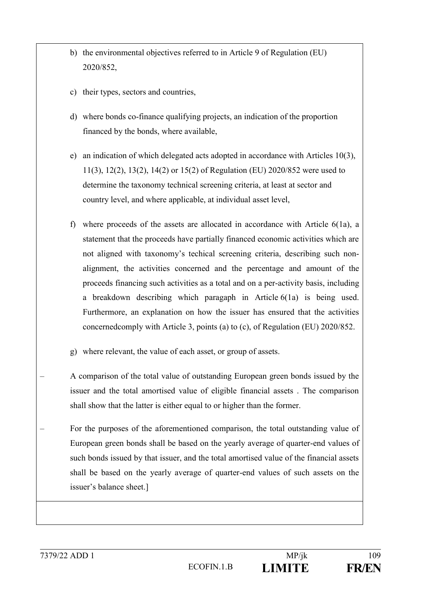- b) the environmental objectives referred to in Article 9 of Regulation (EU) 2020/852,
- c) their types, sectors and countries,
- d) where bonds co-finance qualifying projects, an indication of the proportion financed by the bonds, where available,
- e) an indication of which delegated acts adopted in accordance with Articles 10(3), 11(3), 12(2), 13(2), 14(2) or 15(2) of Regulation (EU) 2020/852 were used to determine the taxonomy technical screening criteria, at least at sector and country level, and where applicable, at individual asset level,
- f) where proceeds of the assets are allocated in accordance with Article 6(1a), a statement that the proceeds have partially financed economic activities which are not aligned with taxonomy's techical screening criteria, describing such nonalignment, the activities concerned and the percentage and amount of the proceeds financing such activities as a total and on a per-activity basis, including a breakdown describing which paragaph in Article 6(1a) is being used. Furthermore, an explanation on how the issuer has ensured that the activities concernedcomply with Article 3, points (a) to (c), of Regulation (EU) 2020/852.
- g) where relevant, the value of each asset, or group of assets.
- A comparison of the total value of outstanding European green bonds issued by the issuer and the total amortised value of eligible financial assets . The comparison shall show that the latter is either equal to or higher than the former.
- For the purposes of the aforementioned comparison, the total outstanding value of European green bonds shall be based on the yearly average of quarter-end values of such bonds issued by that issuer, and the total amortised value of the financial assets shall be based on the yearly average of quarter-end values of such assets on the issuer's balance sheet.]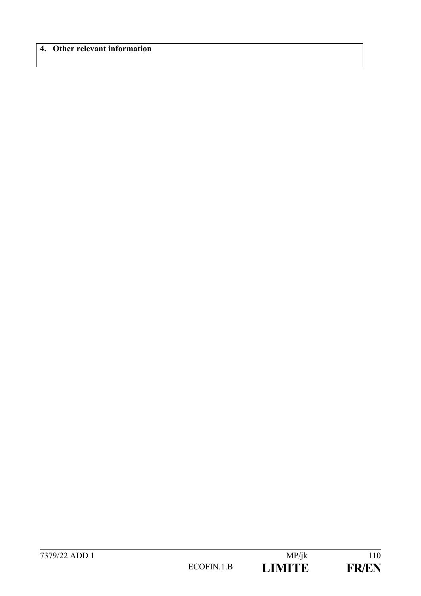# **4. Other relevant information**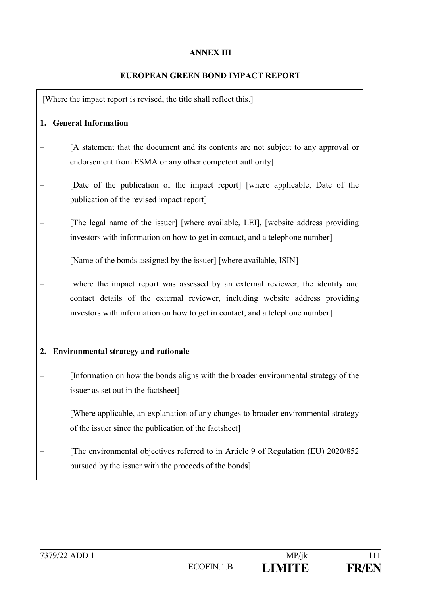# **ANNEX III**

#### **EUROPEAN GREEN BOND IMPACT REPORT**

[Where the impact report is revised, the title shall reflect this.]

#### **1. General Information**

- [A statement that the document and its contents are not subject to any approval or endorsement from ESMA or any other competent authority]
- [Date of the publication of the impact report] [where applicable, Date of the publication of the revised impact report]
- [The legal name of the issuer] [where available, LEI], [website address providing investors with information on how to get in contact, and a telephone number]
- [Name of the bonds assigned by the issuer] [where available, ISIN]
- [where the impact report was assessed by an external reviewer, the identity and contact details of the external reviewer, including website address providing investors with information on how to get in contact, and a telephone number]

#### **2. Environmental strategy and rationale**

- [Information on how the bonds aligns with the broader environmental strategy of the issuer as set out in the factsheet]
- [Where applicable, an explanation of any changes to broader environmental strategy of the issuer since the publication of the factsheet]
- [The environmental objectives referred to in Article 9 of Regulation (EU) 2020/852 pursued by the issuer with the proceeds of the bond**s**]

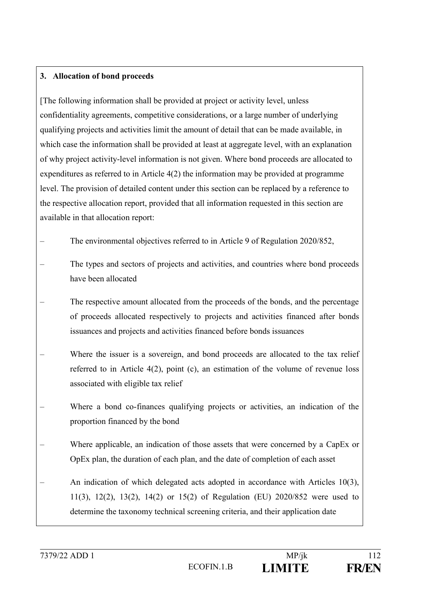# **3. Allocation of bond proceeds**

[The following information shall be provided at project or activity level, unless confidentiality agreements, competitive considerations, or a large number of underlying qualifying projects and activities limit the amount of detail that can be made available, in which case the information shall be provided at least at aggregate level, with an explanation of why project activity-level information is not given. Where bond proceeds are allocated to expenditures as referred to in Article 4(2) the information may be provided at programme level. The provision of detailed content under this section can be replaced by a reference to the respective allocation report, provided that all information requested in this section are available in that allocation report:

- The environmental objectives referred to in Article 9 of Regulation 2020/852,
- The types and sectors of projects and activities, and countries where bond proceeds have been allocated
- The respective amount allocated from the proceeds of the bonds, and the percentage of proceeds allocated respectively to projects and activities financed after bonds issuances and projects and activities financed before bonds issuances
- Where the issuer is a sovereign, and bond proceeds are allocated to the tax relief referred to in Article 4(2), point (c), an estimation of the volume of revenue loss associated with eligible tax relief
- Where a bond co-finances qualifying projects or activities, an indication of the proportion financed by the bond
- Where applicable, an indication of those assets that were concerned by a CapEx or OpEx plan, the duration of each plan, and the date of completion of each asset
- An indication of which delegated acts adopted in accordance with Articles 10(3), 11(3), 12(2), 13(2), 14(2) or 15(2) of Regulation (EU) 2020/852 were used to determine the taxonomy technical screening criteria, and their application date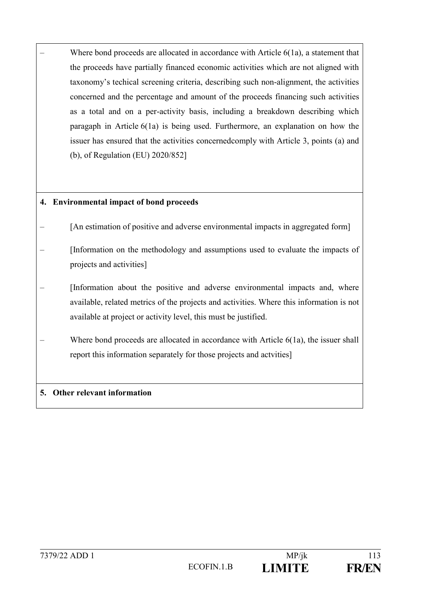Where bond proceeds are allocated in accordance with Article  $6(1a)$ , a statement that the proceeds have partially financed economic activities which are not aligned with taxonomy's techical screening criteria, describing such non-alignment, the activities concerned and the percentage and amount of the proceeds financing such activities as a total and on a per-activity basis, including a breakdown describing which paragaph in Article 6(1a) is being used. Furthermore, an explanation on how the issuer has ensured that the activities concernedcomply with Article 3, points (a) and (b), of Regulation (EU) 2020/852]

# **4. Environmental impact of bond proceeds**

- [An estimation of positive and adverse environmental impacts in aggregated form]
- [Information on the methodology and assumptions used to evaluate the impacts of projects and activities]
- [Information about the positive and adverse environmental impacts and, where available, related metrics of the projects and activities. Where this information is not available at project or activity level, this must be justified.
- Where bond proceeds are allocated in accordance with Article  $6(1a)$ , the issuer shall report this information separately for those projects and actvities]

# **5. Other relevant information**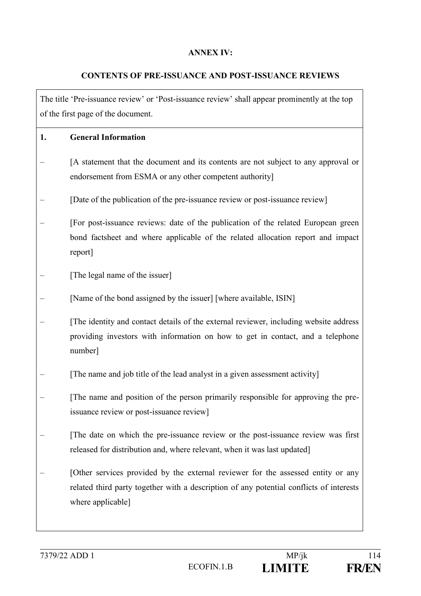## **ANNEX IV:**

#### **CONTENTS OF PRE-ISSUANCE AND POST-ISSUANCE REVIEWS**

The title 'Pre-issuance review' or 'Post-issuance review' shall appear prominently at the top of the first page of the document.

#### **1. General Information**

- [A statement that the document and its contents are not subject to any approval or endorsement from ESMA or any other competent authority]
- [Date of the publication of the pre-issuance review or post-issuance review]
- [For post-issuance reviews: date of the publication of the related European green bond factsheet and where applicable of the related allocation report and impact report]
- [The legal name of the issuer]
- [Name of the bond assigned by the issuer] [where available, ISIN]
- [The identity and contact details of the external reviewer, including website address providing investors with information on how to get in contact, and a telephone number]
- [The name and job title of the lead analyst in a given assessment activity]
- [The name and position of the person primarily responsible for approving the preissuance review or post-issuance review]
- [The date on which the pre-issuance review or the post-issuance review was first released for distribution and, where relevant, when it was last updated]
- [Other services provided by the external reviewer for the assessed entity or any related third party together with a description of any potential conflicts of interests where applicable]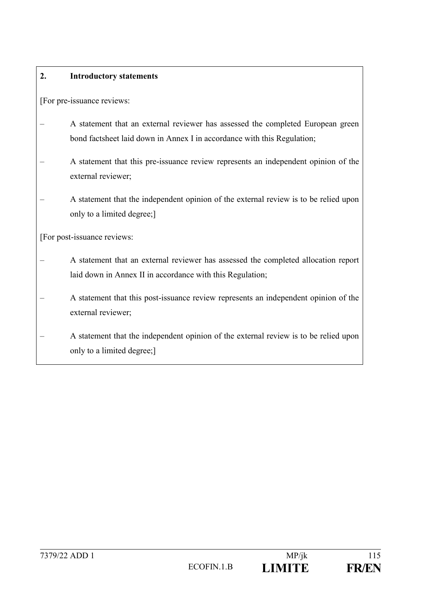# **2. Introductory statements** [For pre-issuance reviews: – A statement that an external reviewer has assessed the completed European green bond factsheet laid down in Annex I in accordance with this Regulation; – A statement that this pre-issuance review represents an independent opinion of the external reviewer; – A statement that the independent opinion of the external review is to be relied upon only to a limited degree;] [For post-issuance reviews: – A statement that an external reviewer has assessed the completed allocation report laid down in Annex II in accordance with this Regulation; – A statement that this post-issuance review represents an independent opinion of the external reviewer; – A statement that the independent opinion of the external review is to be relied upon only to a limited degree;]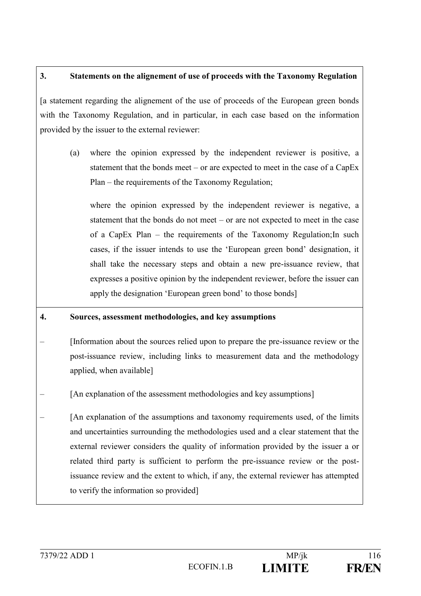# **3. Statements on the alignement of use of proceeds with the Taxonomy Regulation**

[a statement regarding the alignement of the use of proceeds of the European green bonds with the Taxonomy Regulation, and in particular, in each case based on the information provided by the issuer to the external reviewer:

(a) where the opinion expressed by the independent reviewer is positive, a statement that the bonds meet – or are expected to meet in the case of a CapEx Plan – the requirements of the Taxonomy Regulation;

where the opinion expressed by the independent reviewer is negative, a statement that the bonds do not meet – or are not expected to meet in the case of a CapEx Plan – the requirements of the Taxonomy Regulation;In such cases, if the issuer intends to use the 'European green bond' designation, it shall take the necessary steps and obtain a new pre-issuance review, that expresses a positive opinion by the independent reviewer, before the issuer can apply the designation 'European green bond' to those bonds]

# **4. Sources, assessment methodologies, and key assumptions**

- [Information about the sources relied upon to prepare the pre-issuance review or the post-issuance review, including links to measurement data and the methodology applied, when available]
- [An explanation of the assessment methodologies and key assumptions]

– [An explanation of the assumptions and taxonomy requirements used, of the limits and uncertainties surrounding the methodologies used and a clear statement that the external reviewer considers the quality of information provided by the issuer a or related third party is sufficient to perform the pre-issuance review or the postissuance review and the extent to which, if any, the external reviewer has attempted to verify the information so provided]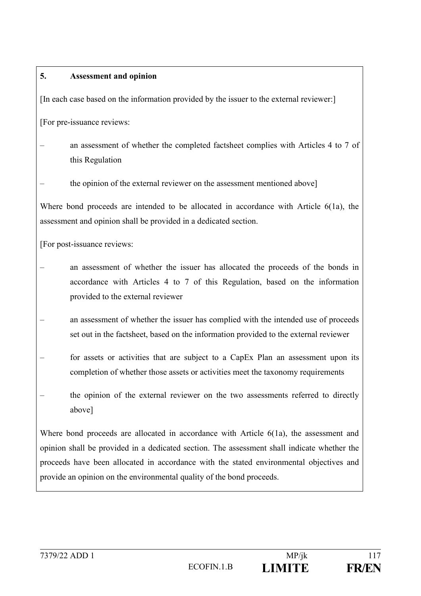## **5. Assessment and opinion**

[In each case based on the information provided by the issuer to the external reviewer:]

[For pre-issuance reviews:

- an assessment of whether the completed factsheet complies with Articles 4 to 7 of this Regulation
- the opinion of the external reviewer on the assessment mentioned above]

Where bond proceeds are intended to be allocated in accordance with Article 6(1a), the assessment and opinion shall be provided in a dedicated section.

[For post-issuance reviews:

- an assessment of whether the issuer has allocated the proceeds of the bonds in accordance with Articles 4 to 7 of this Regulation, based on the information provided to the external reviewer
- an assessment of whether the issuer has complied with the intended use of proceeds set out in the factsheet, based on the information provided to the external reviewer
- for assets or activities that are subject to a CapEx Plan an assessment upon its completion of whether those assets or activities meet the taxonomy requirements
- the opinion of the external reviewer on the two assessments referred to directly above]

Where bond proceeds are allocated in accordance with Article 6(1a), the assessment and opinion shall be provided in a dedicated section. The assessment shall indicate whether the proceeds have been allocated in accordance with the stated environmental objectives and provide an opinion on the environmental quality of the bond proceeds.